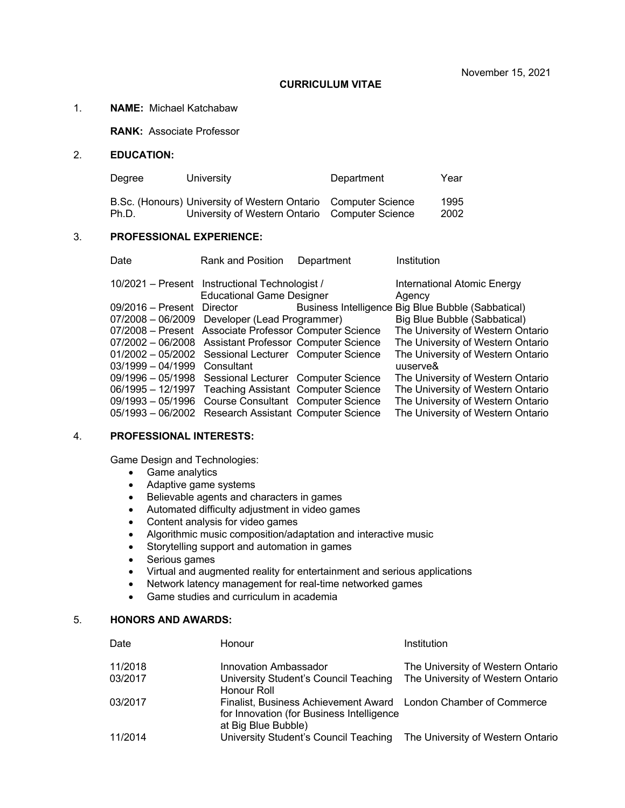#### **CURRICULUM VITAE**

### 1. **NAME:** Michael Katchabaw

**RANK:** Associate Professor

### 2. **EDUCATION:**

| Dearee | University                                                                                                       | Department | Year         |
|--------|------------------------------------------------------------------------------------------------------------------|------------|--------------|
| Ph.D.  | B.Sc. (Honours) University of Western Ontario Computer Science<br>University of Western Ontario Computer Science |            | 1995<br>2002 |

#### 3. **PROFESSIONAL EXPERIENCE:**

| Date                       | Rank and Position                                                                  | Department | Institution                                        |
|----------------------------|------------------------------------------------------------------------------------|------------|----------------------------------------------------|
|                            | 10/2021 – Present Instructional Technologist /<br><b>Educational Game Designer</b> |            | <b>International Atomic Energy</b><br>Agency       |
| 09/2016 - Present Director |                                                                                    |            | Business Intelligence Big Blue Bubble (Sabbatical) |
|                            | 07/2008 - 06/2009 Developer (Lead Programmer)                                      |            | Big Blue Bubble (Sabbatical)                       |
|                            | 07/2008 - Present Associate Professor Computer Science                             |            | The University of Western Ontario                  |
|                            | 07/2002 - 06/2008 Assistant Professor Computer Science                             |            | The University of Western Ontario                  |
|                            | 01/2002 - 05/2002 Sessional Lecturer Computer Science                              |            | The University of Western Ontario                  |
| $03/1999 - 04/1999$        | Consultant                                                                         |            | uuserve&                                           |
|                            | 09/1996 - 05/1998 Sessional Lecturer Computer Science                              |            | The University of Western Ontario                  |
|                            | 06/1995 - 12/1997 Teaching Assistant Computer Science                              |            | The University of Western Ontario                  |
|                            | 09/1993 - 05/1996 Course Consultant Computer Science                               |            | The University of Western Ontario                  |
|                            | 05/1993 - 06/2002 Research Assistant Computer Science                              |            | The University of Western Ontario                  |

#### 4. **PROFESSIONAL INTERESTS:**

Game Design and Technologies:

- Game analytics
- Adaptive game systems
- Believable agents and characters in games
- Automated difficulty adjustment in video games
- Content analysis for video games
- Algorithmic music composition/adaptation and interactive music
- Storytelling support and automation in games
- Serious games
- Virtual and augmented reality for entertainment and serious applications
- Network latency management for real-time networked games
- Game studies and curriculum in academia

## 5. **HONORS AND AWARDS:**

| Date    | Honour                                                                                                                              | Institution                       |
|---------|-------------------------------------------------------------------------------------------------------------------------------------|-----------------------------------|
| 11/2018 | Innovation Ambassador                                                                                                               | The University of Western Ontario |
| 03/2017 | University Student's Council Teaching<br>Honour Roll                                                                                | The University of Western Ontario |
| 03/2017 | Finalist, Business Achievement Award London Chamber of Commerce<br>for Innovation (for Business Intelligence<br>at Big Blue Bubble) |                                   |
| 11/2014 | University Student's Council Teaching                                                                                               | The University of Western Ontario |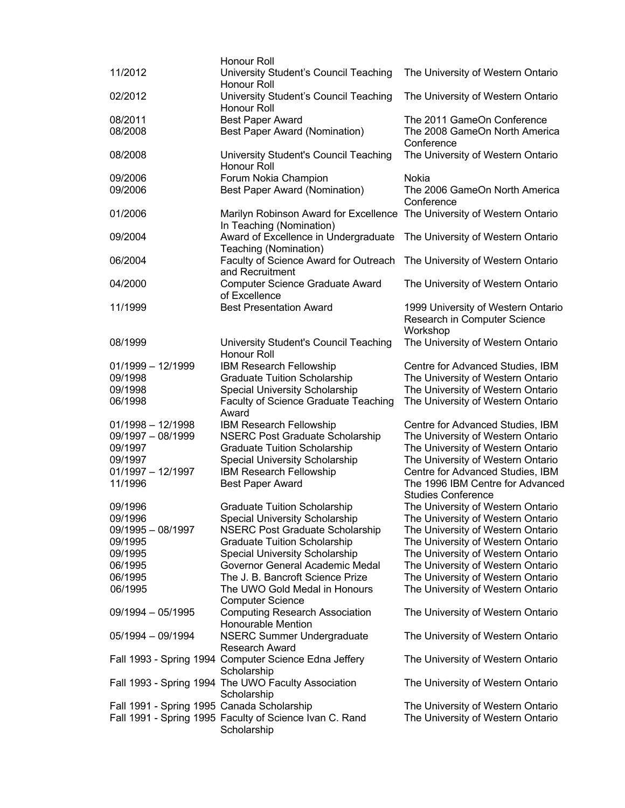|                                            | Honour Roll                                                                                         |                                                                                |
|--------------------------------------------|-----------------------------------------------------------------------------------------------------|--------------------------------------------------------------------------------|
| 11/2012                                    | University Student's Council Teaching<br>Honour Roll                                                | The University of Western Ontario                                              |
| 02/2012                                    | University Student's Council Teaching<br>Honour Roll                                                | The University of Western Ontario                                              |
| 08/2011                                    | <b>Best Paper Award</b>                                                                             | The 2011 GameOn Conference                                                     |
| 08/2008                                    | <b>Best Paper Award (Nomination)</b>                                                                | The 2008 GameOn North America<br>Conference                                    |
| 08/2008                                    | University Student's Council Teaching<br>Honour Roll                                                | The University of Western Ontario                                              |
| 09/2006                                    | Forum Nokia Champion                                                                                | Nokia                                                                          |
| 09/2006                                    | <b>Best Paper Award (Nomination)</b>                                                                | The 2006 GameOn North America<br>Conference                                    |
| 01/2006                                    | Marilyn Robinson Award for Excellence The University of Western Ontario<br>In Teaching (Nomination) |                                                                                |
| 09/2004                                    | Award of Excellence in Undergraduate<br>Teaching (Nomination)                                       | The University of Western Ontario                                              |
| 06/2004                                    | Faculty of Science Award for Outreach<br>and Recruitment                                            | The University of Western Ontario                                              |
| 04/2000                                    | Computer Science Graduate Award<br>of Excellence                                                    | The University of Western Ontario                                              |
| 11/1999                                    | <b>Best Presentation Award</b>                                                                      | 1999 University of Western Ontario<br>Research in Computer Science<br>Workshop |
| 08/1999                                    | University Student's Council Teaching<br>Honour Roll                                                | The University of Western Ontario                                              |
| $01/1999 - 12/1999$                        | IBM Research Fellowship                                                                             | Centre for Advanced Studies, IBM                                               |
| 09/1998                                    | <b>Graduate Tuition Scholarship</b>                                                                 | The University of Western Ontario                                              |
| 09/1998                                    | Special University Scholarship                                                                      | The University of Western Ontario                                              |
| 06/1998                                    | Faculty of Science Graduate Teaching<br>Award                                                       | The University of Western Ontario                                              |
| $01/1998 - 12/1998$                        | IBM Research Fellowship                                                                             | Centre for Advanced Studies, IBM                                               |
| 09/1997 - 08/1999                          | <b>NSERC Post Graduate Scholarship</b>                                                              | The University of Western Ontario                                              |
| 09/1997                                    | <b>Graduate Tuition Scholarship</b>                                                                 | The University of Western Ontario                                              |
| 09/1997                                    | <b>Special University Scholarship</b>                                                               | The University of Western Ontario                                              |
| $01/1997 - 12/1997$                        | <b>IBM Research Fellowship</b>                                                                      | Centre for Advanced Studies, IBM                                               |
| 11/1996                                    | <b>Best Paper Award</b>                                                                             | The 1996 IBM Centre for Advanced                                               |
|                                            |                                                                                                     | <b>Studies Conference</b>                                                      |
| 09/1996                                    | <b>Graduate Tuition Scholarship</b>                                                                 | The University of Western Ontario                                              |
| 09/1996                                    | Special University Scholarship                                                                      | The University of Western Ontario                                              |
| $09/1995 - 08/1997$                        | <b>NSERC Post Graduate Scholarship</b>                                                              | The University of Western Ontario                                              |
| 09/1995                                    | <b>Graduate Tuition Scholarship</b>                                                                 | The University of Western Ontario                                              |
| 09/1995                                    | Special University Scholarship                                                                      | The University of Western Ontario                                              |
| 06/1995                                    | Governor General Academic Medal                                                                     | The University of Western Ontario                                              |
| 06/1995                                    | The J. B. Bancroft Science Prize                                                                    | The University of Western Ontario                                              |
| 06/1995                                    | The UWO Gold Medal in Honours                                                                       | The University of Western Ontario                                              |
|                                            | <b>Computer Science</b>                                                                             |                                                                                |
| 09/1994 - 05/1995                          | <b>Computing Research Association</b><br><b>Honourable Mention</b>                                  | The University of Western Ontario                                              |
| 05/1994 - 09/1994                          | <b>NSERC Summer Undergraduate</b><br><b>Research Award</b>                                          | The University of Western Ontario                                              |
|                                            | Fall 1993 - Spring 1994 Computer Science Edna Jeffery<br>Scholarship                                | The University of Western Ontario                                              |
|                                            | Fall 1993 - Spring 1994 The UWO Faculty Association<br>Scholarship                                  | The University of Western Ontario                                              |
| Fall 1991 - Spring 1995 Canada Scholarship |                                                                                                     | The University of Western Ontario                                              |
|                                            | Fall 1991 - Spring 1995 Faculty of Science Ivan C. Rand<br>Scholarship                              | The University of Western Ontario                                              |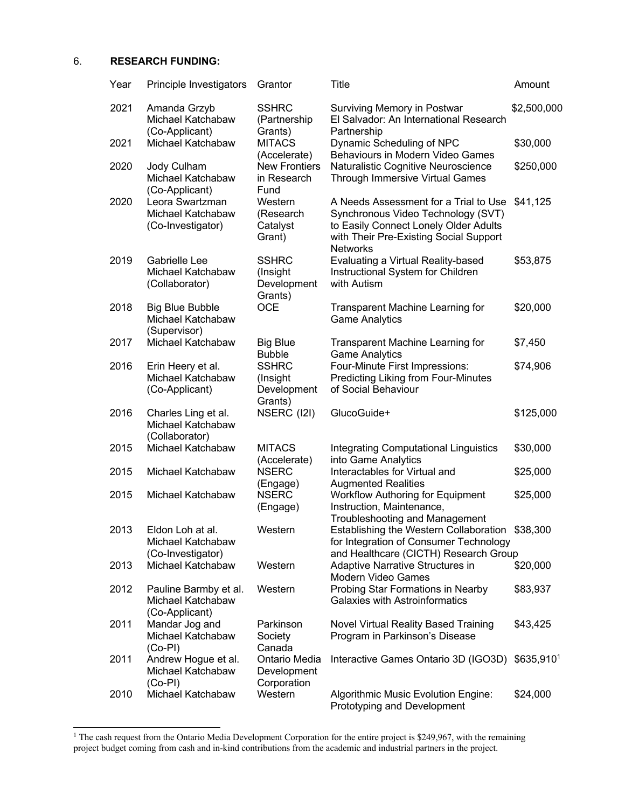#### 6. **RESEARCH FUNDING:**

| Year | Principle Investigators                                      | Grantor                                            | Title                                                                                                                                                                             | Amount      |
|------|--------------------------------------------------------------|----------------------------------------------------|-----------------------------------------------------------------------------------------------------------------------------------------------------------------------------------|-------------|
| 2021 | Amanda Grzyb<br>Michael Katchabaw<br>(Co-Applicant)          | <b>SSHRC</b><br>(Partnership<br>Grants)            | Surviving Memory in Postwar<br>El Salvador: An International Research<br>Partnership                                                                                              | \$2,500,000 |
| 2021 | Michael Katchabaw                                            | <b>MITACS</b><br>(Accelerate)                      | Dynamic Scheduling of NPC<br>Behaviours in Modern Video Games                                                                                                                     | \$30,000    |
| 2020 | Jody Culham<br>Michael Katchabaw<br>(Co-Applicant)           | <b>New Frontiers</b><br>in Research<br>Fund        | Naturalistic Cognitive Neuroscience<br>Through Immersive Virtual Games                                                                                                            | \$250,000   |
| 2020 | Leora Swartzman<br>Michael Katchabaw<br>(Co-Investigator)    | Western<br>(Research<br>Catalyst<br>Grant)         | A Needs Assessment for a Trial to Use<br>Synchronous Video Technology (SVT)<br>to Easily Connect Lonely Older Adults<br>with Their Pre-Existing Social Support<br><b>Networks</b> | \$41,125    |
| 2019 | Gabrielle Lee<br>Michael Katchabaw<br>(Collaborator)         | <b>SSHRC</b><br>(Insight<br>Development<br>Grants) | Evaluating a Virtual Reality-based<br>Instructional System for Children<br>with Autism                                                                                            | \$53,875    |
| 2018 | <b>Big Blue Bubble</b><br>Michael Katchabaw<br>(Supervisor)  | <b>OCE</b>                                         | <b>Transparent Machine Learning for</b><br><b>Game Analytics</b>                                                                                                                  | \$20,000    |
| 2017 | Michael Katchabaw                                            | <b>Big Blue</b><br><b>Bubble</b>                   | Transparent Machine Learning for<br><b>Game Analytics</b>                                                                                                                         | \$7,450     |
| 2016 | Erin Heery et al.<br>Michael Katchabaw<br>(Co-Applicant)     | <b>SSHRC</b><br>(Insight<br>Development<br>Grants) | Four-Minute First Impressions:<br>Predicting Liking from Four-Minutes<br>of Social Behaviour                                                                                      | \$74,906    |
| 2016 | Charles Ling et al.<br>Michael Katchabaw<br>(Collaborator)   | NSERC (I2I)                                        | GlucoGuide+                                                                                                                                                                       | \$125,000   |
| 2015 | Michael Katchabaw                                            | <b>MITACS</b><br>(Accelerate)                      | <b>Integrating Computational Linguistics</b><br>into Game Analytics                                                                                                               | \$30,000    |
| 2015 | Michael Katchabaw                                            | <b>NSERC</b><br>(Engage)                           | Interactables for Virtual and<br><b>Augmented Realities</b>                                                                                                                       | \$25,000    |
| 2015 | Michael Katchabaw                                            | <b>NSERC</b><br>(Engage)                           | <b>Workflow Authoring for Equipment</b><br>Instruction, Maintenance,<br>Troubleshooting and Management                                                                            | \$25,000    |
| 2013 | Eldon Loh at al.<br>Michael Katchabaw<br>(Co-Investigator)   | Western                                            | Establishing the Western Collaboration<br>for Integration of Consumer Technology<br>and Healthcare (CICTH) Research Group                                                         | \$38,300    |
| 2013 | Michael Katchabaw                                            | Western                                            | Adaptive Narrative Structures in<br>Modern Video Games                                                                                                                            | \$20,000    |
| 2012 | Pauline Barmby et al.<br>Michael Katchabaw<br>(Co-Applicant) | Western                                            | Probing Star Formations in Nearby<br><b>Galaxies with Astroinformatics</b>                                                                                                        | \$83,937    |
| 2011 | Mandar Jog and<br>Michael Katchabaw<br>$(Co-PI)$             | Parkinson<br>Society<br>Canada                     | Novel Virtual Reality Based Training<br>Program in Parkinson's Disease                                                                                                            | \$43,425    |
| 2011 | Andrew Hogue et al.<br>Michael Katchabaw<br>$(Co-PI)$        | Ontario Media<br>Development<br>Corporation        | Interactive Games Ontario 3D (IGO3D)                                                                                                                                              | \$635,9101  |
| 2010 | Michael Katchabaw                                            | Western                                            | Algorithmic Music Evolution Engine:<br>Prototyping and Development                                                                                                                | \$24,000    |

<sup>&</sup>lt;sup>1</sup> The cash request from the Ontario Media Development Corporation for the entire project is \$249,967, with the remaining project budget coming from cash and in-kind contributions from the academic and industrial partners in the project.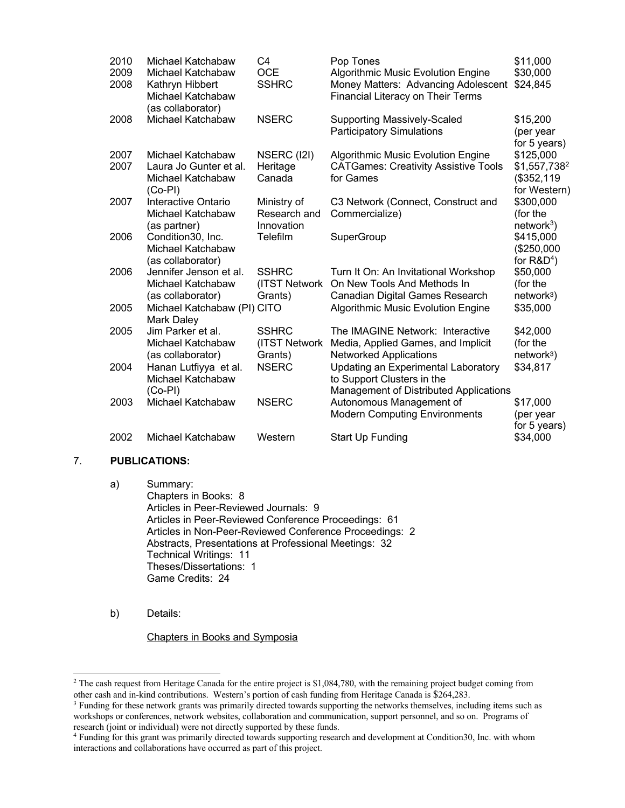| 2010<br>2009<br>2008 | Michael Katchabaw<br>Michael Katchabaw<br>Kathryn Hibbert<br>Michael Katchabaw<br>(as collaborator) | C <sub>4</sub><br><b>OCE</b><br><b>SSHRC</b> | Pop Tones<br><b>Algorithmic Music Evolution Engine</b><br>Money Matters: Advancing Adolescent<br><b>Financial Literacy on Their Terms</b> | \$11,000<br>\$30,000<br>\$24,845                           |
|----------------------|-----------------------------------------------------------------------------------------------------|----------------------------------------------|-------------------------------------------------------------------------------------------------------------------------------------------|------------------------------------------------------------|
| 2008                 | Michael Katchabaw                                                                                   | <b>NSERC</b>                                 | <b>Supporting Massively-Scaled</b><br><b>Participatory Simulations</b>                                                                    | \$15,200<br>(per year<br>for 5 years)                      |
| 2007<br>2007         | Michael Katchabaw<br>Laura Jo Gunter et al.<br>Michael Katchabaw<br>$(Co-PI)$                       | NSERC (I2I)<br>Heritage<br>Canada            | <b>Algorithmic Music Evolution Engine</b><br><b>CATGames: Creativity Assistive Tools</b><br>for Games                                     | \$125,000<br>$$1,557,738^2$<br>(\$352, 119<br>for Western) |
| 2007                 | Interactive Ontario<br>Michael Katchabaw<br>(as partner)                                            | Ministry of<br>Research and<br>Innovation    | C3 Network (Connect, Construct and<br>Commercialize)                                                                                      | \$300,000<br>(for the<br>$network3$ )                      |
| 2006                 | Condition30, Inc.<br>Michael Katchabaw<br>(as collaborator)                                         | Telefilm                                     | SuperGroup                                                                                                                                | \$415,000<br>(\$250,000<br>for $R&D4$ )                    |
| 2006                 | Jennifer Jenson et al.<br>Michael Katchabaw<br>(as collaborator)                                    | <b>SSHRC</b><br>(ITST Network<br>Grants)     | Turn It On: An Invitational Workshop<br>On New Tools And Methods In<br>Canadian Digital Games Research                                    | \$50,000<br>(for the<br>network <sup>3</sup> )             |
| 2005                 | Michael Katchabaw (PI) CITO<br><b>Mark Daley</b>                                                    |                                              | <b>Algorithmic Music Evolution Engine</b>                                                                                                 | \$35,000                                                   |
| 2005                 | Jim Parker et al.<br>Michael Katchabaw<br>(as collaborator)                                         | <b>SSHRC</b><br>(ITST Network<br>Grants)     | The IMAGINE Network: Interactive<br>Media, Applied Games, and Implicit<br><b>Networked Applications</b>                                   | \$42,000<br>(for the<br>$network3$ )                       |
| 2004                 | Hanan Lutfiyya et al.<br>Michael Katchabaw<br>$(Co-PI)$                                             | <b>NSERC</b>                                 | Updating an Experimental Laboratory<br>to Support Clusters in the<br><b>Management of Distributed Applications</b>                        | \$34,817                                                   |
| 2003                 | Michael Katchabaw                                                                                   | <b>NSERC</b>                                 | Autonomous Management of<br><b>Modern Computing Environments</b>                                                                          | \$17,000<br>(per year<br>for 5 years)                      |
| 2002                 | Michael Katchabaw                                                                                   | Western                                      | Start Up Funding                                                                                                                          | \$34,000                                                   |

# 7. **PUBLICATIONS:**

a) Summary: Chapters in Books: 8 Articles in Peer-Reviewed Journals: 9 Articles in Peer-Reviewed Conference Proceedings: 61 Articles in Non-Peer-Reviewed Conference Proceedings: 2 Abstracts, Presentations at Professional Meetings: 32 Technical Writings: 11 Theses/Dissertations: 1 Game Credits: 24

b) Details:

Chapters in Books and Symposia

<sup>&</sup>lt;sup>2</sup> The cash request from Heritage Canada for the entire project is \$1,084,780, with the remaining project budget coming from other cash and in-kind contributions. Western's portion of cash funding from Heritage Canada is \$264,283.

<sup>&</sup>lt;sup>3</sup> Funding for these network grants was primarily directed towards supporting the networks themselves, including items such as workshops or conferences, network websites, collaboration and communication, support personnel, and so on. Programs of research (joint or individual) were not directly supported by these funds.

<sup>4</sup> Funding for this grant was primarily directed towards supporting research and development at Condition30, Inc. with whom interactions and collaborations have occurred as part of this project.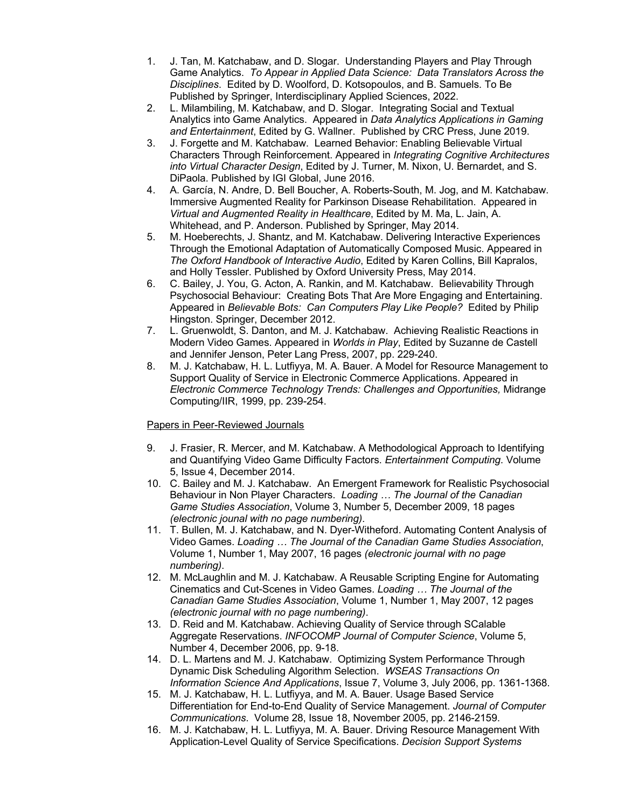- 1. J. Tan, M. Katchabaw, and D. Slogar. Understanding Players and Play Through Game Analytics. *To Appear in Applied Data Science: Data Translators Across the Disciplines*. Edited by D. Woolford, D. Kotsopoulos, and B. Samuels. To Be Published by Springer, Interdisciplinary Applied Sciences, 2022.
- 2. L. Milambiling, M. Katchabaw, and D. Slogar. Integrating Social and Textual Analytics into Game Analytics. Appeared in *Data Analytics Applications in Gaming and Entertainment*, Edited by G. Wallner. Published by CRC Press, June 2019.
- 3. J. Forgette and M. Katchabaw. Learned Behavior: Enabling Believable Virtual Characters Through Reinforcement. Appeared in *Integrating Cognitive Architectures into Virtual Character Design*, Edited by J. Turner, M. Nixon, U. Bernardet, and S. DiPaola. Published by IGI Global, June 2016.
- 4. A. García, N. Andre, D. Bell Boucher, A. Roberts-South, M. Jog, and M. Katchabaw. Immersive Augmented Reality for Parkinson Disease Rehabilitation. Appeared in *Virtual and Augmented Reality in Healthcare*, Edited by M. Ma, L. Jain, A. Whitehead, and P. Anderson. Published by Springer, May 2014.
- 5. M. Hoeberechts, J. Shantz, and M. Katchabaw. Delivering Interactive Experiences Through the Emotional Adaptation of Automatically Composed Music. Appeared in *The Oxford Handbook of Interactive Audio*, Edited by Karen Collins, Bill Kapralos, and Holly Tessler. Published by Oxford University Press, May 2014.
- 6. C. Bailey, J. You, G. Acton, A. Rankin, and M. Katchabaw. Believability Through Psychosocial Behaviour: Creating Bots That Are More Engaging and Entertaining. Appeared in *Believable Bots: Can Computers Play Like People?* Edited by Philip Hingston. Springer, December 2012.
- 7. L. Gruenwoldt, S. Danton, and M. J. Katchabaw. Achieving Realistic Reactions in Modern Video Games. Appeared in *Worlds in Play*, Edited by Suzanne de Castell and Jennifer Jenson, Peter Lang Press, 2007, pp. 229-240.
- 8. M. J. Katchabaw, H. L. Lutfiyya, M. A. Bauer. A Model for Resource Management to Support Quality of Service in Electronic Commerce Applications. Appeared in *Electronic Commerce Technology Trends: Challenges and Opportunities,* Midrange Computing/IIR, 1999, pp. 239-254.

# Papers in Peer-Reviewed Journals

- 9. J. Frasier, R. Mercer, and M. Katchabaw. A Methodological Approach to Identifying and Quantifying Video Game Difficulty Factors. *Entertainment Computing*. Volume 5, Issue 4, December 2014.
- 10. C. Bailey and M. J. Katchabaw. An Emergent Framework for Realistic Psychosocial Behaviour in Non Player Characters. *Loading … The Journal of the Canadian Game Studies Association*, Volume 3, Number 5, December 2009, 18 pages *(electronic jounal with no page numbering)*.
- 11. T. Bullen, M. J. Katchabaw, and N. Dyer-Witheford. Automating Content Analysis of Video Games. *Loading … The Journal of the Canadian Game Studies Association*, Volume 1, Number 1, May 2007, 16 pages *(electronic journal with no page numbering)*.
- 12. M. McLaughlin and M. J. Katchabaw. A Reusable Scripting Engine for Automating Cinematics and Cut-Scenes in Video Games. *Loading … The Journal of the Canadian Game Studies Association*, Volume 1, Number 1, May 2007, 12 pages *(electronic journal with no page numbering)*.
- 13. D. Reid and M. Katchabaw. Achieving Quality of Service through SCalable Aggregate Reservations. *INFOCOMP Journal of Computer Science*, Volume 5, Number 4, December 2006, pp. 9-18.
- 14. D. L. Martens and M. J. Katchabaw. Optimizing System Performance Through Dynamic Disk Scheduling Algorithm Selection. *WSEAS Transactions On Information Science And Applications*, Issue 7, Volume 3, July 2006, pp. 1361-1368.
- 15. M. J. Katchabaw, H. L. Lutfiyya, and M. A. Bauer. Usage Based Service Differentiation for End-to-End Quality of Service Management. *Journal of Computer Communications*. Volume 28, Issue 18, November 2005, pp. 2146-2159.
- 16. M. J. Katchabaw, H. L. Lutfiyya, M. A. Bauer. Driving Resource Management With Application-Level Quality of Service Specifications. *Decision Support Systems*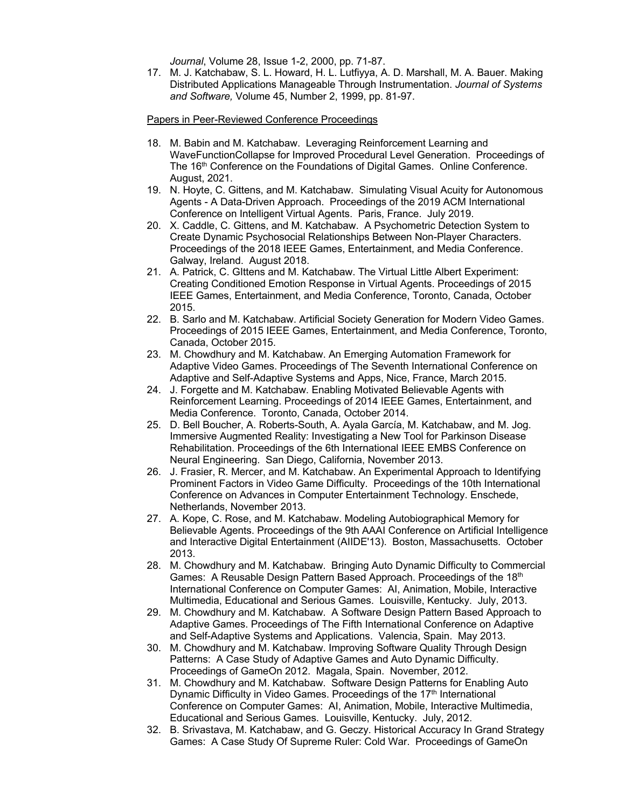*Journal*, Volume 28, Issue 1-2, 2000, pp. 71-87.

17. M. J. Katchabaw, S. L. Howard, H. L. Lutfiyya, A. D. Marshall, M. A. Bauer. Making Distributed Applications Manageable Through Instrumentation. *Journal of Systems and Software,* Volume 45, Number 2, 1999, pp. 81-97.

Papers in Peer-Reviewed Conference Proceedings

- 18. M. Babin and M. Katchabaw. Leveraging Reinforcement Learning and WaveFunctionCollapse for Improved Procedural Level Generation. Proceedings of The 16<sup>th</sup> Conference on the Foundations of Digital Games. Online Conference. August, 2021.
- 19. N. Hoyte, C. Gittens, and M. Katchabaw. Simulating Visual Acuity for Autonomous Agents - A Data-Driven Approach. Proceedings of the 2019 ACM International Conference on Intelligent Virtual Agents. Paris, France. July 2019.
- 20. X. Caddle, C. Gittens, and M. Katchabaw. A Psychometric Detection System to Create Dynamic Psychosocial Relationships Between Non-Player Characters. Proceedings of the 2018 IEEE Games, Entertainment, and Media Conference. Galway, Ireland. August 2018.
- 21. A. Patrick, C. GIttens and M. Katchabaw. The Virtual Little Albert Experiment: Creating Conditioned Emotion Response in Virtual Agents. Proceedings of 2015 IEEE Games, Entertainment, and Media Conference, Toronto, Canada, October 2015.
- 22. B. Sarlo and M. Katchabaw. Artificial Society Generation for Modern Video Games. Proceedings of 2015 IEEE Games, Entertainment, and Media Conference, Toronto, Canada, October 2015.
- 23. M. Chowdhury and M. Katchabaw. An Emerging Automation Framework for Adaptive Video Games. Proceedings of The Seventh International Conference on Adaptive and Self-Adaptive Systems and Apps, Nice, France, March 2015.
- 24. J. Forgette and M. Katchabaw. Enabling Motivated Believable Agents with Reinforcement Learning. Proceedings of 2014 IEEE Games, Entertainment, and Media Conference. Toronto, Canada, October 2014.
- 25. D. Bell Boucher, A. Roberts-South, A. Ayala García, M. Katchabaw, and M. Jog. Immersive Augmented Reality: Investigating a New Tool for Parkinson Disease Rehabilitation. Proceedings of the 6th International IEEE EMBS Conference on Neural Engineering. San Diego, California, November 2013.
- 26. J. Frasier, R. Mercer, and M. Katchabaw. An Experimental Approach to Identifying Prominent Factors in Video Game Difficulty. Proceedings of the 10th International Conference on Advances in Computer Entertainment Technology. Enschede, Netherlands, November 2013.
- 27. A. Kope, C. Rose, and M. Katchabaw. Modeling Autobiographical Memory for Believable Agents. Proceedings of the 9th AAAI Conference on Artificial Intelligence and Interactive Digital Entertainment (AIIDE'13). Boston, Massachusetts. October 2013.
- 28. M. Chowdhury and M. Katchabaw. Bringing Auto Dynamic Difficulty to Commercial Games: A Reusable Design Pattern Based Approach. Proceedings of the 18th International Conference on Computer Games: AI, Animation, Mobile, Interactive Multimedia, Educational and Serious Games. Louisville, Kentucky. July, 2013.
- 29. M. Chowdhury and M. Katchabaw. A Software Design Pattern Based Approach to Adaptive Games. Proceedings of The Fifth International Conference on Adaptive and Self-Adaptive Systems and Applications. Valencia, Spain. May 2013.
- 30. M. Chowdhury and M. Katchabaw. Improving Software Quality Through Design Patterns: A Case Study of Adaptive Games and Auto Dynamic Difficulty. Proceedings of GameOn 2012. Magala, Spain. November, 2012.
- 31. M. Chowdhury and M. Katchabaw. Software Design Patterns for Enabling Auto Dynamic Difficulty in Video Games. Proceedings of the 17<sup>th</sup> International Conference on Computer Games: AI, Animation, Mobile, Interactive Multimedia, Educational and Serious Games. Louisville, Kentucky. July, 2012.
- 32. B. Srivastava, M. Katchabaw, and G. Geczy. Historical Accuracy In Grand Strategy Games: A Case Study Of Supreme Ruler: Cold War. Proceedings of GameOn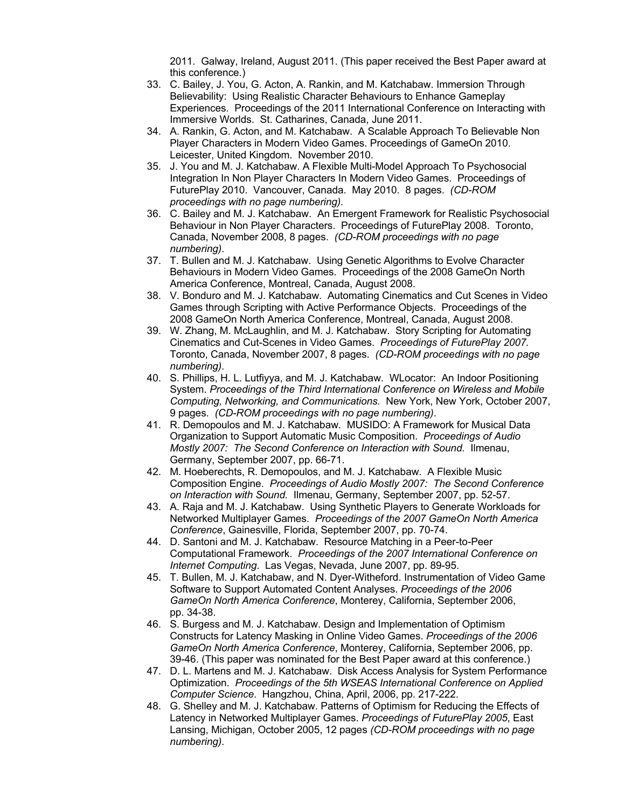2011. Galway, Ireland, August 2011. (This paper received the Best Paper award at this conference.)

- 33. C. Bailey, J. You, G. Acton, A. Rankin, and M. Katchabaw. Immersion Through Believability: Using Realistic Character Behaviours to Enhance Gameplay Experiences. Proceedings of the 2011 International Conference on Interacting with Immersive Worlds. St. Catharines, Canada, June 2011.
- 34. A. Rankin, G. Acton, and M. Katchabaw. A Scalable Approach To Believable Non Player Characters in Modern Video Games. Proceedings of GameOn 2010. Leicester, United Kingdom. November 2010.
- 35. J. You and M. J. Katchabaw. A Flexible Multi-Model Approach To Psychosocial Integration In Non Player Characters In Modern Video Games. Proceedings of FuturePlay 2010. Vancouver, Canada. May 2010. 8 pages. *(CD-ROM proceedings with no page numbering).*
- 36. C. Bailey and M. J. Katchabaw. An Emergent Framework for Realistic Psychosocial Behaviour in Non Player Characters. Proceedings of FuturePlay 2008. Toronto, Canada, November 2008, 8 pages. *(CD-ROM proceedings with no page numbering)*.
- 37. T. Bullen and M. J. Katchabaw. Using Genetic Algorithms to Evolve Character Behaviours in Modern Video Games. Proceedings of the 2008 GameOn North America Conference, Montreal, Canada, August 2008.
- 38. V. Bonduro and M. J. Katchabaw. Automating Cinematics and Cut Scenes in Video Games through Scripting with Active Performance Objects. Proceedings of the 2008 GameOn North America Conference, Montreal, Canada, August 2008.
- 39. W. Zhang, M. McLaughlin, and M. J. Katchabaw. Story Scripting for Automating Cinematics and Cut-Scenes in Video Games. *Proceedings of FuturePlay 2007.* Toronto, Canada, November 2007, 8 pages. *(CD-ROM proceedings with no page numbering)*.
- 40. S. Phillips, H. L. Lutfiyya, and M. J. Katchabaw. WLocator: An Indoor Positioning System. *Proceedings of the Third International Conference on Wireless and Mobile Computing, Networking, and Communications.* New York, New York, October 2007, 9 pages. *(CD-ROM proceedings with no page numbering)*.
- 41. R. Demopoulos and M. J. Katchabaw. MUSIDO: A Framework for Musical Data Organization to Support Automatic Music Composition. *Proceedings of Audio Mostly 2007: The Second Conference on Interaction with Sound.* Ilmenau, Germany, September 2007, pp. 66-71.
- 42. M. Hoeberechts, R. Demopoulos, and M. J. Katchabaw. A Flexible Music Composition Engine. *Proceedings of Audio Mostly 2007: The Second Conference on Interaction with Sound.* Ilmenau, Germany, September 2007, pp. 52-57.
- 43. A. Raja and M. J. Katchabaw. Using Synthetic Players to Generate Workloads for Networked Multiplayer Games. *Proceedings of the 2007 GameOn North America Conference*, Gainesville, Florida, September 2007, pp. 70-74.
- 44. D. Santoni and M. J. Katchabaw. Resource Matching in a Peer-to-Peer Computational Framework. *Proceedings of the 2007 International Conference on Internet Computing*. Las Vegas, Nevada, June 2007, pp. 89-95.
- 45. T. Bullen, M. J. Katchabaw, and N. Dyer-Witheford. Instrumentation of Video Game Software to Support Automated Content Analyses. *Proceedings of the 2006 GameOn North America Conference*, Monterey, California, September 2006, pp. 34-38.
- 46. S. Burgess and M. J. Katchabaw. Design and Implementation of Optimism Constructs for Latency Masking in Online Video Games. *Proceedings of the 2006 GameOn North America Conference*, Monterey, California, September 2006, pp. 39-46. (This paper was nominated for the Best Paper award at this conference.)
- 47. D. L. Martens and M. J. Katchabaw. Disk Access Analysis for System Performance Optimization. *Proceedings of the 5th WSEAS International Conference on Applied Computer Science*. Hangzhou, China, April, 2006, pp. 217-222.
- 48. G. Shelley and M. J. Katchabaw. Patterns of Optimism for Reducing the Effects of Latency in Networked Multiplayer Games. *Proceedings of FuturePlay 2005*, East Lansing, Michigan, October 2005, 12 pages *(CD-ROM proceedings with no page numbering)*.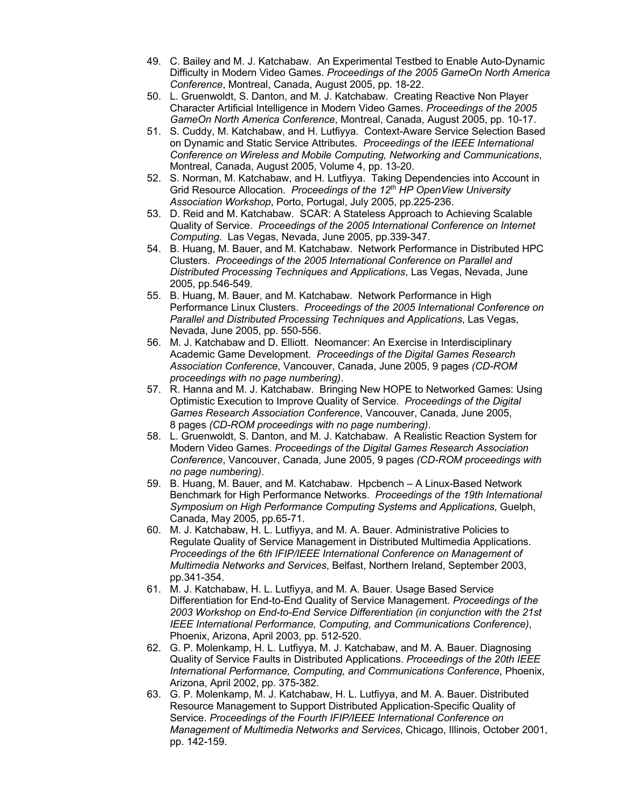- 49. C. Bailey and M. J. Katchabaw. An Experimental Testbed to Enable Auto-Dynamic Difficulty in Modern Video Games. *Proceedings of the 2005 GameOn North America Conference*, Montreal, Canada, August 2005, pp. 18-22.
- 50. L. Gruenwoldt, S. Danton, and M. J. Katchabaw. Creating Reactive Non Player Character Artificial Intelligence in Modern Video Games. *Proceedings of the 2005 GameOn North America Conference*, Montreal, Canada, August 2005, pp. 10-17.
- 51. S. Cuddy, M. Katchabaw, and H. Lutfiyya. Context-Aware Service Selection Based on Dynamic and Static Service Attributes. *Proceedings of the IEEE International Conference on Wireless and Mobile Computing, Networking and Communications*, Montreal, Canada, August 2005, Volume 4, pp. 13-20.
- 52. S. Norman, M. Katchabaw, and H. Lutfiyya. Taking Dependencies into Account in Grid Resource Allocation. *Proceedings of the 12th HP OpenView University Association Workshop*, Porto, Portugal, July 2005, pp.225-236.
- 53. D. Reid and M. Katchabaw. SCAR: A Stateless Approach to Achieving Scalable Quality of Service. *Proceedings of the 2005 International Conference on Internet Computing*. Las Vegas, Nevada, June 2005, pp.339-347.
- 54. B. Huang, M. Bauer, and M. Katchabaw. Network Performance in Distributed HPC Clusters. *Proceedings of the 2005 International Conference on Parallel and Distributed Processing Techniques and Applications*, Las Vegas, Nevada, June 2005, pp.546-549.
- 55. B. Huang, M. Bauer, and M. Katchabaw. Network Performance in High Performance Linux Clusters. *Proceedings of the 2005 International Conference on Parallel and Distributed Processing Techniques and Applications*, Las Vegas, Nevada, June 2005, pp. 550-556.
- 56. M. J. Katchabaw and D. Elliott. Neomancer: An Exercise in Interdisciplinary Academic Game Development. *Proceedings of the Digital Games Research Association Conference*, Vancouver, Canada, June 2005, 9 pages *(CD-ROM proceedings with no page numbering)*.
- 57. R. Hanna and M. J. Katchabaw. Bringing New HOPE to Networked Games: Using Optimistic Execution to Improve Quality of Service. *Proceedings of the Digital Games Research Association Conference*, Vancouver, Canada, June 2005, 8 pages *(CD-ROM proceedings with no page numbering)*.
- 58. L. Gruenwoldt, S. Danton, and M. J. Katchabaw. A Realistic Reaction System for Modern Video Games. *Proceedings of the Digital Games Research Association Conference*, Vancouver, Canada, June 2005, 9 pages *(CD-ROM proceedings with no page numbering)*.
- 59. B. Huang, M. Bauer, and M. Katchabaw. Hpcbench A Linux-Based Network Benchmark for High Performance Networks. *Proceedings of the 19th International Symposium on High Performance Computing Systems and Applications*, Guelph, Canada, May 2005, pp.65-71.
- 60. M. J. Katchabaw, H. L. Lutfiyya, and M. A. Bauer. Administrative Policies to Regulate Quality of Service Management in Distributed Multimedia Applications. *Proceedings of the 6th IFIP/IEEE International Conference on Management of Multimedia Networks and Services*, Belfast, Northern Ireland, September 2003, pp.341-354.
- 61. M. J. Katchabaw, H. L. Lutfiyya, and M. A. Bauer. Usage Based Service Differentiation for End-to-End Quality of Service Management. *Proceedings of the 2003 Workshop on End-to-End Service Differentiation (in conjunction with the 21st IEEE International Performance, Computing, and Communications Conference)*, Phoenix, Arizona, April 2003, pp. 512-520.
- 62. G. P. Molenkamp, H. L. Lutfiyya, M. J. Katchabaw, and M. A. Bauer. Diagnosing Quality of Service Faults in Distributed Applications. *Proceedings of the 20th IEEE International Performance, Computing, and Communications Conference*, Phoenix, Arizona, April 2002, pp. 375-382.
- 63. G. P. Molenkamp, M. J. Katchabaw, H. L. Lutfiyya, and M. A. Bauer. Distributed Resource Management to Support Distributed Application-Specific Quality of Service. *Proceedings of the Fourth IFIP/IEEE International Conference on Management of Multimedia Networks and Services*, Chicago, Illinois, October 2001, pp. 142-159.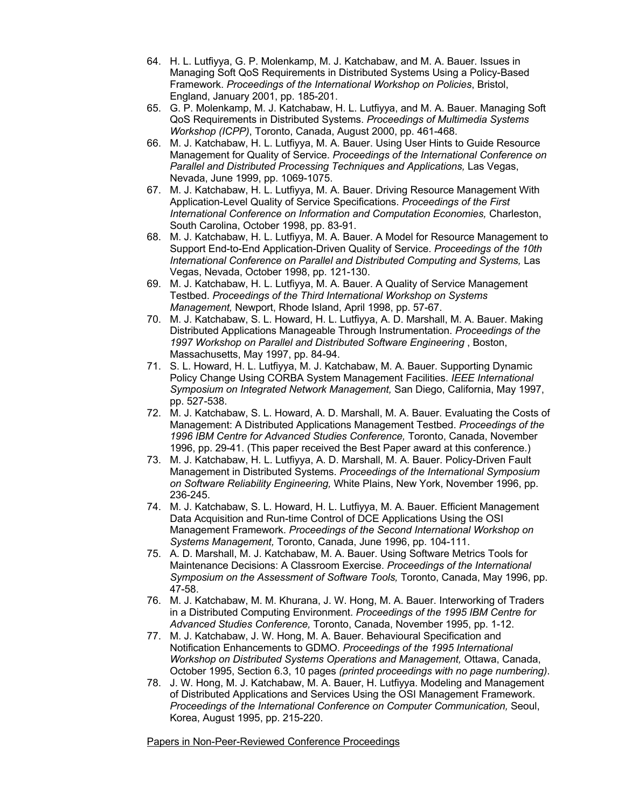- 64. H. L. Lutfiyya, G. P. Molenkamp, M. J. Katchabaw, and M. A. Bauer. Issues in Managing Soft QoS Requirements in Distributed Systems Using a Policy-Based Framework. *Proceedings of the International Workshop on Policies*, Bristol, England, January 2001, pp. 185-201.
- 65. G. P. Molenkamp, M. J. Katchabaw, H. L. Lutfiyya, and M. A. Bauer. Managing Soft QoS Requirements in Distributed Systems. *Proceedings of Multimedia Systems Workshop (ICPP)*, Toronto, Canada, August 2000, pp. 461-468.
- 66. M. J. Katchabaw, H. L. Lutfiyya, M. A. Bauer. Using User Hints to Guide Resource Management for Quality of Service. *Proceedings of the International Conference on Parallel and Distributed Processing Techniques and Applications,* Las Vegas, Nevada, June 1999, pp. 1069-1075.
- 67. M. J. Katchabaw, H. L. Lutfiyya, M. A. Bauer. Driving Resource Management With Application-Level Quality of Service Specifications. *Proceedings of the First International Conference on Information and Computation Economies,* Charleston, South Carolina, October 1998, pp. 83-91.
- 68. M. J. Katchabaw, H. L. Lutfiyya, M. A. Bauer. A Model for Resource Management to Support End-to-End Application-Driven Quality of Service. *Proceedings of the 10th International Conference on Parallel and Distributed Computing and Systems,* Las Vegas, Nevada, October 1998, pp. 121-130.
- 69. M. J. Katchabaw, H. L. Lutfiyya, M. A. Bauer. A Quality of Service Management Testbed. *Proceedings of the Third International Workshop on Systems Management,* Newport, Rhode Island, April 1998, pp. 57-67.
- 70. M. J. Katchabaw, S. L. Howard, H. L. Lutfiyya, A. D. Marshall, M. A. Bauer. Making Distributed Applications Manageable Through Instrumentation. *Proceedings of the 1997 Workshop on Parallel and Distributed Software Engineering* , Boston, Massachusetts, May 1997, pp. 84-94.
- 71. S. L. Howard, H. L. Lutfiyya, M. J. Katchabaw, M. A. Bauer. Supporting Dynamic Policy Change Using CORBA System Management Facilities. *IEEE International Symposium on Integrated Network Management,* San Diego, California, May 1997, pp. 527-538.
- 72. M. J. Katchabaw, S. L. Howard, A. D. Marshall, M. A. Bauer. Evaluating the Costs of Management: A Distributed Applications Management Testbed. *Proceedings of the 1996 IBM Centre for Advanced Studies Conference,* Toronto, Canada, November 1996, pp. 29-41. (This paper received the Best Paper award at this conference.)
- 73. M. J. Katchabaw, H. L. Lutfiyya, A. D. Marshall, M. A. Bauer. Policy-Driven Fault Management in Distributed Systems. *Proceedings of the International Symposium on Software Reliability Engineering,* White Plains, New York, November 1996, pp. 236-245.
- 74. M. J. Katchabaw, S. L. Howard, H. L. Lutfiyya, M. A. Bauer. Efficient Management Data Acquisition and Run-time Control of DCE Applications Using the OSI Management Framework. *Proceedings of the Second International Workshop on Systems Management,* Toronto, Canada, June 1996, pp. 104-111.
- 75. A. D. Marshall, M. J. Katchabaw, M. A. Bauer. Using Software Metrics Tools for Maintenance Decisions: A Classroom Exercise. *Proceedings of the International Symposium on the Assessment of Software Tools,* Toronto, Canada, May 1996, pp. 47-58.
- 76. M. J. Katchabaw, M. M. Khurana, J. W. Hong, M. A. Bauer. Interworking of Traders in a Distributed Computing Environment. *Proceedings of the 1995 IBM Centre for Advanced Studies Conference,* Toronto, Canada, November 1995, pp. 1-12.
- 77. M. J. Katchabaw, J. W. Hong, M. A. Bauer. Behavioural Specification and Notification Enhancements to GDMO. *Proceedings of the 1995 International Workshop on Distributed Systems Operations and Management,* Ottawa, Canada, October 1995, Section 6.3, 10 pages *(printed proceedings with no page numbering)*.
- 78. J. W. Hong, M. J. Katchabaw, M. A. Bauer, H. Lutfiyya. Modeling and Management of Distributed Applications and Services Using the OSI Management Framework. *Proceedings of the International Conference on Computer Communication,* Seoul, Korea, August 1995, pp. 215-220.

Papers in Non-Peer-Reviewed Conference Proceedings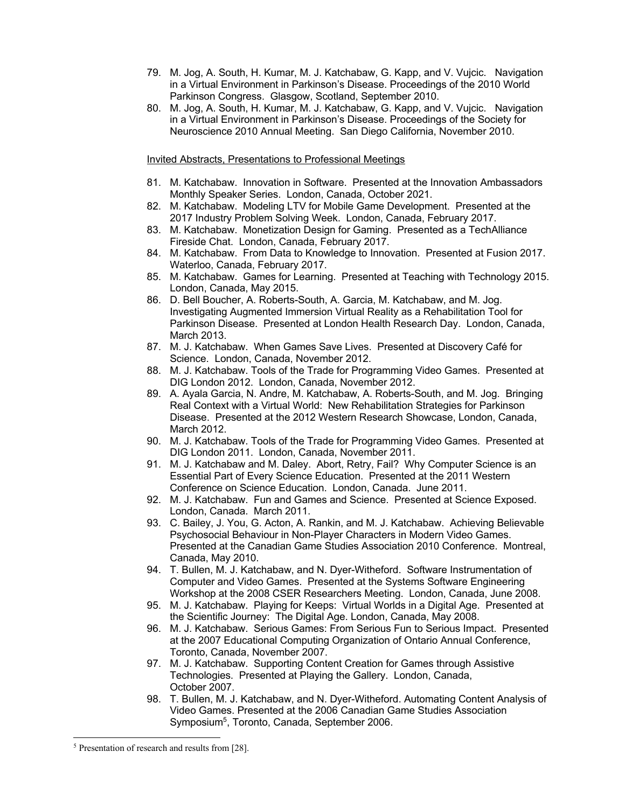- 79. M. Jog, A. South, H. Kumar, M. J. Katchabaw, G. Kapp, and V. Vujcic. Navigation in a Virtual Environment in Parkinson's Disease. Proceedings of the 2010 World Parkinson Congress. Glasgow, Scotland, September 2010.
- 80. M. Jog, A. South, H. Kumar, M. J. Katchabaw, G. Kapp, and V. Vujcic. Navigation in a Virtual Environment in Parkinson's Disease. Proceedings of the Society for Neuroscience 2010 Annual Meeting. San Diego California, November 2010.

Invited Abstracts, Presentations to Professional Meetings

- 81. M. Katchabaw. Innovation in Software. Presented at the Innovation Ambassadors Monthly Speaker Series. London, Canada, October 2021.
- 82. M. Katchabaw. Modeling LTV for Mobile Game Development. Presented at the 2017 Industry Problem Solving Week. London, Canada, February 2017.
- 83. M. Katchabaw. Monetization Design for Gaming. Presented as a TechAlliance Fireside Chat. London, Canada, February 2017.
- 84. M. Katchabaw. From Data to Knowledge to Innovation. Presented at Fusion 2017. Waterloo, Canada, February 2017.
- 85. M. Katchabaw. Games for Learning. Presented at Teaching with Technology 2015. London, Canada, May 2015.
- 86. D. Bell Boucher, A. Roberts-South, A. Garcia, M. Katchabaw, and M. Jog. Investigating Augmented Immersion Virtual Reality as a Rehabilitation Tool for Parkinson Disease. Presented at London Health Research Day. London, Canada, March 2013.
- 87. M. J. Katchabaw. When Games Save Lives. Presented at Discovery Café for Science. London, Canada, November 2012.
- 88. M. J. Katchabaw. Tools of the Trade for Programming Video Games. Presented at DIG London 2012. London, Canada, November 2012.
- 89. A. Ayala Garcia, N. Andre, M. Katchabaw, A. Roberts-South, and M. Jog. Bringing Real Context with a Virtual World: New Rehabilitation Strategies for Parkinson Disease. Presented at the 2012 Western Research Showcase, London, Canada, March 2012.
- 90. M. J. Katchabaw. Tools of the Trade for Programming Video Games. Presented at DIG London 2011. London, Canada, November 2011.
- 91. M. J. Katchabaw and M. Daley. Abort, Retry, Fail? Why Computer Science is an Essential Part of Every Science Education. Presented at the 2011 Western Conference on Science Education. London, Canada. June 2011.
- 92. M. J. Katchabaw. Fun and Games and Science. Presented at Science Exposed. London, Canada. March 2011.
- 93. C. Bailey, J. You, G. Acton, A. Rankin, and M. J. Katchabaw. Achieving Believable Psychosocial Behaviour in Non-Player Characters in Modern Video Games. Presented at the Canadian Game Studies Association 2010 Conference. Montreal, Canada, May 2010.
- 94. T. Bullen, M. J. Katchabaw, and N. Dyer-Witheford. Software Instrumentation of Computer and Video Games. Presented at the Systems Software Engineering Workshop at the 2008 CSER Researchers Meeting. London, Canada, June 2008.
- 95. M. J. Katchabaw. Playing for Keeps: Virtual Worlds in a Digital Age. Presented at the Scientific Journey: The Digital Age. London, Canada, May 2008.
- 96. M. J. Katchabaw. Serious Games: From Serious Fun to Serious Impact. Presented at the 2007 Educational Computing Organization of Ontario Annual Conference, Toronto, Canada, November 2007.
- 97. M. J. Katchabaw. Supporting Content Creation for Games through Assistive Technologies. Presented at Playing the Gallery. London, Canada, October 2007.
- 98. T. Bullen, M. J. Katchabaw, and N. Dyer-Witheford. Automating Content Analysis of Video Games. Presented at the 2006 Canadian Game Studies Association Symposium5, Toronto, Canada, September 2006.

<sup>5</sup> Presentation of research and results from [28].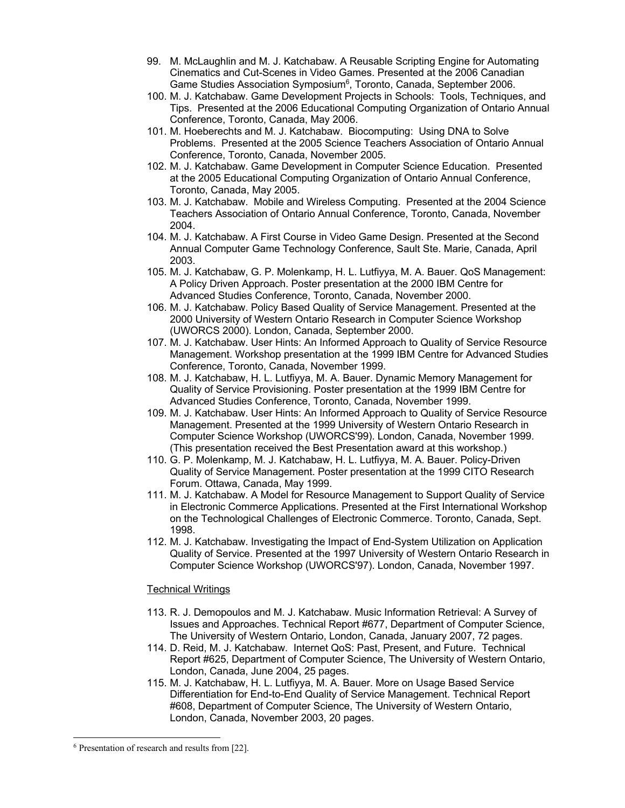- 99. M. McLaughlin and M. J. Katchabaw. A Reusable Scripting Engine for Automating Cinematics and Cut-Scenes in Video Games. Presented at the 2006 Canadian Game Studies Association Symposium<sup>6</sup>, Toronto, Canada, September 2006.
- 100. M. J. Katchabaw. Game Development Projects in Schools: Tools, Techniques, and Tips. Presented at the 2006 Educational Computing Organization of Ontario Annual Conference, Toronto, Canada, May 2006.
- 101. M. Hoeberechts and M. J. Katchabaw. Biocomputing: Using DNA to Solve Problems. Presented at the 2005 Science Teachers Association of Ontario Annual Conference, Toronto, Canada, November 2005.
- 102. M. J. Katchabaw. Game Development in Computer Science Education. Presented at the 2005 Educational Computing Organization of Ontario Annual Conference, Toronto, Canada, May 2005.
- 103. M. J. Katchabaw. Mobile and Wireless Computing. Presented at the 2004 Science Teachers Association of Ontario Annual Conference, Toronto, Canada, November 2004.
- 104. M. J. Katchabaw. A First Course in Video Game Design. Presented at the Second Annual Computer Game Technology Conference, Sault Ste. Marie, Canada, April 2003.
- 105. M. J. Katchabaw, G. P. Molenkamp, H. L. Lutfiyya, M. A. Bauer. QoS Management: A Policy Driven Approach. Poster presentation at the 2000 IBM Centre for Advanced Studies Conference, Toronto, Canada, November 2000.
- 106. M. J. Katchabaw. Policy Based Quality of Service Management. Presented at the 2000 University of Western Ontario Research in Computer Science Workshop (UWORCS 2000). London, Canada, September 2000.
- 107. M. J. Katchabaw. User Hints: An Informed Approach to Quality of Service Resource Management. Workshop presentation at the 1999 IBM Centre for Advanced Studies Conference, Toronto, Canada, November 1999.
- 108. M. J. Katchabaw, H. L. Lutfiyya, M. A. Bauer. Dynamic Memory Management for Quality of Service Provisioning. Poster presentation at the 1999 IBM Centre for Advanced Studies Conference, Toronto, Canada, November 1999.
- 109. M. J. Katchabaw. User Hints: An Informed Approach to Quality of Service Resource Management. Presented at the 1999 University of Western Ontario Research in Computer Science Workshop (UWORCS'99). London, Canada, November 1999. (This presentation received the Best Presentation award at this workshop.)
- 110. G. P. Molenkamp, M. J. Katchabaw, H. L. Lutfiyya, M. A. Bauer. Policy-Driven Quality of Service Management. Poster presentation at the 1999 CITO Research Forum. Ottawa, Canada, May 1999.
- 111. M. J. Katchabaw. A Model for Resource Management to Support Quality of Service in Electronic Commerce Applications. Presented at the First International Workshop on the Technological Challenges of Electronic Commerce. Toronto, Canada, Sept. 1998.
- 112. M. J. Katchabaw. Investigating the Impact of End-System Utilization on Application Quality of Service. Presented at the 1997 University of Western Ontario Research in Computer Science Workshop (UWORCS'97). London, Canada, November 1997.

# Technical Writings

- 113. R. J. Demopoulos and M. J. Katchabaw. Music Information Retrieval: A Survey of Issues and Approaches. Technical Report #677, Department of Computer Science, The University of Western Ontario, London, Canada, January 2007, 72 pages.
- 114. D. Reid, M. J. Katchabaw. Internet QoS: Past, Present, and Future. Technical Report #625, Department of Computer Science, The University of Western Ontario, London, Canada, June 2004, 25 pages.
- 115. M. J. Katchabaw, H. L. Lutfiyya, M. A. Bauer. More on Usage Based Service Differentiation for End-to-End Quality of Service Management. Technical Report #608, Department of Computer Science, The University of Western Ontario, London, Canada, November 2003, 20 pages.

<sup>6</sup> Presentation of research and results from [22].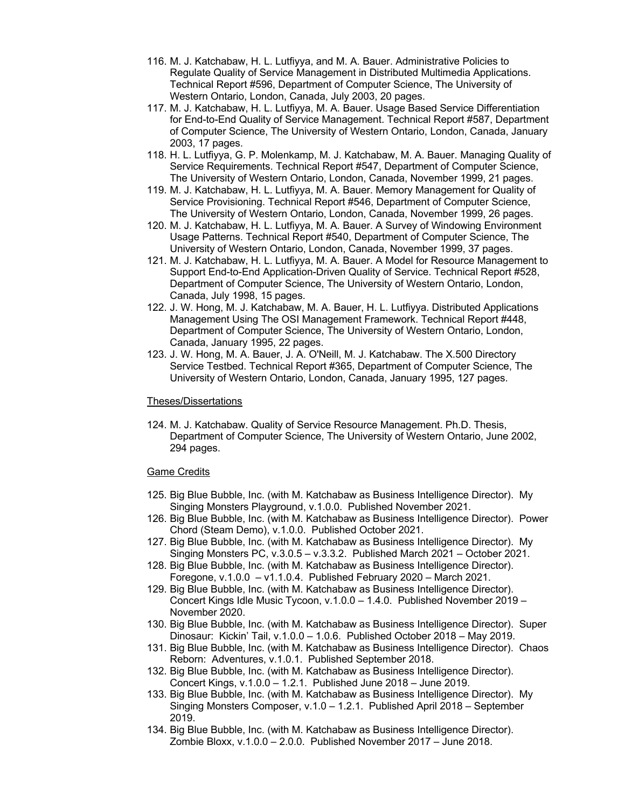- 116. M. J. Katchabaw, H. L. Lutfiyya, and M. A. Bauer. Administrative Policies to Regulate Quality of Service Management in Distributed Multimedia Applications. Technical Report #596, Department of Computer Science, The University of Western Ontario, London, Canada, July 2003, 20 pages.
- 117. M. J. Katchabaw, H. L. Lutfiyya, M. A. Bauer. Usage Based Service Differentiation for End-to-End Quality of Service Management. Technical Report #587, Department of Computer Science, The University of Western Ontario, London, Canada, January 2003, 17 pages.
- 118. H. L. Lutfiyya, G. P. Molenkamp, M. J. Katchabaw, M. A. Bauer. Managing Quality of Service Requirements. Technical Report #547, Department of Computer Science, The University of Western Ontario, London, Canada, November 1999, 21 pages.
- 119. M. J. Katchabaw, H. L. Lutfiyya, M. A. Bauer. Memory Management for Quality of Service Provisioning. Technical Report #546, Department of Computer Science, The University of Western Ontario, London, Canada, November 1999, 26 pages.
- 120. M. J. Katchabaw, H. L. Lutfiyya, M. A. Bauer. A Survey of Windowing Environment Usage Patterns. Technical Report #540, Department of Computer Science, The University of Western Ontario, London, Canada, November 1999, 37 pages.
- 121. M. J. Katchabaw, H. L. Lutfiyya, M. A. Bauer. A Model for Resource Management to Support End-to-End Application-Driven Quality of Service. Technical Report #528, Department of Computer Science, The University of Western Ontario, London, Canada, July 1998, 15 pages.
- 122. J. W. Hong, M. J. Katchabaw, M. A. Bauer, H. L. Lutfiyya. Distributed Applications Management Using The OSI Management Framework. Technical Report #448, Department of Computer Science, The University of Western Ontario, London, Canada, January 1995, 22 pages.
- 123. J. W. Hong, M. A. Bauer, J. A. O'Neill, M. J. Katchabaw. The X.500 Directory Service Testbed. Technical Report #365, Department of Computer Science, The University of Western Ontario, London, Canada, January 1995, 127 pages.

### Theses/Dissertations

124. M. J. Katchabaw. Quality of Service Resource Management. Ph.D. Thesis, Department of Computer Science, The University of Western Ontario, June 2002, 294 pages.

### Game Credits

- 125. Big Blue Bubble, Inc. (with M. Katchabaw as Business Intelligence Director). My Singing Monsters Playground, v.1.0.0. Published November 2021.
- 126. Big Blue Bubble, Inc. (with M. Katchabaw as Business Intelligence Director). Power Chord (Steam Demo), v.1.0.0. Published October 2021.
- 127. Big Blue Bubble, Inc. (with M. Katchabaw as Business Intelligence Director). My Singing Monsters PC, v.3.0.5 – v.3.3.2. Published March 2021 – October 2021.
- 128. Big Blue Bubble, Inc. (with M. Katchabaw as Business Intelligence Director). Foregone, v.1.0.0 – v1.1.0.4. Published February 2020 – March 2021.
- 129. Big Blue Bubble, Inc. (with M. Katchabaw as Business Intelligence Director). Concert Kings Idle Music Tycoon, v.1.0.0 – 1.4.0. Published November 2019 – November 2020.
- 130. Big Blue Bubble, Inc. (with M. Katchabaw as Business Intelligence Director). Super Dinosaur: Kickin' Tail, v.1.0.0 – 1.0.6. Published October 2018 – May 2019.
- 131. Big Blue Bubble, Inc. (with M. Katchabaw as Business Intelligence Director). Chaos Reborn: Adventures, v.1.0.1. Published September 2018.
- 132. Big Blue Bubble, Inc. (with M. Katchabaw as Business Intelligence Director). Concert Kings, v.1.0.0 – 1.2.1. Published June 2018 – June 2019.
- 133. Big Blue Bubble, Inc. (with M. Katchabaw as Business Intelligence Director). My Singing Monsters Composer, v.1.0 – 1.2.1. Published April 2018 – September 2019.
- 134. Big Blue Bubble, Inc. (with M. Katchabaw as Business Intelligence Director). Zombie Bloxx, v.1.0.0 – 2.0.0. Published November 2017 – June 2018.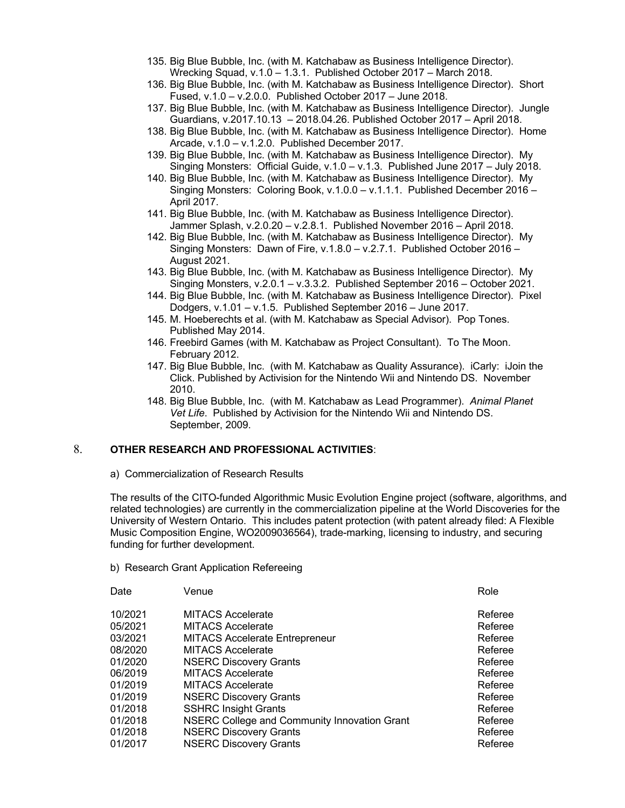- 135. Big Blue Bubble, Inc. (with M. Katchabaw as Business Intelligence Director). Wrecking Squad, v.1.0 – 1.3.1. Published October 2017 – March 2018.
- 136. Big Blue Bubble, Inc. (with M. Katchabaw as Business Intelligence Director). Short Fused, v.1.0 – v.2.0.0. Published October 2017 – June 2018.
- 137. Big Blue Bubble, Inc. (with M. Katchabaw as Business Intelligence Director). Jungle Guardians, v.2017.10.13 – 2018.04.26. Published October 2017 – April 2018.
- 138. Big Blue Bubble, Inc. (with M. Katchabaw as Business Intelligence Director). Home Arcade, v.1.0 – v.1.2.0. Published December 2017.
- 139. Big Blue Bubble, Inc. (with M. Katchabaw as Business Intelligence Director). My Singing Monsters: Official Guide, v.1.0 – v.1.3. Published June 2017 – July 2018.
- 140. Big Blue Bubble, Inc. (with M. Katchabaw as Business Intelligence Director). My Singing Monsters: Coloring Book, v.1.0.0 – v.1.1.1. Published December 2016 – April 2017.
- 141. Big Blue Bubble, Inc. (with M. Katchabaw as Business Intelligence Director). Jammer Splash, v.2.0.20 – v.2.8.1. Published November 2016 – April 2018.
- 142. Big Blue Bubble, Inc. (with M. Katchabaw as Business Intelligence Director). My Singing Monsters: Dawn of Fire, v.1.8.0 – v.2.7.1. Published October 2016 – August 2021.
- 143. Big Blue Bubble, Inc. (with M. Katchabaw as Business Intelligence Director). My Singing Monsters, v.2.0.1 – v.3.3.2. Published September 2016 – October 2021.
- 144. Big Blue Bubble, Inc. (with M. Katchabaw as Business Intelligence Director). Pixel Dodgers, v.1.01 – v.1.5. Published September 2016 – June 2017.
- 145. M. Hoeberechts et al. (with M. Katchabaw as Special Advisor). Pop Tones. Published May 2014.
- 146. Freebird Games (with M. Katchabaw as Project Consultant). To The Moon. February 2012.
- 147. Big Blue Bubble, Inc. (with M. Katchabaw as Quality Assurance). iCarly: iJoin the Click. Published by Activision for the Nintendo Wii and Nintendo DS. November 2010.
- 148. Big Blue Bubble, Inc. (with M. Katchabaw as Lead Programmer). *Animal Planet Vet Life*. Published by Activision for the Nintendo Wii and Nintendo DS. September, 2009.

## 8. **OTHER RESEARCH AND PROFESSIONAL ACTIVITIES**:

### a) Commercialization of Research Results

The results of the CITO-funded Algorithmic Music Evolution Engine project (software, algorithms, and related technologies) are currently in the commercialization pipeline at the World Discoveries for the University of Western Ontario. This includes patent protection (with patent already filed: A Flexible Music Composition Engine, WO2009036564), trade-marking, licensing to industry, and securing funding for further development.

### b) Research Grant Application Refereeing

| Date    | Venue                                        | Role    |
|---------|----------------------------------------------|---------|
| 10/2021 | <b>MITACS Accelerate</b>                     | Referee |
| 05/2021 | <b>MITACS Accelerate</b>                     | Referee |
| 03/2021 | <b>MITACS Accelerate Entrepreneur</b>        | Referee |
| 08/2020 | <b>MITACS Accelerate</b>                     | Referee |
| 01/2020 | <b>NSERC Discovery Grants</b>                | Referee |
| 06/2019 | <b>MITACS Accelerate</b>                     | Referee |
| 01/2019 | <b>MITACS Accelerate</b>                     | Referee |
| 01/2019 | <b>NSERC Discovery Grants</b>                | Referee |
| 01/2018 | <b>SSHRC Insight Grants</b>                  | Referee |
| 01/2018 | NSERC College and Community Innovation Grant | Referee |
| 01/2018 | <b>NSERC Discovery Grants</b>                | Referee |
| 01/2017 | <b>NSERC Discovery Grants</b>                | Referee |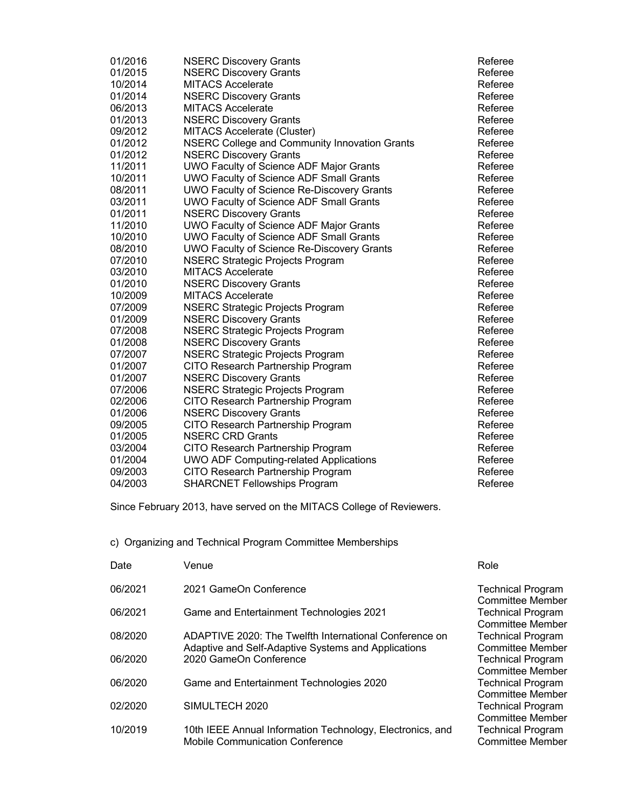| 01/2016 | <b>NSERC Discovery Grants</b>                        | Referee |
|---------|------------------------------------------------------|---------|
| 01/2015 | <b>NSERC Discovery Grants</b>                        | Referee |
| 10/2014 | <b>MITACS Accelerate</b>                             | Referee |
| 01/2014 | <b>NSERC Discovery Grants</b>                        | Referee |
| 06/2013 | <b>MITACS Accelerate</b>                             | Referee |
| 01/2013 | <b>NSERC Discovery Grants</b>                        | Referee |
| 09/2012 | MITACS Accelerate (Cluster)                          | Referee |
| 01/2012 | <b>NSERC College and Community Innovation Grants</b> | Referee |
| 01/2012 | <b>NSERC Discovery Grants</b>                        | Referee |
| 11/2011 | UWO Faculty of Science ADF Major Grants              | Referee |
| 10/2011 | <b>UWO Faculty of Science ADF Small Grants</b>       | Referee |
| 08/2011 | <b>UWO Faculty of Science Re-Discovery Grants</b>    | Referee |
| 03/2011 | <b>UWO Faculty of Science ADF Small Grants</b>       | Referee |
| 01/2011 | <b>NSERC Discovery Grants</b>                        | Referee |
| 11/2010 | UWO Faculty of Science ADF Major Grants              | Referee |
| 10/2010 | <b>UWO Faculty of Science ADF Small Grants</b>       | Referee |
| 08/2010 | <b>UWO Faculty of Science Re-Discovery Grants</b>    | Referee |
| 07/2010 | <b>NSERC Strategic Projects Program</b>              | Referee |
| 03/2010 | <b>MITACS Accelerate</b>                             | Referee |
| 01/2010 | <b>NSERC Discovery Grants</b>                        | Referee |
| 10/2009 | <b>MITACS Accelerate</b>                             | Referee |
| 07/2009 | <b>NSERC Strategic Projects Program</b>              | Referee |
| 01/2009 | <b>NSERC Discovery Grants</b>                        | Referee |
| 07/2008 | <b>NSERC Strategic Projects Program</b>              | Referee |
| 01/2008 | <b>NSERC Discovery Grants</b>                        | Referee |
| 07/2007 | <b>NSERC Strategic Projects Program</b>              | Referee |
| 01/2007 | CITO Research Partnership Program                    | Referee |
| 01/2007 | <b>NSERC Discovery Grants</b>                        | Referee |
| 07/2006 | <b>NSERC Strategic Projects Program</b>              | Referee |
| 02/2006 | CITO Research Partnership Program                    | Referee |
| 01/2006 | <b>NSERC Discovery Grants</b>                        | Referee |
| 09/2005 | CITO Research Partnership Program                    | Referee |
| 01/2005 | <b>NSERC CRD Grants</b>                              | Referee |
| 03/2004 | CITO Research Partnership Program                    | Referee |
| 01/2004 | <b>UWO ADF Computing-related Applications</b>        | Referee |
| 09/2003 | CITO Research Partnership Program                    | Referee |
| 04/2003 | <b>SHARCNET Fellowships Program</b>                  | Referee |

Since February 2013, have served on the MITACS College of Reviewers.

c) Organizing and Technical Program Committee Memberships

| Date    | Venue                                                                                               | Role                                                                           |
|---------|-----------------------------------------------------------------------------------------------------|--------------------------------------------------------------------------------|
| 06/2021 | 2021 GameOn Conference                                                                              | <b>Technical Program</b>                                                       |
| 06/2021 | Game and Entertainment Technologies 2021                                                            | <b>Committee Member</b><br><b>Technical Program</b><br><b>Committee Member</b> |
| 08/2020 | ADAPTIVE 2020: The Twelfth International Conference on                                              | <b>Technical Program</b>                                                       |
| 06/2020 | Adaptive and Self-Adaptive Systems and Applications<br>2020 GameOn Conference                       | <b>Committee Member</b><br><b>Technical Program</b>                            |
| 06/2020 | Game and Entertainment Technologies 2020                                                            | <b>Committee Member</b><br><b>Technical Program</b><br><b>Committee Member</b> |
| 02/2020 | SIMULTECH 2020                                                                                      | <b>Technical Program</b><br><b>Committee Member</b>                            |
| 10/2019 | 10th IEEE Annual Information Technology, Electronics, and<br><b>Mobile Communication Conference</b> | <b>Technical Program</b><br><b>Committee Member</b>                            |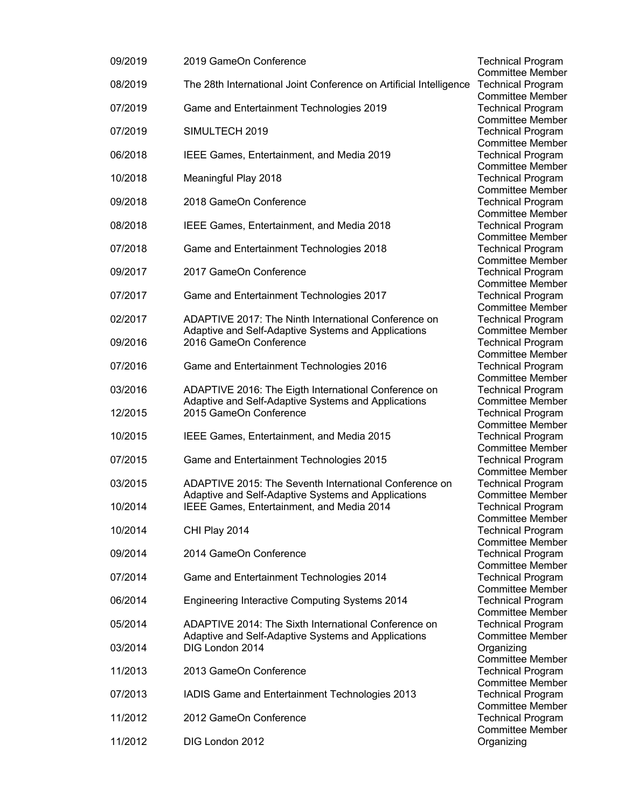| 09/2019 | 2019 GameOn Conference                                                                           |
|---------|--------------------------------------------------------------------------------------------------|
| 08/2019 | The 28th International Joint Conference on Artificial Intelligence                               |
| 07/2019 | Game and Entertainment Technologies 2019                                                         |
| 07/2019 | SIMULTECH 2019                                                                                   |
| 06/2018 | IEEE Games, Entertainment, and Media 2019                                                        |
| 10/2018 | Meaningful Play 2018                                                                             |
| 09/2018 | 2018 GameOn Conference                                                                           |
| 08/2018 | IEEE Games, Entertainment, and Media 2018                                                        |
| 07/2018 | Game and Entertainment Technologies 2018                                                         |
| 09/2017 | 2017 GameOn Conference                                                                           |
| 07/2017 | Game and Entertainment Technologies 2017                                                         |
| 02/2017 | ADAPTIVE 2017: The Ninth International Conference on                                             |
| 09/2016 | Adaptive and Self-Adaptive Systems and Applications<br>2016 GameOn Conference                    |
| 07/2016 | Game and Entertainment Technologies 2016                                                         |
| 03/2016 | ADAPTIVE 2016: The Eigth International Conference on                                             |
| 12/2015 | Adaptive and Self-Adaptive Systems and Applications<br>2015 GameOn Conference                    |
| 10/2015 | IEEE Games, Entertainment, and Media 2015                                                        |
| 07/2015 | Game and Entertainment Technologies 2015                                                         |
| 03/2015 | <b>ADAPTIVE 2015: The Seventh International Conference on</b>                                    |
| 10/2014 | Adaptive and Self-Adaptive Systems and Applications<br>IEEE Games, Entertainment, and Media 2014 |
| 10/2014 | CHI Play 2014                                                                                    |
| 09/2014 | 2014 GameOn Conference                                                                           |
| 07/2014 | Game and Entertainment Technologies 2014                                                         |
| 06/2014 | <b>Engineering Interactive Computing Systems 2014</b>                                            |
| 05/2014 | ADAPTIVE 2014: The Sixth International Conference on                                             |
| 03/2014 | Adaptive and Self-Adaptive Systems and Applications<br>DIG London 2014                           |
| 11/2013 | 2013 GameOn Conference                                                                           |
| 07/2013 | IADIS Game and Entertainment Technologies 2013                                                   |
| 11/2012 | 2012 GameOn Conference                                                                           |
| 11/2012 | DIG London 2012                                                                                  |

Technical Program Committee Member Technical Program Committee Member Technical Program Committee Member **Technical Program** Committee Member Technical Program Committee Member **Technical Program** Committee Member **Technical Program** Committee Member **Technical Program** Committee Member **Technical Program** Committee Member Technical Program Committee Member Technical Program Committee Member **Technical Program** Committee Member **Technical Program** Committee Member Technical Program Committee Member **Technical Program** Committee Member Technical Program Committee Member Technical Program Committee Member **Technical Program** Committee Member **Technical Program** Committee Member Technical Program Committee Member **Technical Program** Committee Member **Technical Program** Committee Member Technical Program Committee Member Technical Program Committee Member **Technical Program** Committee Member Organizing Committee Member Technical Program Committee Member **Technical Program** Committee Member Technical Program Committee Member Organizing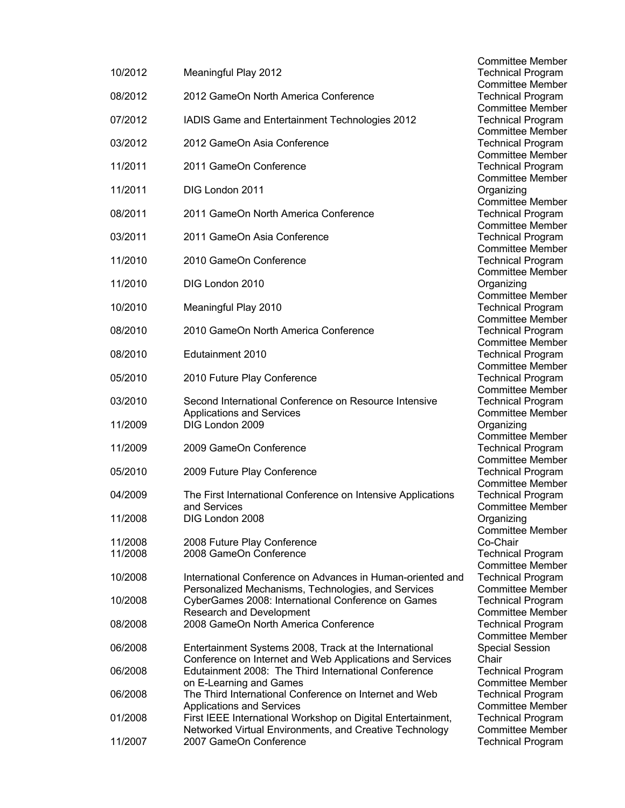|                    |                                                                                   | Committee Membei                                    |
|--------------------|-----------------------------------------------------------------------------------|-----------------------------------------------------|
| 10/2012            | Meaningful Play 2012                                                              | <b>Technical Program</b>                            |
| 08/2012            | 2012 GameOn North America Conference                                              | <b>Committee Member</b><br><b>Technical Program</b> |
|                    |                                                                                   | <b>Committee Member</b>                             |
| 07/2012            | IADIS Game and Entertainment Technologies 2012                                    | <b>Technical Program</b>                            |
|                    |                                                                                   | <b>Committee Member</b>                             |
| 03/2012            | 2012 GameOn Asia Conference                                                       | <b>Technical Program</b>                            |
| 11/2011            | 2011 GameOn Conference                                                            | <b>Committee Member</b><br><b>Technical Program</b> |
|                    |                                                                                   | <b>Committee Member</b>                             |
| 11/2011            | DIG London 2011                                                                   | Organizing                                          |
|                    |                                                                                   | <b>Committee Member</b>                             |
| 08/2011            | 2011 GameOn North America Conference                                              | <b>Technical Program</b><br><b>Committee Member</b> |
| 03/2011            | 2011 GameOn Asia Conference                                                       | <b>Technical Program</b>                            |
|                    |                                                                                   | <b>Committee Member</b>                             |
| 11/2010            | 2010 GameOn Conference                                                            | <b>Technical Program</b>                            |
|                    |                                                                                   | <b>Committee Member</b>                             |
| 11/2010            | DIG London 2010                                                                   | Organizing<br>Committee Member                      |
| 10/2010            | Meaningful Play 2010                                                              | <b>Technical Program</b>                            |
|                    |                                                                                   | <b>Committee Member</b>                             |
| 08/2010            | 2010 GameOn North America Conference                                              | <b>Technical Program</b>                            |
|                    |                                                                                   | <b>Committee Member</b>                             |
| 08/2010            | Edutainment 2010                                                                  | <b>Technical Program</b><br><b>Committee Member</b> |
| 05/2010            | 2010 Future Play Conference                                                       | <b>Technical Program</b>                            |
|                    |                                                                                   | <b>Committee Member</b>                             |
| 03/2010            | Second International Conference on Resource Intensive                             | <b>Technical Program</b>                            |
| 11/2009            | <b>Applications and Services</b><br>DIG London 2009                               | <b>Committee Member</b>                             |
|                    |                                                                                   | Organizing<br><b>Committee Member</b>               |
| 11/2009            | 2009 GameOn Conference                                                            | <b>Technical Program</b>                            |
|                    |                                                                                   | <b>Committee Member</b>                             |
| 05/2010            | 2009 Future Play Conference                                                       | <b>Technical Program</b>                            |
| 04/2009            | The First International Conference on Intensive Applications                      | <b>Committee Member</b><br><b>Technical Program</b> |
|                    | and Services                                                                      | <b>Committee Member</b>                             |
| 11/2008            | DIG London 2008                                                                   | Organizing                                          |
|                    |                                                                                   | <b>Committee Member</b>                             |
| 11/2008<br>11/2008 | 2008 Future Play Conference<br>2008 GameOn Conference                             | Co-Chair                                            |
|                    |                                                                                   | <b>Technical Program</b><br><b>Committee Member</b> |
| 10/2008            | International Conference on Advances in Human-oriented and                        | <b>Technical Program</b>                            |
|                    | Personalized Mechanisms, Technologies, and Services                               | <b>Committee Member</b>                             |
| 10/2008            | CyberGames 2008: International Conference on Games                                | <b>Technical Program</b>                            |
| 08/2008            | Research and Development<br>2008 GameOn North America Conference                  | Committee Member<br><b>Technical Program</b>        |
|                    |                                                                                   | <b>Committee Member</b>                             |
| 06/2008            | Entertainment Systems 2008, Track at the International                            | <b>Special Session</b>                              |
|                    | Conference on Internet and Web Applications and Services                          | Chair                                               |
| 06/2008            | Edutainment 2008: The Third International Conference                              | <b>Technical Program</b>                            |
| 06/2008            | on E-Learning and Games<br>The Third International Conference on Internet and Web | <b>Committee Member</b><br><b>Technical Program</b> |
|                    | <b>Applications and Services</b>                                                  | <b>Committee Member</b>                             |
| 01/2008            | First IEEE International Workshop on Digital Entertainment,                       | <b>Technical Program</b>                            |
|                    | Networked Virtual Environments, and Creative Technology                           | <b>Committee Member</b>                             |
| 11/2007            | 2007 GameOn Conference                                                            | <b>Technical Program</b>                            |

Committee Member **Technical Program** Committee Member Technical Program Committee Member Technical Program Committee Member Technical Program Committee Member Technical Program Committee Member **Organizing** Committee Member Technical Program Committee Member Technical Program Committee Member Technical Program Committee Member **Organizing** Committee Member Technical Program Committee Member Technical Program Committee Member Technical Program Committee Member Technical Program Committee Member Technical Program **Committee Member Organizing** Committee Member Technical Program Committee Member Technical Program Committee Member Technical Program Committee Member **Organizing** Committee Member Technical Program Committee Member d Technical Program Committee Member Technical Program Committee Member Technical Program Committee Member Special Session Technical Program Committee Member Technical Program Committee Member Technical Program Committee Member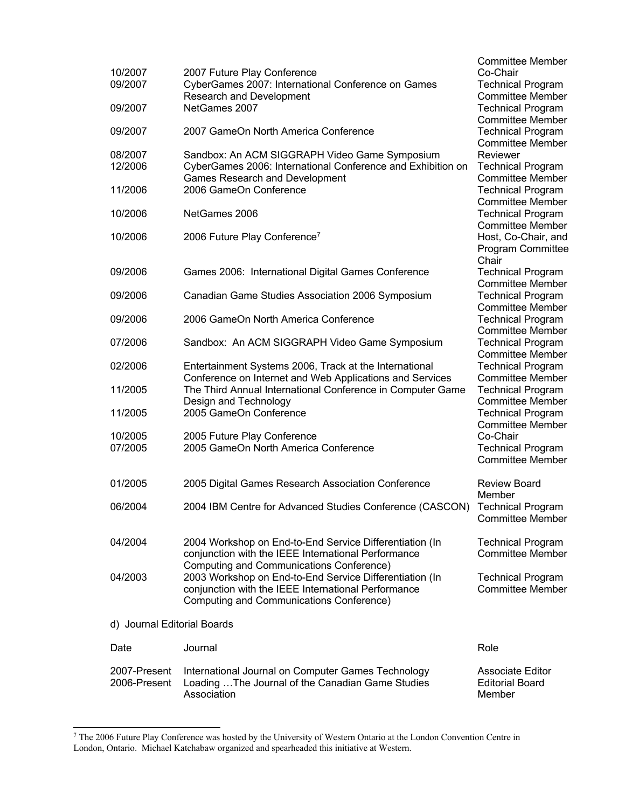|                             |                                                                                                                    | <b>Committee Member</b>                                         |
|-----------------------------|--------------------------------------------------------------------------------------------------------------------|-----------------------------------------------------------------|
| 10/2007<br>09/2007          | 2007 Future Play Conference<br>CyberGames 2007: International Conference on Games<br>Research and Development      | Co-Chair<br><b>Technical Program</b><br><b>Committee Member</b> |
| 09/2007                     | NetGames 2007                                                                                                      | <b>Technical Program</b><br><b>Committee Member</b>             |
| 09/2007                     | 2007 GameOn North America Conference                                                                               | <b>Technical Program</b><br><b>Committee Member</b>             |
| 08/2007                     | Sandbox: An ACM SIGGRAPH Video Game Symposium                                                                      | Reviewer                                                        |
| 12/2006                     | CyberGames 2006: International Conference and Exhibition on<br><b>Games Research and Development</b>               | <b>Technical Program</b><br><b>Committee Member</b>             |
| 11/2006                     | 2006 GameOn Conference                                                                                             | <b>Technical Program</b><br><b>Committee Member</b>             |
| 10/2006                     | NetGames 2006                                                                                                      | <b>Technical Program</b><br><b>Committee Member</b>             |
| 10/2006                     | 2006 Future Play Conference <sup>7</sup>                                                                           | Host, Co-Chair, and                                             |
|                             |                                                                                                                    | Program Committee<br>Chair                                      |
| 09/2006                     | Games 2006: International Digital Games Conference                                                                 | <b>Technical Program</b><br><b>Committee Member</b>             |
| 09/2006                     | Canadian Game Studies Association 2006 Symposium                                                                   | <b>Technical Program</b>                                        |
| 09/2006                     | 2006 GameOn North America Conference                                                                               | <b>Committee Member</b><br><b>Technical Program</b>             |
| 07/2006                     | Sandbox: An ACM SIGGRAPH Video Game Symposium                                                                      | <b>Committee Member</b><br><b>Technical Program</b>             |
| 02/2006                     |                                                                                                                    | <b>Committee Member</b>                                         |
|                             | Entertainment Systems 2006, Track at the International<br>Conference on Internet and Web Applications and Services | <b>Technical Program</b><br><b>Committee Member</b>             |
| 11/2005                     | The Third Annual International Conference in Computer Game<br>Design and Technology                                | <b>Technical Program</b><br><b>Committee Member</b>             |
| 11/2005                     | 2005 GameOn Conference                                                                                             | <b>Technical Program</b>                                        |
| 10/2005                     | 2005 Future Play Conference                                                                                        | <b>Committee Member</b><br>Co-Chair                             |
| 07/2005                     | 2005 GameOn North America Conference                                                                               | <b>Technical Program</b><br><b>Committee Member</b>             |
|                             |                                                                                                                    |                                                                 |
| 01/2005                     | 2005 Digital Games Research Association Conference                                                                 | <b>Review Board</b><br>Member                                   |
| 06/2004                     | 2004 IBM Centre for Advanced Studies Conference (CASCON) Technical Program                                         | <b>Committee Member</b>                                         |
| 04/2004                     | 2004 Workshop on End-to-End Service Differentiation (In                                                            | <b>Technical Program</b>                                        |
|                             | conjunction with the IEEE International Performance<br>Computing and Communications Conference)                    | <b>Committee Member</b>                                         |
| 04/2003                     | 2003 Workshop on End-to-End Service Differentiation (In                                                            | <b>Technical Program</b><br><b>Committee Member</b>             |
|                             | conjunction with the IEEE International Performance<br>Computing and Communications Conference)                    |                                                                 |
| d) Journal Editorial Boards |                                                                                                                    |                                                                 |
| Date                        | Journal                                                                                                            | Role                                                            |
| 2007-Present                | International Journal on Computer Games Technology                                                                 | <b>Associate Editor</b>                                         |
| 2006-Present                | Loading  The Journal of the Canadian Game Studies<br>Association                                                   | <b>Editorial Board</b><br>Member                                |
|                             |                                                                                                                    |                                                                 |

<sup>7</sup> The 2006 Future Play Conference was hosted by the University of Western Ontario at the London Convention Centre in London, Ontario. Michael Katchabaw organized and spearheaded this initiative at Western.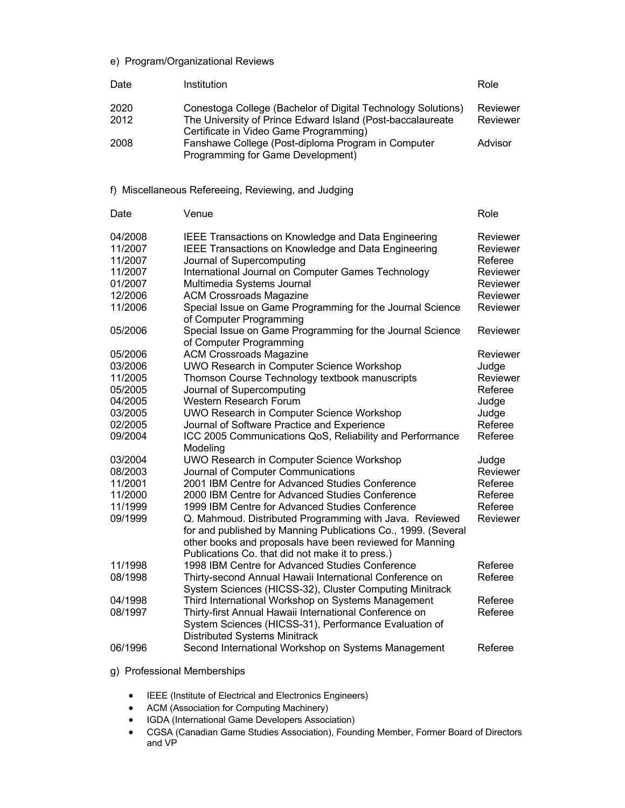## e) Program/Organizational Reviews

| Date         | Institution                                                                                                                                                          | Role                 |
|--------------|----------------------------------------------------------------------------------------------------------------------------------------------------------------------|----------------------|
| 2020<br>2012 | Conestoga College (Bachelor of Digital Technology Solutions)<br>The University of Prince Edward Island (Post-baccalaureate<br>Certificate in Video Game Programming) | Reviewer<br>Reviewer |
| 2008         | Fanshawe College (Post-diploma Program in Computer<br>Programming for Game Development)                                                                              | Advisor              |
|              | f) Miscellaneous Refereeing, Reviewing, and Judging                                                                                                                  |                      |
| Date         | Venue                                                                                                                                                                | Role                 |
| 04/2008      | IEEE Transactions on Knowledge and Data Engineering                                                                                                                  | Reviewer             |
| 11/2007      | IEEE Transactions on Knowledge and Data Engineering                                                                                                                  | Reviewer             |
| 11/2007      | Journal of Supercomputing                                                                                                                                            | Referee              |
| 11/2007      | International Journal on Computer Games Technology                                                                                                                   | Reviewer             |
| 01/2007      | Multimedia Systems Journal                                                                                                                                           | Reviewer             |
| 12/2006      | <b>ACM Crossroads Magazine</b>                                                                                                                                       | Reviewer             |
| 11/2006      | Special Issue on Game Programming for the Journal Science                                                                                                            | Reviewer             |
|              | of Computer Programming                                                                                                                                              |                      |
| 05/2006      | Special Issue on Game Programming for the Journal Science                                                                                                            | Reviewer             |
|              | of Computer Programming                                                                                                                                              |                      |
| 05/2006      | <b>ACM Crossroads Magazine</b>                                                                                                                                       | Reviewer             |
| 03/2006      | UWO Research in Computer Science Workshop                                                                                                                            | Judge                |
| 11/2005      | Thomson Course Technology textbook manuscripts                                                                                                                       | Reviewer             |
| 05/2005      | Journal of Supercomputing                                                                                                                                            | Referee              |
| 04/2005      | Western Research Forum                                                                                                                                               | Judge                |
| 03/2005      | UWO Research in Computer Science Workshop                                                                                                                            | Judge                |
| 02/2005      | Journal of Software Practice and Experience                                                                                                                          | Referee              |
| 09/2004      | ICC 2005 Communications QoS, Reliability and Performance                                                                                                             | Referee              |
|              | Modeling                                                                                                                                                             |                      |
|              |                                                                                                                                                                      |                      |
| 03/2004      | UWO Research in Computer Science Workshop                                                                                                                            | Judge                |
| 08/2003      | Journal of Computer Communications                                                                                                                                   | Reviewer             |
| 11/2001      | 2001 IBM Centre for Advanced Studies Conference                                                                                                                      | Referee              |
| 11/2000      | 2000 IBM Centre for Advanced Studies Conference                                                                                                                      | Referee              |
| 11/1999      | 1999 IBM Centre for Advanced Studies Conference                                                                                                                      | Referee              |
| 09/1999      | Q. Mahmoud. Distributed Programming with Java. Reviewed                                                                                                              | Reviewer             |
|              | for and published by Manning Publications Co., 1999. (Several                                                                                                        |                      |
|              | other books and proposals have been reviewed for Manning                                                                                                             |                      |
|              | Publications Co. that did not make it to press.)                                                                                                                     |                      |
| 11/1998      | 1998 IBM Centre for Advanced Studies Conference                                                                                                                      | Referee              |
| 08/1998      | Thirty-second Annual Hawaii International Conference on                                                                                                              | Referee              |
|              | System Sciences (HICSS-32), Cluster Computing Minitrack                                                                                                              |                      |
| 04/1998      | Third International Workshop on Systems Management                                                                                                                   | Referee              |
| 08/1997      | Thirty-first Annual Hawaii International Conference on                                                                                                               | Referee              |
|              | System Sciences (HICSS-31), Performance Evaluation of                                                                                                                |                      |
|              | <b>Distributed Systems Minitrack</b>                                                                                                                                 |                      |
| 06/1996      | Second International Workshop on Systems Management                                                                                                                  | Referee              |
|              |                                                                                                                                                                      |                      |

- g) Professional Memberships
	- IEEE (Institute of Electrical and Electronics Engineers)
	- ACM (Association for Computing Machinery)
	- IGDA (International Game Developers Association)
	- CGSA (Canadian Game Studies Association), Founding Member, Former Board of Directors and VP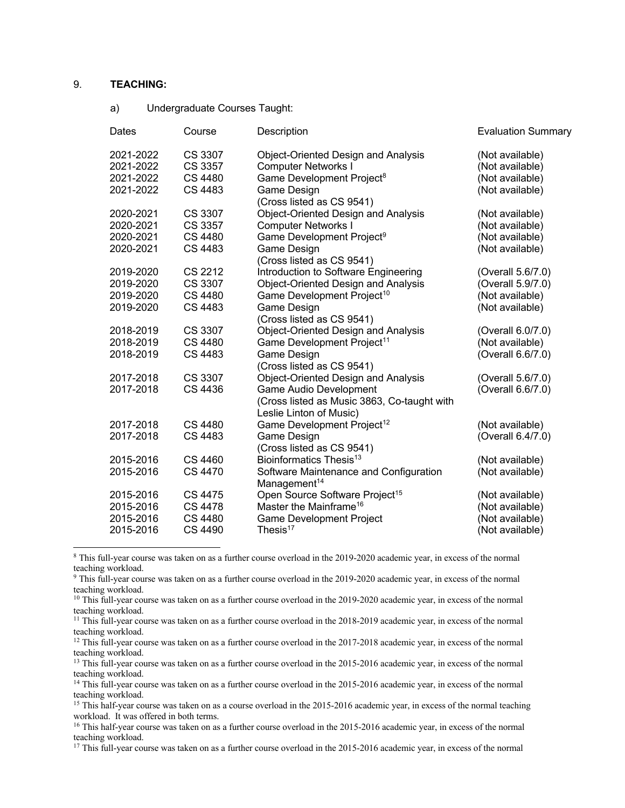## 9. **TEACHING:**

a) Undergraduate Courses Taught:

| Dates     | Course         | Description                                 | <b>Evaluation Summary</b> |
|-----------|----------------|---------------------------------------------|---------------------------|
| 2021-2022 | CS 3307        | <b>Object-Oriented Design and Analysis</b>  | (Not available)           |
| 2021-2022 | CS 3357        | <b>Computer Networks I</b>                  | (Not available)           |
| 2021-2022 | CS 4480        | Game Development Project <sup>8</sup>       | (Not available)           |
| 2021-2022 | <b>CS 4483</b> | Game Design                                 | (Not available)           |
|           |                | (Cross listed as CS 9541)                   |                           |
| 2020-2021 | CS 3307        | Object-Oriented Design and Analysis         | (Not available)           |
| 2020-2021 | CS 3357        | <b>Computer Networks I</b>                  | (Not available)           |
| 2020-2021 | CS 4480        | Game Development Project <sup>9</sup>       | (Not available)           |
| 2020-2021 | CS 4483        | Game Design                                 | (Not available)           |
|           |                | (Cross listed as CS 9541)                   |                           |
| 2019-2020 | CS 2212        | Introduction to Software Engineering        | (Overall 5.6/7.0)         |
| 2019-2020 | CS 3307        | Object-Oriented Design and Analysis         | (Overall 5.9/7.0)         |
| 2019-2020 | <b>CS 4480</b> | Game Development Project <sup>10</sup>      | (Not available)           |
| 2019-2020 | CS 4483        | Game Design                                 | (Not available)           |
|           |                | (Cross listed as CS 9541)                   |                           |
| 2018-2019 | CS 3307        | Object-Oriented Design and Analysis         | (Overall 6.0/7.0)         |
| 2018-2019 | <b>CS 4480</b> | Game Development Project <sup>11</sup>      | (Not available)           |
| 2018-2019 | CS 4483        | Game Design                                 | (Overall 6.6/7.0)         |
|           |                | (Cross listed as CS 9541)                   |                           |
| 2017-2018 | CS 3307        | Object-Oriented Design and Analysis         | (Overall 5.6/7.0)         |
| 2017-2018 | CS 4436        | Game Audio Development                      | (Overall 6.6/7.0)         |
|           |                | (Cross listed as Music 3863, Co-taught with |                           |
|           |                | Leslie Linton of Music)                     |                           |
| 2017-2018 | CS 4480        | Game Development Project <sup>12</sup>      | (Not available)           |
| 2017-2018 | CS 4483        | Game Design                                 | (Overall 6.4/7.0)         |
|           |                | (Cross listed as CS 9541)                   |                           |
| 2015-2016 | CS 4460        | Bioinformatics Thesis <sup>13</sup>         | (Not available)           |
| 2015-2016 | <b>CS 4470</b> | Software Maintenance and Configuration      | (Not available)           |
|           |                | Management <sup>14</sup>                    |                           |
| 2015-2016 | CS 4475        | Open Source Software Project <sup>15</sup>  | (Not available)           |
| 2015-2016 | <b>CS 4478</b> | Master the Mainframe <sup>16</sup>          | (Not available)           |
| 2015-2016 | CS 4480        | <b>Game Development Project</b>             | (Not available)           |
| 2015-2016 | CS 4490        | Thesis $17$                                 | (Not available)           |
|           |                |                                             |                           |

<sup>8</sup> This full-year course was taken on as a further course overload in the 2019-2020 academic year, in excess of the normal teaching workload.

<sup>9</sup> This full-year course was taken on as a further course overload in the 2019-2020 academic year, in excess of the normal teaching workload.

<sup>12</sup> This full-year course was taken on as a further course overload in the 2017-2018 academic year, in excess of the normal teaching workload.

<sup>13</sup> This full-year course was taken on as a further course overload in the 2015-2016 academic year, in excess of the normal teaching workload.

<sup>14</sup> This full-year course was taken on as a further course overload in the 2015-2016 academic year, in excess of the normal teaching workload.

<sup>15</sup> This half-year course was taken on as a course overload in the 2015-2016 academic year, in excess of the normal teaching workload. It was offered in both terms.

<sup>16</sup> This half-year course was taken on as a further course overload in the 2015-2016 academic year, in excess of the normal teaching workload.

<sup>17</sup> This full-year course was taken on as a further course overload in the 2015-2016 academic year, in excess of the normal

<sup>&</sup>lt;sup>10</sup> This full-year course was taken on as a further course overload in the 2019-2020 academic year, in excess of the normal teaching workload.

<sup>&</sup>lt;sup>11</sup> This full-year course was taken on as a further course overload in the 2018-2019 academic year, in excess of the normal teaching workload.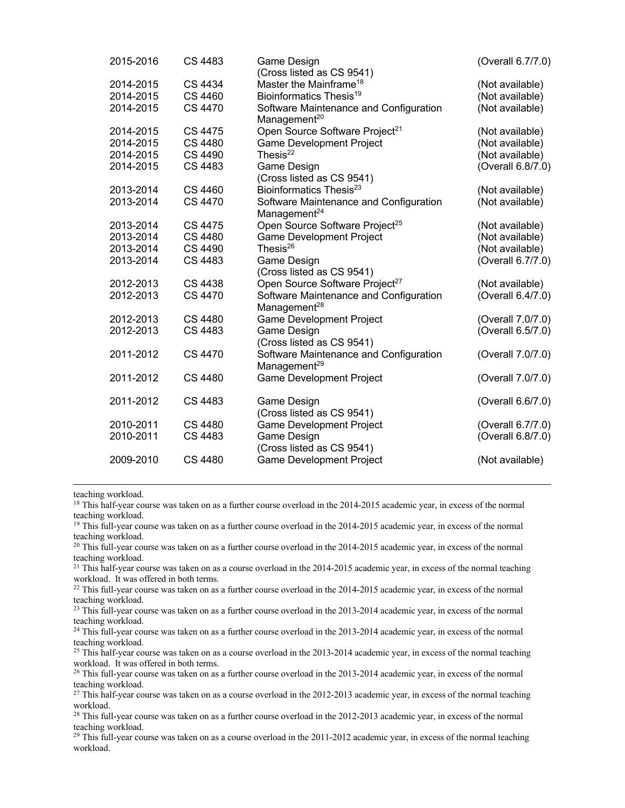| 2015-2016 | CS 4483        | Game Design                                                        | (Overall 6.7/7.0) |
|-----------|----------------|--------------------------------------------------------------------|-------------------|
|           |                | (Cross listed as CS 9541)                                          |                   |
| 2014-2015 | CS 4434        | Master the Mainframe <sup>18</sup>                                 | (Not available)   |
| 2014-2015 | CS 4460        | Bioinformatics Thesis <sup>19</sup>                                | (Not available)   |
| 2014-2015 | CS 4470        | Software Maintenance and Configuration<br>Management <sup>20</sup> | (Not available)   |
| 2014-2015 | CS 4475        | Open Source Software Project <sup>21</sup>                         | (Not available)   |
| 2014-2015 | <b>CS 4480</b> | <b>Game Development Project</b>                                    | (Not available)   |
| 2014-2015 | CS 4490        | Thesis <sup>22</sup>                                               | (Not available)   |
| 2014-2015 | CS 4483        | Game Design                                                        | (Overall 6.8/7.0) |
|           |                | (Cross listed as CS 9541)                                          |                   |
| 2013-2014 | CS 4460        | Bioinformatics Thesis <sup>23</sup>                                | (Not available)   |
| 2013-2014 | CS 4470        | Software Maintenance and Configuration<br>Management <sup>24</sup> | (Not available)   |
| 2013-2014 | <b>CS 4475</b> | Open Source Software Project <sup>25</sup>                         | (Not available)   |
| 2013-2014 | <b>CS 4480</b> | <b>Game Development Project</b>                                    | (Not available)   |
| 2013-2014 | CS 4490        | Thesis <sup>26</sup>                                               | (Not available)   |
| 2013-2014 | CS 4483        | Game Design                                                        | (Overall 6.7/7.0) |
|           |                | (Cross listed as CS 9541)                                          |                   |
| 2012-2013 | CS 4438        | Open Source Software Project <sup>27</sup>                         | (Not available)   |
| 2012-2013 | <b>CS 4470</b> | Software Maintenance and Configuration                             | (Overall 6.4/7.0) |
|           |                | Management <sup>28</sup>                                           |                   |
| 2012-2013 | CS 4480        | <b>Game Development Project</b>                                    | (Overall 7.0/7.0) |
| 2012-2013 | CS 4483        | Game Design                                                        | (Overall 6.5/7.0) |
|           |                | (Cross listed as CS 9541)                                          |                   |
| 2011-2012 | CS 4470        | Software Maintenance and Configuration                             | (Overall 7.0/7.0) |
|           |                | Management <sup>29</sup>                                           |                   |
| 2011-2012 | CS 4480        | <b>Game Development Project</b>                                    | (Overall 7.0/7.0) |
| 2011-2012 | CS 4483        | Game Design                                                        | (Overall 6.6/7.0) |
|           |                | (Cross listed as CS 9541)                                          |                   |
| 2010-2011 | CS 4480        | <b>Game Development Project</b>                                    | (Overall 6.7/7.0) |
| 2010-2011 | CS 4483        | Game Design                                                        | (Overall 6.8/7.0) |
|           |                | (Cross listed as CS 9541)                                          |                   |
| 2009-2010 | CS 4480        | <b>Game Development Project</b>                                    | (Not available)   |
|           |                |                                                                    |                   |

teaching workload.

<sup>18</sup> This half-year course was taken on as a further course overload in the 2014-2015 academic year, in excess of the normal teaching workload.

<sup>19</sup> This full-year course was taken on as a further course overload in the 2014-2015 academic year, in excess of the normal teaching workload.

 $^{20}$  This full-year course was taken on as a further course overload in the 2014-2015 academic year, in excess of the normal teaching workload.

<sup>21</sup> This half-year course was taken on as a course overload in the  $2014$ - $2015$  academic year, in excess of the normal teaching workload. It was offered in both terms.

 $22$  This full-year course was taken on as a further course overload in the 2014-2015 academic year, in excess of the normal teaching workload.

<sup>23</sup> This full-year course was taken on as a further course overload in the 2013-2014 academic year, in excess of the normal teaching workload.

<sup>24</sup> This full-year course was taken on as a further course overload in the 2013-2014 academic year, in excess of the normal teaching workload.

 $25$  This half-year course was taken on as a course overload in the 2013-2014 academic year, in excess of the normal teaching workload. It was offered in both terms.

<sup>26</sup> This full-year course was taken on as a further course overload in the 2013-2014 academic year, in excess of the normal teaching workload.

<sup>27</sup> This half-year course was taken on as a course overload in the 2012-2013 academic year, in excess of the normal teaching workload.

<sup>28</sup> This full-year course was taken on as a further course overload in the 2012-2013 academic year, in excess of the normal teaching workload.

<sup>29</sup> This full-year course was taken on as a course overload in the 2011-2012 academic year, in excess of the normal teaching workload.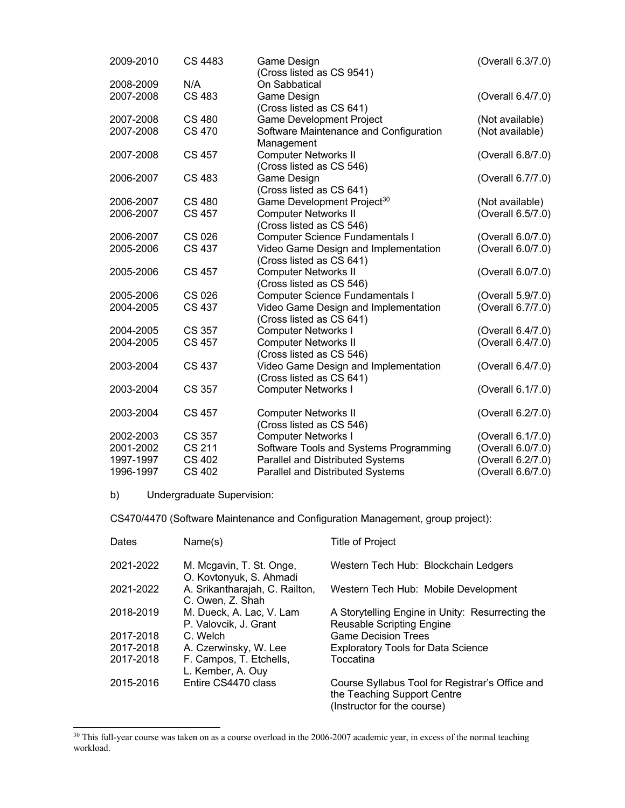| 2009-2010 | <b>CS 4483</b> | Game Design                                               | (Overall 6.3/7.0)                      |
|-----------|----------------|-----------------------------------------------------------|----------------------------------------|
| 2008-2009 | N/A            | (Cross listed as CS 9541)<br>On Sabbatical                |                                        |
| 2007-2008 | <b>CS 483</b>  | Game Design                                               | (Overall 6.4/7.0)                      |
|           |                | (Cross listed as CS 641)                                  |                                        |
| 2007-2008 | <b>CS 480</b>  | <b>Game Development Project</b>                           | (Not available)                        |
| 2007-2008 | <b>CS 470</b>  | Software Maintenance and Configuration                    | (Not available)                        |
|           |                | Management                                                |                                        |
| 2007-2008 | <b>CS 457</b>  | <b>Computer Networks II</b>                               | (Overall 6.8/7.0)                      |
|           |                | (Cross listed as CS 546)                                  |                                        |
| 2006-2007 | <b>CS 483</b>  | Game Design                                               | (Overall 6.7/7.0)                      |
|           |                | (Cross listed as CS 641)                                  |                                        |
| 2006-2007 | <b>CS 480</b>  | Game Development Project <sup>30</sup>                    | (Not available)                        |
| 2006-2007 | <b>CS 457</b>  | <b>Computer Networks II</b>                               | (Overall 6.5/7.0)                      |
|           |                | (Cross listed as CS 546)                                  |                                        |
| 2006-2007 | <b>CS 026</b>  | <b>Computer Science Fundamentals I</b>                    | (Overall 6.0/7.0)                      |
| 2005-2006 | <b>CS 437</b>  | Video Game Design and Implementation                      | (Overall 6.0/7.0)                      |
|           |                | (Cross listed as CS 641)                                  |                                        |
| 2005-2006 | <b>CS 457</b>  | <b>Computer Networks II</b>                               | (Overall 6.0/7.0)                      |
|           |                | (Cross listed as CS 546)                                  |                                        |
| 2005-2006 | <b>CS 026</b>  | <b>Computer Science Fundamentals I</b>                    | (Overall 5.9/7.0)                      |
| 2004-2005 | <b>CS 437</b>  | Video Game Design and Implementation                      | (Overall 6.7/7.0)                      |
| 2004-2005 | CS 357         | (Cross listed as CS 641)                                  |                                        |
| 2004-2005 | <b>CS 457</b>  | <b>Computer Networks I</b><br><b>Computer Networks II</b> | (Overall 6.4/7.0)<br>(Overall 6.4/7.0) |
|           |                | (Cross listed as CS 546)                                  |                                        |
| 2003-2004 | CS 437         | Video Game Design and Implementation                      | (Overall 6.4/7.0)                      |
|           |                | (Cross listed as CS 641)                                  |                                        |
| 2003-2004 | CS 357         | <b>Computer Networks I</b>                                | (Overall 6.1/7.0)                      |
|           |                |                                                           |                                        |
| 2003-2004 | CS 457         | <b>Computer Networks II</b>                               | (Overall 6.2/7.0)                      |
|           |                | (Cross listed as CS 546)                                  |                                        |
| 2002-2003 | CS 357         | <b>Computer Networks I</b>                                | (Overall 6.1/7.0)                      |
| 2001-2002 | <b>CS 211</b>  | Software Tools and Systems Programming                    | (Overall 6.0/7.0)                      |
| 1997-1997 | <b>CS 402</b>  | Parallel and Distributed Systems                          | (Overall 6.2/7.0)                      |
| 1996-1997 | CS 402         | <b>Parallel and Distributed Systems</b>                   | (Overall 6.6/7.0)                      |

b) Undergraduate Supervision:

 $\mathbb{R}^n$ 

CS470/4470 (Software Maintenance and Configuration Management, group project):

| Dates     | Name(s)                                             | <b>Title of Project</b>                                                                                       |
|-----------|-----------------------------------------------------|---------------------------------------------------------------------------------------------------------------|
| 2021-2022 | M. Mcgavin, T. St. Onge,<br>O. Kovtonyuk, S. Ahmadi | Western Tech Hub: Blockchain Ledgers                                                                          |
| 2021-2022 | A. Srikantharajah, C. Railton,<br>C. Owen, Z. Shah  | Western Tech Hub: Mobile Development                                                                          |
| 2018-2019 | M. Dueck, A. Lac, V. Lam<br>P. Valovcik, J. Grant   | A Storytelling Engine in Unity: Resurrecting the<br><b>Reusable Scripting Engine</b>                          |
| 2017-2018 | C. Welch                                            | <b>Game Decision Trees</b>                                                                                    |
| 2017-2018 | A. Czerwinsky, W. Lee                               | <b>Exploratory Tools for Data Science</b>                                                                     |
| 2017-2018 | F. Campos, T. Etchells,<br>L. Kember, A. Ouy        | Toccatina                                                                                                     |
| 2015-2016 | Entire CS4470 class                                 | Course Syllabus Tool for Registrar's Office and<br>the Teaching Support Centre<br>(Instructor for the course) |

<sup>&</sup>lt;sup>30</sup> This full-year course was taken on as a course overload in the 2006-2007 academic year, in excess of the normal teaching workload.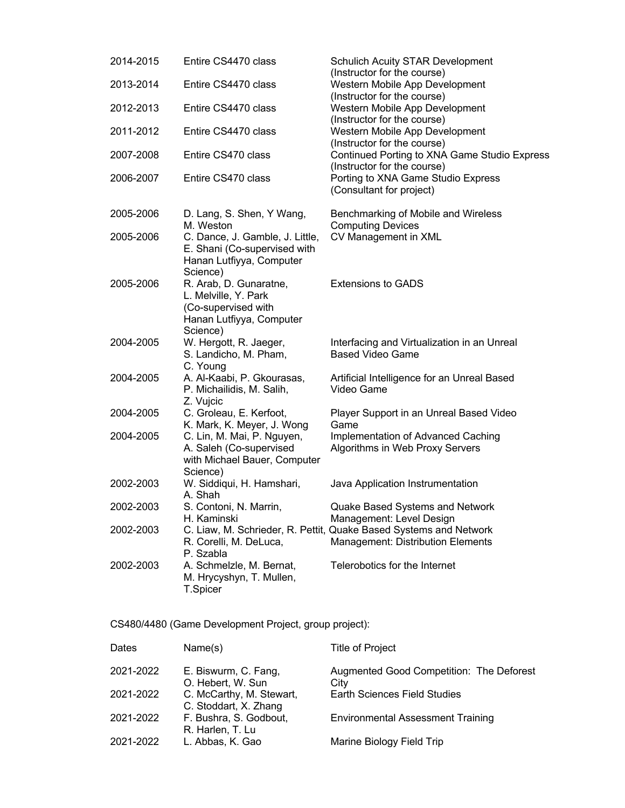| 2014-2015 | Entire CS4470 class                                                                                           | <b>Schulich Acuity STAR Development</b><br>(Instructor for the course)                                 |
|-----------|---------------------------------------------------------------------------------------------------------------|--------------------------------------------------------------------------------------------------------|
| 2013-2014 | Entire CS4470 class                                                                                           | Western Mobile App Development<br>(Instructor for the course)                                          |
| 2012-2013 | Entire CS4470 class                                                                                           | Western Mobile App Development<br>(Instructor for the course)                                          |
| 2011-2012 | Entire CS4470 class                                                                                           | Western Mobile App Development<br>(Instructor for the course)                                          |
| 2007-2008 | Entire CS470 class                                                                                            | Continued Porting to XNA Game Studio Express<br>(Instructor for the course)                            |
| 2006-2007 | Entire CS470 class                                                                                            | Porting to XNA Game Studio Express<br>(Consultant for project)                                         |
| 2005-2006 | D. Lang, S. Shen, Y Wang,<br>M. Weston                                                                        | Benchmarking of Mobile and Wireless<br><b>Computing Devices</b>                                        |
| 2005-2006 | C. Dance, J. Gamble, J. Little,<br>E. Shani (Co-supervised with<br>Hanan Lutfiyya, Computer<br>Science)       | CV Management in XML                                                                                   |
| 2005-2006 | R. Arab, D. Gunaratne,<br>L. Melville, Y. Park<br>(Co-supervised with<br>Hanan Lutfiyya, Computer<br>Science) | <b>Extensions to GADS</b>                                                                              |
| 2004-2005 | W. Hergott, R. Jaeger,<br>S. Landicho, M. Pham,<br>C. Young                                                   | Interfacing and Virtualization in an Unreal<br><b>Based Video Game</b>                                 |
| 2004-2005 | A. Al-Kaabi, P. Gkourasas,<br>P. Michailidis, M. Salih,<br>Z. Vujcic                                          | Artificial Intelligence for an Unreal Based<br>Video Game                                              |
| 2004-2005 | C. Groleau, E. Kerfoot,<br>K. Mark, K. Meyer, J. Wong                                                         | Player Support in an Unreal Based Video<br>Game                                                        |
| 2004-2005 | C. Lin, M. Mai, P. Nguyen,<br>A. Saleh (Co-supervised<br>with Michael Bauer, Computer<br>Science)             | Implementation of Advanced Caching<br>Algorithms in Web Proxy Servers                                  |
| 2002-2003 | W. Siddiqui, H. Hamshari,<br>A. Shah                                                                          | Java Application Instrumentation                                                                       |
| 2002-2003 | S. Contoni, N. Marrin,<br>H. Kaminski                                                                         | Quake Based Systems and Network<br>Management: Level Design                                            |
| 2002-2003 | R. Corelli, M. DeLuca,<br>P. Szabla                                                                           | C. Liaw, M. Schrieder, R. Pettit, Quake Based Systems and Network<br>Management: Distribution Elements |
| 2002-2003 | A. Schmelzle, M. Bernat,<br>M. Hrycyshyn, T. Mullen,<br>T.Spicer                                              | Telerobotics for the Internet                                                                          |

CS480/4480 (Game Development Project, group project):

| Dates     | Name(s)                                           | <b>Title of Project</b>                          |
|-----------|---------------------------------------------------|--------------------------------------------------|
| 2021-2022 | E. Biswurm, C. Fang,<br>O. Hebert, W. Sun         | Augmented Good Competition: The Deforest<br>City |
| 2021-2022 | C. McCarthy, M. Stewart,<br>C. Stoddart, X. Zhang | <b>Earth Sciences Field Studies</b>              |
| 2021-2022 | F. Bushra, S. Godbout,<br>R. Harlen, T. Lu        | <b>Environmental Assessment Training</b>         |
| 2021-2022 | L. Abbas, K. Gao                                  | Marine Biology Field Trip                        |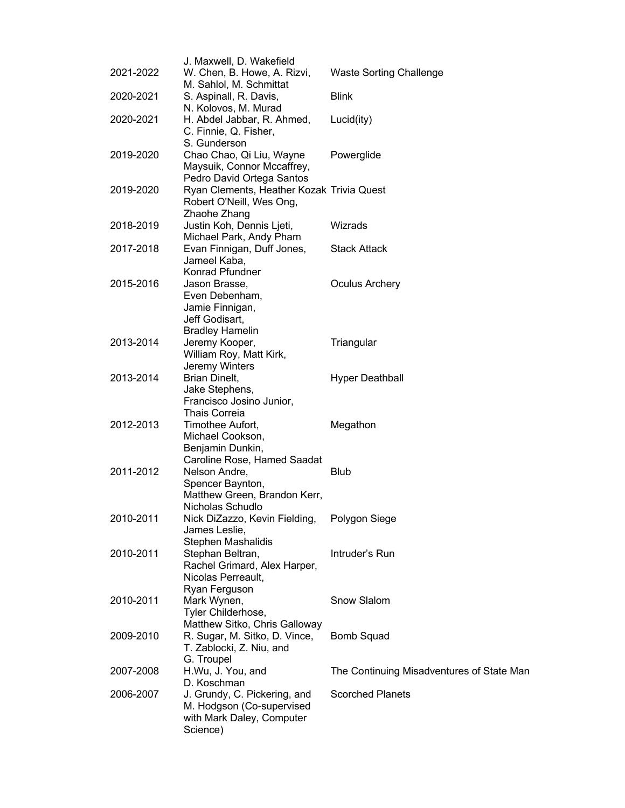|           | J. Maxwell, D. Wakefield                  |                                           |
|-----------|-------------------------------------------|-------------------------------------------|
| 2021-2022 | W. Chen, B. Howe, A. Rizvi,               | <b>Waste Sorting Challenge</b>            |
|           | M. Sahlol, M. Schmittat                   |                                           |
| 2020-2021 | S. Aspinall, R. Davis,                    | <b>Blink</b>                              |
|           | N. Kolovos, M. Murad                      |                                           |
| 2020-2021 | H. Abdel Jabbar, R. Ahmed,                | Lucid(ity)                                |
|           | C. Finnie, Q. Fisher,                     |                                           |
|           | S. Gunderson                              |                                           |
| 2019-2020 | Chao Chao, Qi Liu, Wayne                  | Powerglide                                |
|           | Maysuik, Connor Mccaffrey,                |                                           |
|           | Pedro David Ortega Santos                 |                                           |
| 2019-2020 | Ryan Clements, Heather Kozak Trivia Quest |                                           |
|           | Robert O'Neill, Wes Ong,                  |                                           |
|           | Zhaohe Zhang                              |                                           |
| 2018-2019 | Justin Koh, Dennis Ljeti,                 | Wizrads                                   |
|           | Michael Park, Andy Pham                   |                                           |
| 2017-2018 | Evan Finnigan, Duff Jones,                | <b>Stack Attack</b>                       |
|           | Jameel Kaba,                              |                                           |
|           | Konrad Pfundner                           |                                           |
| 2015-2016 | Jason Brasse,                             | <b>Oculus Archery</b>                     |
|           | Even Debenham,                            |                                           |
|           | Jamie Finnigan,                           |                                           |
|           | Jeff Godisart,                            |                                           |
|           | <b>Bradley Hamelin</b>                    |                                           |
| 2013-2014 | Jeremy Kooper,                            | Triangular                                |
|           | William Roy, Matt Kirk,                   |                                           |
|           | Jeremy Winters                            |                                           |
| 2013-2014 | Brian Dinelt,<br>Jake Stephens,           | <b>Hyper Deathball</b>                    |
|           | Francisco Josino Junior,                  |                                           |
|           | <b>Thais Correia</b>                      |                                           |
| 2012-2013 | Timothee Aufort,                          | Megathon                                  |
|           | Michael Cookson,                          |                                           |
|           | Benjamin Dunkin,                          |                                           |
|           | Caroline Rose, Hamed Saadat               |                                           |
| 2011-2012 | Nelson Andre,                             | <b>Blub</b>                               |
|           | Spencer Baynton,                          |                                           |
|           | Matthew Green, Brandon Kerr,              |                                           |
|           | Nicholas Schudlo                          |                                           |
| 2010-2011 | Nick DiZazzo, Kevin Fielding,             | Polygon Siege                             |
|           | James Leslie,                             |                                           |
|           | <b>Stephen Mashalidis</b>                 |                                           |
| 2010-2011 | Stephan Beltran,                          | Intruder's Run                            |
|           | Rachel Grimard, Alex Harper,              |                                           |
|           | Nicolas Perreault,                        |                                           |
|           | Ryan Ferguson                             |                                           |
| 2010-2011 | Mark Wynen,                               | Snow Slalom                               |
|           | Tyler Childerhose,                        |                                           |
|           | Matthew Sitko, Chris Galloway             |                                           |
| 2009-2010 | R. Sugar, M. Sitko, D. Vince,             | <b>Bomb Squad</b>                         |
|           | T. Zablocki, Z. Niu, and                  |                                           |
|           | G. Troupel                                |                                           |
| 2007-2008 | H.Wu, J. You, and                         | The Continuing Misadventures of State Man |
|           | D. Koschman                               |                                           |
| 2006-2007 | J. Grundy, C. Pickering, and              | <b>Scorched Planets</b>                   |
|           | M. Hodgson (Co-supervised                 |                                           |
|           | with Mark Daley, Computer                 |                                           |
|           | Science)                                  |                                           |
|           |                                           |                                           |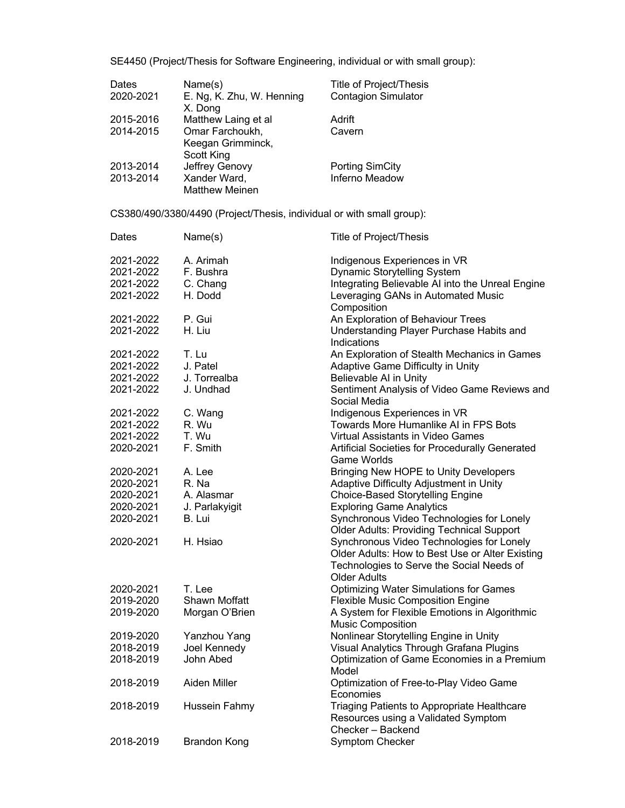SE4450 (Project/Thesis for Software Engineering, individual or with small group):

| Dates     | Name(s)                   | <b>Title of Project/Thesis</b> |
|-----------|---------------------------|--------------------------------|
| 2020-2021 | E. Ng, K. Zhu, W. Henning | <b>Contagion Simulator</b>     |
|           | X. Dong                   |                                |
| 2015-2016 | Matthew Laing et al       | Adrift                         |
| 2014-2015 | Omar Farchoukh,           | Cavern                         |
|           | Keegan Grimminck,         |                                |
|           | Scott King                |                                |
| 2013-2014 | Jeffrey Genovy            | <b>Porting SimCity</b>         |
| 2013-2014 | Xander Ward,              | Inferno Meadow                 |
|           | <b>Matthew Meinen</b>     |                                |

CS380/490/3380/4490 (Project/Thesis, individual or with small group):

| Dates     | Name(s)              | <b>Title of Project/Thesis</b>                                   |
|-----------|----------------------|------------------------------------------------------------------|
| 2021-2022 | A. Arimah            | Indigenous Experiences in VR                                     |
| 2021-2022 | F. Bushra            | Dynamic Storytelling System                                      |
| 2021-2022 | C. Chang             | Integrating Believable AI into the Unreal Engine                 |
| 2021-2022 | H. Dodd              | Leveraging GANs in Automated Music                               |
|           |                      | Composition                                                      |
| 2021-2022 | P. Gui               | An Exploration of Behaviour Trees                                |
| 2021-2022 | H. Liu               | Understanding Player Purchase Habits and                         |
|           |                      | Indications                                                      |
| 2021-2022 | T. Lu                | An Exploration of Stealth Mechanics in Games                     |
| 2021-2022 | J. Patel             | Adaptive Game Difficulty in Unity                                |
| 2021-2022 | J. Torrealba         | Believable AI in Unity                                           |
| 2021-2022 | J. Undhad            | Sentiment Analysis of Video Game Reviews and                     |
|           |                      | Social Media                                                     |
| 2021-2022 | C. Wang              | Indigenous Experiences in VR                                     |
| 2021-2022 | R. Wu                | Towards More Humanlike AI in FPS Bots                            |
| 2021-2022 | T. Wu                | Virtual Assistants in Video Games                                |
| 2020-2021 | F. Smith             | Artificial Societies for Procedurally Generated                  |
|           |                      | <b>Game Worlds</b>                                               |
| 2020-2021 | A. Lee               | Bringing New HOPE to Unity Developers                            |
| 2020-2021 | R. Na                | Adaptive Difficulty Adjustment in Unity                          |
| 2020-2021 | A. Alasmar           | Choice-Based Storytelling Engine                                 |
| 2020-2021 | J. Parlakyigit       | <b>Exploring Game Analytics</b>                                  |
| 2020-2021 | B. Lui               | Synchronous Video Technologies for Lonely                        |
|           |                      | <b>Older Adults: Providing Technical Support</b>                 |
| 2020-2021 | H. Hsiao             | Synchronous Video Technologies for Lonely                        |
|           |                      | Older Adults: How to Best Use or Alter Existing                  |
|           |                      |                                                                  |
|           |                      | Technologies to Serve the Social Needs of<br><b>Older Adults</b> |
| 2020-2021 | T. Lee               |                                                                  |
| 2019-2020 | <b>Shawn Moffatt</b> | <b>Optimizing Water Simulations for Games</b>                    |
|           |                      | <b>Flexible Music Composition Engine</b>                         |
| 2019-2020 | Morgan O'Brien       | A System for Flexible Emotions in Algorithmic                    |
|           |                      | <b>Music Composition</b>                                         |
| 2019-2020 | Yanzhou Yang         | Nonlinear Storytelling Engine in Unity                           |
| 2018-2019 | Joel Kennedy         | Visual Analytics Through Grafana Plugins                         |
| 2018-2019 | John Abed            | Optimization of Game Economies in a Premium                      |
|           |                      | Model                                                            |
| 2018-2019 | Aiden Miller         | Optimization of Free-to-Play Video Game                          |
|           |                      | Economies                                                        |
| 2018-2019 | Hussein Fahmy        | Triaging Patients to Appropriate Healthcare                      |
|           |                      | Resources using a Validated Symptom                              |
|           |                      | Checker - Backend                                                |
| 2018-2019 | <b>Brandon Kong</b>  | <b>Symptom Checker</b>                                           |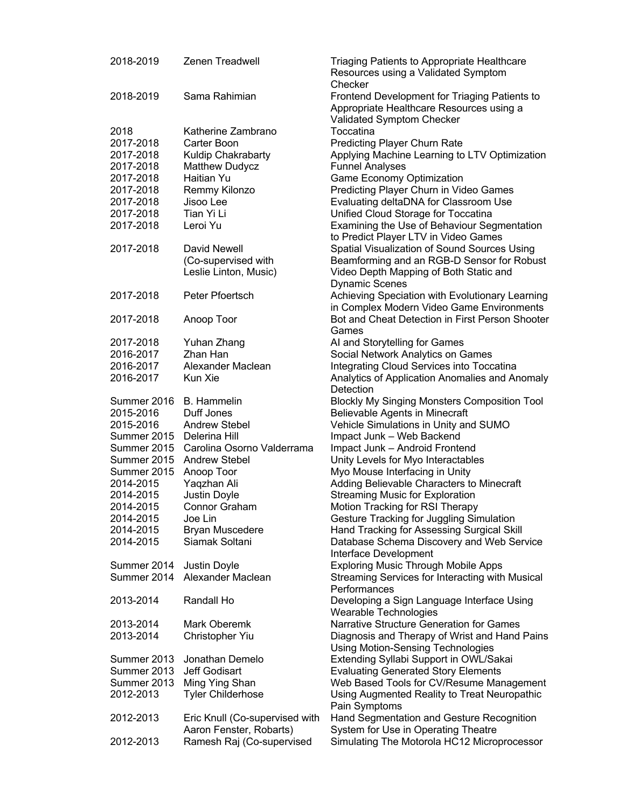| 2018-2019                 | <b>Zenen Treadwell</b>                 | Triaging Patients to Appropriate Healthcare<br>Resources using a Validated Symptom<br>Checker                          |
|---------------------------|----------------------------------------|------------------------------------------------------------------------------------------------------------------------|
| 2018-2019                 | Sama Rahimian                          | Frontend Development for Triaging Patients to<br>Appropriate Healthcare Resources using a<br>Validated Symptom Checker |
| 2018                      | Katherine Zambrano                     | Toccatina                                                                                                              |
| 2017-2018                 | Carter Boon                            | <b>Predicting Player Churn Rate</b>                                                                                    |
| 2017-2018                 | Kuldip Chakrabarty                     | Applying Machine Learning to LTV Optimization                                                                          |
| 2017-2018                 | <b>Matthew Dudycz</b>                  | <b>Funnel Analyses</b>                                                                                                 |
|                           |                                        |                                                                                                                        |
| 2017-2018                 | Haitian Yu                             | <b>Game Economy Optimization</b>                                                                                       |
| 2017-2018                 | Remmy Kilonzo                          | Predicting Player Churn in Video Games                                                                                 |
| 2017-2018                 | Jisoo Lee                              | Evaluating deltaDNA for Classroom Use                                                                                  |
| 2017-2018                 | Tian Yi Li                             | Unified Cloud Storage for Toccatina                                                                                    |
| 2017-2018                 | Leroi Yu                               | Examining the Use of Behaviour Segmentation                                                                            |
|                           |                                        | to Predict Player LTV in Video Games                                                                                   |
| 2017-2018                 | David Newell                           | Spatial Visualization of Sound Sources Using                                                                           |
|                           | (Co-supervised with                    | Beamforming and an RGB-D Sensor for Robust                                                                             |
|                           | Leslie Linton, Music)                  | Video Depth Mapping of Both Static and                                                                                 |
|                           |                                        | <b>Dynamic Scenes</b>                                                                                                  |
|                           |                                        |                                                                                                                        |
| 2017-2018                 | Peter Pfoertsch                        | Achieving Speciation with Evolutionary Learning                                                                        |
|                           |                                        | in Complex Modern Video Game Environments                                                                              |
| 2017-2018                 | Anoop Toor                             | Bot and Cheat Detection in First Person Shooter                                                                        |
|                           |                                        | Games                                                                                                                  |
| 2017-2018                 | Yuhan Zhang                            | AI and Storytelling for Games                                                                                          |
| 2016-2017                 | Zhan Han                               | Social Network Analytics on Games                                                                                      |
| 2016-2017                 | Alexander Maclean                      | Integrating Cloud Services into Toccatina                                                                              |
| 2016-2017                 | Kun Xie                                | Analytics of Application Anomalies and Anomaly                                                                         |
|                           |                                        | Detection                                                                                                              |
| Summer 2016               | <b>B.</b> Hammelin                     | <b>Blockly My Singing Monsters Composition Tool</b>                                                                    |
| 2015-2016                 | Duff Jones                             | Believable Agents in Minecraft                                                                                         |
|                           |                                        |                                                                                                                        |
| 2015-2016                 | <b>Andrew Stebel</b>                   | Vehicle Simulations in Unity and SUMO                                                                                  |
| Summer 2015 Delerina Hill |                                        | Impact Junk - Web Backend                                                                                              |
|                           | Summer 2015 Carolina Osorno Valderrama | Impact Junk - Android Frontend                                                                                         |
|                           | Summer 2015 Andrew Stebel              | Unity Levels for Myo Interactables                                                                                     |
| Summer 2015               | Anoop Toor                             | Myo Mouse Interfacing in Unity                                                                                         |
| 2014-2015                 | Yaqzhan Ali                            | Adding Believable Characters to Minecraft                                                                              |
| 2014-2015                 | <b>Justin Doyle</b>                    | <b>Streaming Music for Exploration</b>                                                                                 |
| 2014-2015                 | <b>Connor Graham</b>                   | <b>Motion Tracking for RSI Therapy</b>                                                                                 |
| 2014-2015                 | Joe Lin                                | Gesture Tracking for Juggling Simulation                                                                               |
| 2014-2015                 | Bryan Muscedere                        | Hand Tracking for Assessing Surgical Skill                                                                             |
| 2014-2015                 | Siamak Soltani                         | Database Schema Discovery and Web Service                                                                              |
|                           |                                        | Interface Development                                                                                                  |
| Summer 2014               | Justin Doyle                           | <b>Exploring Music Through Mobile Apps</b>                                                                             |
| Summer 2014               | Alexander Maclean                      | Streaming Services for Interacting with Musical                                                                        |
|                           |                                        |                                                                                                                        |
|                           |                                        | Performances                                                                                                           |
| 2013-2014                 | Randall Ho                             | Developing a Sign Language Interface Using                                                                             |
|                           |                                        | Wearable Technologies                                                                                                  |
| 2013-2014                 | Mark Oberemk                           | <b>Narrative Structure Generation for Games</b>                                                                        |
| 2013-2014                 | Christopher Yiu                        | Diagnosis and Therapy of Wrist and Hand Pains                                                                          |
|                           |                                        | <b>Using Motion-Sensing Technologies</b>                                                                               |
| Summer 2013               | Jonathan Demelo                        | Extending Syllabi Support in OWL/Sakai                                                                                 |
| Summer 2013               | Jeff Godisart                          | <b>Evaluating Generated Story Elements</b>                                                                             |
| Summer 2013               | Ming Ying Shan                         | Web Based Tools for CV/Resume Management                                                                               |
| 2012-2013                 | <b>Tyler Childerhose</b>               | Using Augmented Reality to Treat Neuropathic                                                                           |
|                           |                                        | Pain Symptoms                                                                                                          |
| 2012-2013                 | Eric Knull (Co-supervised with         | Hand Segmentation and Gesture Recognition                                                                              |
|                           | Aaron Fenster, Robarts)                | System for Use in Operating Theatre                                                                                    |
| 2012-2013                 | Ramesh Raj (Co-supervised              | Simulating The Motorola HC12 Microprocessor                                                                            |
|                           |                                        |                                                                                                                        |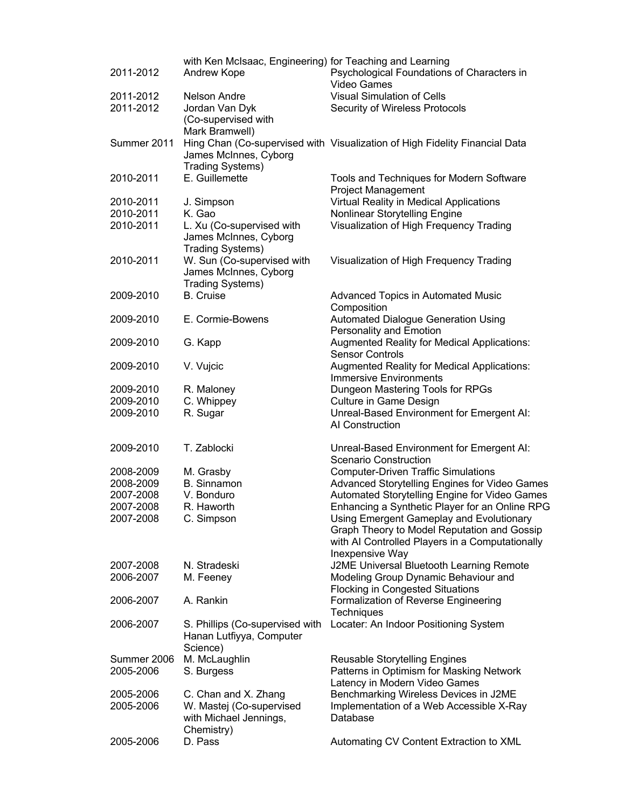| 2011-2012   | with Ken McIsaac, Engineering) for Teaching and Learning<br>Andrew Kope | Psychological Foundations of Characters in<br><b>Video Games</b>            |
|-------------|-------------------------------------------------------------------------|-----------------------------------------------------------------------------|
| 2011-2012   | Nelson Andre                                                            | <b>Visual Simulation of Cells</b>                                           |
| 2011-2012   | Jordan Van Dyk                                                          | Security of Wireless Protocols                                              |
|             | (Co-supervised with                                                     |                                                                             |
|             | Mark Bramwell)                                                          |                                                                             |
| Summer 2011 | James McInnes, Cyborg                                                   | Hing Chan (Co-supervised with Visualization of High Fidelity Financial Data |
|             | <b>Trading Systems)</b>                                                 |                                                                             |
| 2010-2011   | E. Guillemette                                                          | Tools and Techniques for Modern Software<br><b>Project Management</b>       |
| 2010-2011   | J. Simpson                                                              | Virtual Reality in Medical Applications                                     |
| 2010-2011   | K. Gao                                                                  | Nonlinear Storytelling Engine                                               |
| 2010-2011   | L. Xu (Co-supervised with                                               | Visualization of High Frequency Trading                                     |
|             | James McInnes, Cyborg                                                   |                                                                             |
|             | <b>Trading Systems)</b>                                                 |                                                                             |
| 2010-2011   | W. Sun (Co-supervised with                                              | Visualization of High Frequency Trading                                     |
|             | James McInnes, Cyborg                                                   |                                                                             |
|             | <b>Trading Systems)</b>                                                 |                                                                             |
| 2009-2010   | <b>B.</b> Cruise                                                        | <b>Advanced Topics in Automated Music</b><br>Composition                    |
| 2009-2010   | E. Cormie-Bowens                                                        | <b>Automated Dialogue Generation Using</b>                                  |
|             |                                                                         | Personality and Emotion                                                     |
| 2009-2010   | G. Kapp                                                                 | <b>Augmented Reality for Medical Applications:</b>                          |
|             |                                                                         | <b>Sensor Controls</b>                                                      |
| 2009-2010   | V. Vujcic                                                               | <b>Augmented Reality for Medical Applications:</b>                          |
|             |                                                                         | <b>Immersive Environments</b>                                               |
| 2009-2010   | R. Maloney                                                              | Dungeon Mastering Tools for RPGs                                            |
| 2009-2010   | C. Whippey                                                              | <b>Culture in Game Design</b>                                               |
| 2009-2010   | R. Sugar                                                                | Unreal-Based Environment for Emergent AI:                                   |
|             |                                                                         | AI Construction                                                             |
|             |                                                                         |                                                                             |
| 2009-2010   | T. Zablocki                                                             | Unreal-Based Environment for Emergent AI:                                   |
|             |                                                                         | <b>Scenario Construction</b>                                                |
| 2008-2009   | M. Grasby                                                               | <b>Computer-Driven Traffic Simulations</b>                                  |
| 2008-2009   | <b>B.</b> Sinnamon                                                      | Advanced Storytelling Engines for Video Games                               |
| 2007-2008   | V. Bonduro                                                              | Automated Storytelling Engine for Video Games                               |
| 2007-2008   | R. Haworth                                                              | Enhancing a Synthetic Player for an Online RPG                              |
| 2007-2008   | C. Simpson                                                              | Using Emergent Gameplay and Evolutionary                                    |
|             |                                                                         | Graph Theory to Model Reputation and Gossip                                 |
|             |                                                                         | with AI Controlled Players in a Computationally                             |
|             |                                                                         | Inexpensive Way                                                             |
| 2007-2008   | N. Stradeski                                                            | J2ME Universal Bluetooth Learning Remote                                    |
| 2006-2007   | M. Feeney                                                               | Modeling Group Dynamic Behaviour and                                        |
|             |                                                                         | <b>Flocking in Congested Situations</b>                                     |
| 2006-2007   | A. Rankin                                                               | Formalization of Reverse Engineering                                        |
|             |                                                                         | Techniques                                                                  |
|             |                                                                         |                                                                             |
| 2006-2007   | S. Phillips (Co-supervised with                                         | Locater: An Indoor Positioning System                                       |
|             | Hanan Lutfiyya, Computer                                                |                                                                             |
|             | Science)                                                                |                                                                             |
| Summer 2006 | M. McLaughlin                                                           | Reusable Storytelling Engines                                               |
| 2005-2006   | S. Burgess                                                              | Patterns in Optimism for Masking Network                                    |
|             |                                                                         | Latency in Modern Video Games                                               |
| 2005-2006   | C. Chan and X. Zhang                                                    | Benchmarking Wireless Devices in J2ME                                       |
| 2005-2006   | W. Mastej (Co-supervised                                                | Implementation of a Web Accessible X-Ray                                    |
|             | with Michael Jennings,                                                  | Database                                                                    |
|             | Chemistry)                                                              |                                                                             |
| 2005-2006   | D. Pass                                                                 | Automating CV Content Extraction to XML                                     |
|             |                                                                         |                                                                             |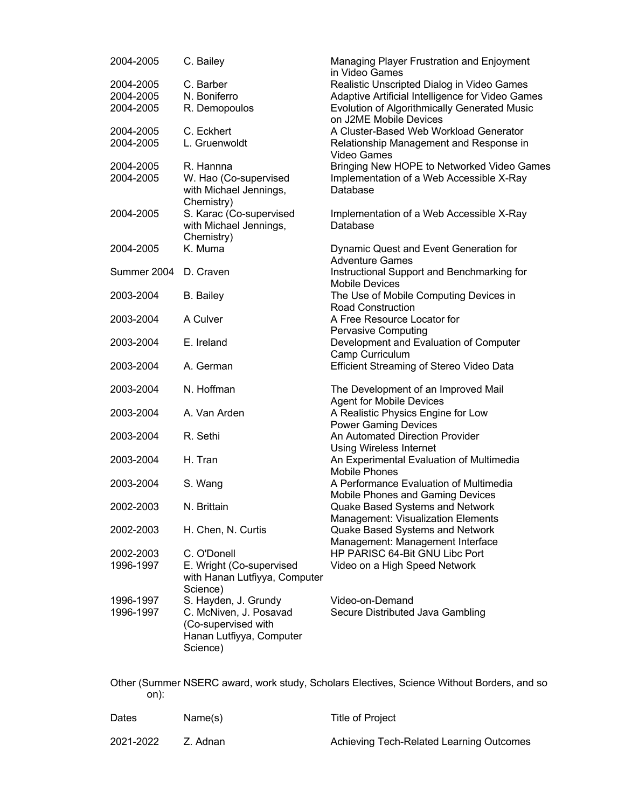| 2004-2005              | C. Bailey                                                                                                     | Managing Player Frustration and Enjoyment<br>in Video Games                  |
|------------------------|---------------------------------------------------------------------------------------------------------------|------------------------------------------------------------------------------|
| 2004-2005              | C. Barber                                                                                                     | Realistic Unscripted Dialog in Video Games                                   |
| 2004-2005              | N. Boniferro                                                                                                  | Adaptive Artificial Intelligence for Video Games                             |
| 2004-2005              | R. Demopoulos                                                                                                 | Evolution of Algorithmically Generated Music<br>on J2ME Mobile Devices       |
| 2004-2005              | C. Eckhert                                                                                                    | A Cluster-Based Web Workload Generator                                       |
| 2004-2005              | L. Gruenwoldt                                                                                                 | Relationship Management and Response in<br><b>Video Games</b>                |
| 2004-2005              | R. Hannna                                                                                                     | Bringing New HOPE to Networked Video Games                                   |
| 2004-2005              | W. Hao (Co-supervised<br>with Michael Jennings,<br>Chemistry)                                                 | Implementation of a Web Accessible X-Ray<br>Database                         |
| 2004-2005              | S. Karac (Co-supervised                                                                                       | Implementation of a Web Accessible X-Ray                                     |
|                        | with Michael Jennings,<br>Chemistry)                                                                          | Database                                                                     |
| 2004-2005              | K. Muma                                                                                                       | Dynamic Quest and Event Generation for<br><b>Adventure Games</b>             |
| Summer 2004            | D. Craven                                                                                                     | Instructional Support and Benchmarking for<br><b>Mobile Devices</b>          |
| 2003-2004              | <b>B.</b> Bailey                                                                                              | The Use of Mobile Computing Devices in<br><b>Road Construction</b>           |
| 2003-2004              | A Culver                                                                                                      | A Free Resource Locator for<br>Pervasive Computing                           |
| 2003-2004              | E. Ireland                                                                                                    | Development and Evaluation of Computer<br>Camp Curriculum                    |
| 2003-2004              | A. German                                                                                                     | Efficient Streaming of Stereo Video Data                                     |
| 2003-2004              | N. Hoffman                                                                                                    | The Development of an Improved Mail<br><b>Agent for Mobile Devices</b>       |
| 2003-2004              | A. Van Arden                                                                                                  | A Realistic Physics Engine for Low<br><b>Power Gaming Devices</b>            |
| 2003-2004              | R. Sethi                                                                                                      | An Automated Direction Provider<br><b>Using Wireless Internet</b>            |
| 2003-2004              | H. Tran                                                                                                       | An Experimental Evaluation of Multimedia<br><b>Mobile Phones</b>             |
| 2003-2004              | S. Wang                                                                                                       | A Performance Evaluation of Multimedia<br>Mobile Phones and Gaming Devices   |
| 2002-2003              | N. Brittain                                                                                                   | Quake Based Systems and Network<br><b>Management: Visualization Elements</b> |
| 2002-2003              | H. Chen, N. Curtis                                                                                            | Quake Based Systems and Network<br>Management: Management Interface          |
| 2002-2003<br>1996-1997 | C. O'Donell<br>E. Wright (Co-supervised<br>with Hanan Lutfiyya, Computer<br>Science)                          | HP PARISC 64-Bit GNU Libc Port<br>Video on a High Speed Network              |
| 1996-1997<br>1996-1997 | S. Hayden, J. Grundy<br>C. McNiven, J. Posavad<br>(Co-supervised with<br>Hanan Lutfiyya, Computer<br>Science) | Video-on-Demand<br>Secure Distributed Java Gambling                          |

Other (Summer NSERC award, work study, Scholars Electives, Science Without Borders, and so on):

| Dates     | Name(s)  | Title of Project                         |
|-----------|----------|------------------------------------------|
| 2021-2022 | Z. Adnan | Achieving Tech-Related Learning Outcomes |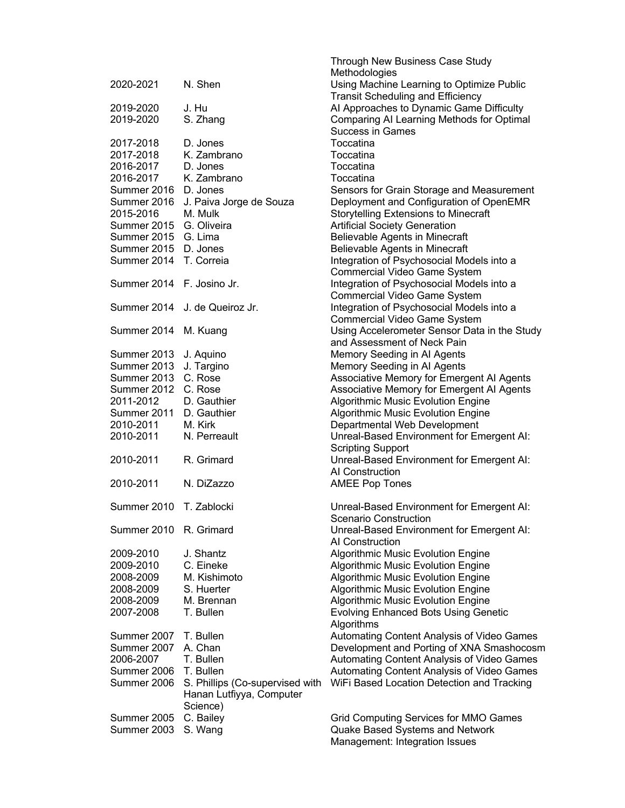|                           |                                 | Through New Business Case Study              |
|---------------------------|---------------------------------|----------------------------------------------|
|                           |                                 | Methodologies                                |
| 2020-2021                 | N. Shen                         | Using Machine Learning to Optimize Public    |
|                           |                                 | <b>Transit Scheduling and Efficiency</b>     |
| 2019-2020                 | J. Hu                           | Al Approaches to Dynamic Game Difficulty     |
| 2019-2020                 | S. Zhang                        | Comparing AI Learning Methods for Optimal    |
|                           |                                 | <b>Success in Games</b>                      |
| 2017-2018                 | D. Jones                        | Toccatina                                    |
| 2017-2018                 | K. Zambrano                     | Toccatina                                    |
| 2016-2017                 | D. Jones                        | Toccatina                                    |
| 2016-2017                 | K. Zambrano                     | Toccatina                                    |
| Summer 2016 D. Jones      |                                 | Sensors for Grain Storage and Measurement    |
|                           |                                 |                                              |
| Summer 2016               | J. Paiva Jorge de Souza         | Deployment and Configuration of OpenEMR      |
| 2015-2016                 | M. Mulk                         | <b>Storytelling Extensions to Minecraft</b>  |
| Summer 2015 G. Oliveira   |                                 | <b>Artificial Society Generation</b>         |
| Summer 2015 G. Lima       |                                 | Believable Agents in Minecraft               |
| Summer 2015 D. Jones      |                                 | Believable Agents in Minecraft               |
| Summer 2014               | T. Correia                      | Integration of Psychosocial Models into a    |
|                           |                                 | <b>Commercial Video Game System</b>          |
| Summer 2014 F. Josino Jr. |                                 | Integration of Psychosocial Models into a    |
|                           |                                 | <b>Commercial Video Game System</b>          |
|                           | Summer 2014 J. de Queiroz Jr.   | Integration of Psychosocial Models into a    |
|                           |                                 | <b>Commercial Video Game System</b>          |
| Summer 2014               |                                 | Using Accelerometer Sensor Data in the Study |
|                           | M. Kuang                        |                                              |
|                           |                                 | and Assessment of Neck Pain                  |
| Summer 2013               | J. Aquino                       | Memory Seeding in Al Agents                  |
| Summer 2013               | J. Targino                      | Memory Seeding in AI Agents                  |
| Summer 2013 C. Rose       |                                 | Associative Memory for Emergent Al Agents    |
| Summer 2012 C. Rose       |                                 | Associative Memory for Emergent Al Agents    |
| 2011-2012                 | D. Gauthier                     | <b>Algorithmic Music Evolution Engine</b>    |
| Summer 2011 D. Gauthier   |                                 | Algorithmic Music Evolution Engine           |
| 2010-2011                 | M. Kirk                         | Departmental Web Development                 |
| 2010-2011                 | N. Perreault                    | Unreal-Based Environment for Emergent AI:    |
|                           |                                 | <b>Scripting Support</b>                     |
| 2010-2011                 | R. Grimard                      | Unreal-Based Environment for Emergent AI:    |
|                           |                                 | Al Construction                              |
|                           | N. DiZazzo                      |                                              |
| 2010-2011                 |                                 | <b>AMEE Pop Tones</b>                        |
|                           |                                 |                                              |
| Summer 2010               | T. Zablocki                     | Unreal-Based Environment for Emergent AI:    |
|                           |                                 | Scenario Construction                        |
| Summer 2010               | R. Grimard                      | Unreal-Based Environment for Emergent AI:    |
|                           |                                 | AI Construction                              |
| 2009-2010                 | J. Shantz                       | Algorithmic Music Evolution Engine           |
| 2009-2010                 | C. Eineke                       | Algorithmic Music Evolution Engine           |
| 2008-2009                 | M. Kishimoto                    | Algorithmic Music Evolution Engine           |
| 2008-2009                 | S. Huerter                      | Algorithmic Music Evolution Engine           |
| 2008-2009                 | M. Brennan                      | <b>Algorithmic Music Evolution Engine</b>    |
| 2007-2008                 | T. Bullen                       | <b>Evolving Enhanced Bots Using Genetic</b>  |
|                           |                                 | Algorithms                                   |
|                           |                                 |                                              |
| Summer 2007               | T. Bullen                       | Automating Content Analysis of Video Games   |
| Summer 2007               | A. Chan                         | Development and Porting of XNA Smashocosm    |
| 2006-2007                 | T. Bullen                       | Automating Content Analysis of Video Games   |
| Summer 2006               | T. Bullen                       | Automating Content Analysis of Video Games   |
| Summer 2006               | S. Phillips (Co-supervised with | WiFi Based Location Detection and Tracking   |
|                           | Hanan Lutfiyya, Computer        |                                              |
|                           | Science)                        |                                              |
| Summer 2005               | C. Bailey                       | Grid Computing Services for MMO Games        |
| Summer 2003               | S. Wang                         | Quake Based Systems and Network              |
|                           |                                 | Management: Integration Issues               |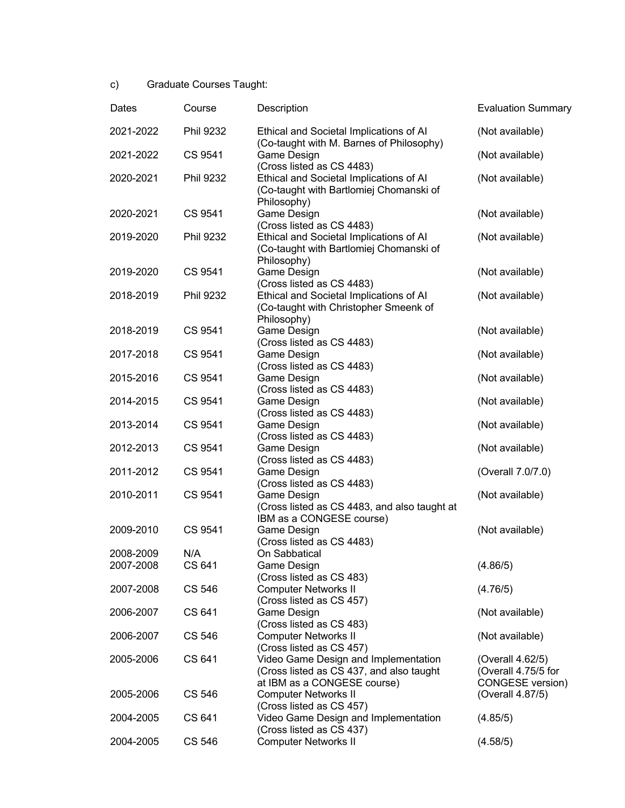c) Graduate Courses Taught:

| Dates                  | Course           | Description                                                                                                     | <b>Evaluation Summary</b>                                   |
|------------------------|------------------|-----------------------------------------------------------------------------------------------------------------|-------------------------------------------------------------|
| 2021-2022              | <b>Phil 9232</b> | Ethical and Societal Implications of AI<br>(Co-taught with M. Barnes of Philosophy)                             | (Not available)                                             |
| 2021-2022              | CS 9541          | Game Design<br>(Cross listed as CS 4483)                                                                        | (Not available)                                             |
| 2020-2021              | <b>Phil 9232</b> | Ethical and Societal Implications of AI<br>(Co-taught with Bartlomiej Chomanski of<br>Philosophy)               | (Not available)                                             |
| 2020-2021              | CS 9541          | Game Design<br>(Cross listed as CS 4483)                                                                        | (Not available)                                             |
| 2019-2020              | <b>Phil 9232</b> | Ethical and Societal Implications of Al<br>(Co-taught with Bartlomiej Chomanski of<br>Philosophy)               | (Not available)                                             |
| 2019-2020              | CS 9541          | Game Design<br>(Cross listed as CS 4483)                                                                        | (Not available)                                             |
| 2018-2019              | Phil 9232        | Ethical and Societal Implications of Al<br>(Co-taught with Christopher Smeenk of<br>Philosophy)                 | (Not available)                                             |
| 2018-2019              | CS 9541          | Game Design<br>(Cross listed as CS 4483)                                                                        | (Not available)                                             |
| 2017-2018              | CS 9541          | Game Design<br>(Cross listed as CS 4483)                                                                        | (Not available)                                             |
| 2015-2016              | CS 9541          | Game Design<br>(Cross listed as CS 4483)                                                                        | (Not available)                                             |
| 2014-2015              | CS 9541          | Game Design<br>(Cross listed as CS 4483)                                                                        | (Not available)                                             |
| 2013-2014              | CS 9541          | Game Design<br>(Cross listed as CS 4483)                                                                        | (Not available)                                             |
| 2012-2013              | CS 9541          | Game Design<br>(Cross listed as CS 4483)                                                                        | (Not available)                                             |
| 2011-2012              | CS 9541          | Game Design<br>(Cross listed as CS 4483)                                                                        | (Overall 7.0/7.0)                                           |
| 2010-2011              | CS 9541          | Game Design<br>(Cross listed as CS 4483, and also taught at<br>IBM as a CONGESE course)                         | (Not available)                                             |
| 2009-2010              | CS 9541          | Game Design<br>(Cross listed as CS 4483)                                                                        | (Not available)                                             |
| 2008-2009<br>2007-2008 | N/A<br>CS 641    | On Sabbatical<br>Game Design                                                                                    | (4.86/5)                                                    |
| 2007-2008              | <b>CS 546</b>    | (Cross listed as CS 483)<br><b>Computer Networks II</b>                                                         | (4.76/5)                                                    |
| 2006-2007              | CS 641           | (Cross listed as CS 457)<br>Game Design<br>(Cross listed as CS 483)                                             | (Not available)                                             |
| 2006-2007              | CS 546           | <b>Computer Networks II</b><br>(Cross listed as CS 457)                                                         | (Not available)                                             |
| 2005-2006              | CS 641           | Video Game Design and Implementation<br>(Cross listed as CS 437, and also taught<br>at IBM as a CONGESE course) | (Overall 4.62/5)<br>(Overall 4.75/5 for<br>CONGESE version) |
| 2005-2006              | <b>CS 546</b>    | <b>Computer Networks II</b><br>(Cross listed as CS 457)                                                         | (Overall 4.87/5)                                            |
| 2004-2005              | CS 641           | Video Game Design and Implementation<br>(Cross listed as CS 437)                                                | (4.85/5)                                                    |
| 2004-2005              | CS 546           | <b>Computer Networks II</b>                                                                                     | (4.58/5)                                                    |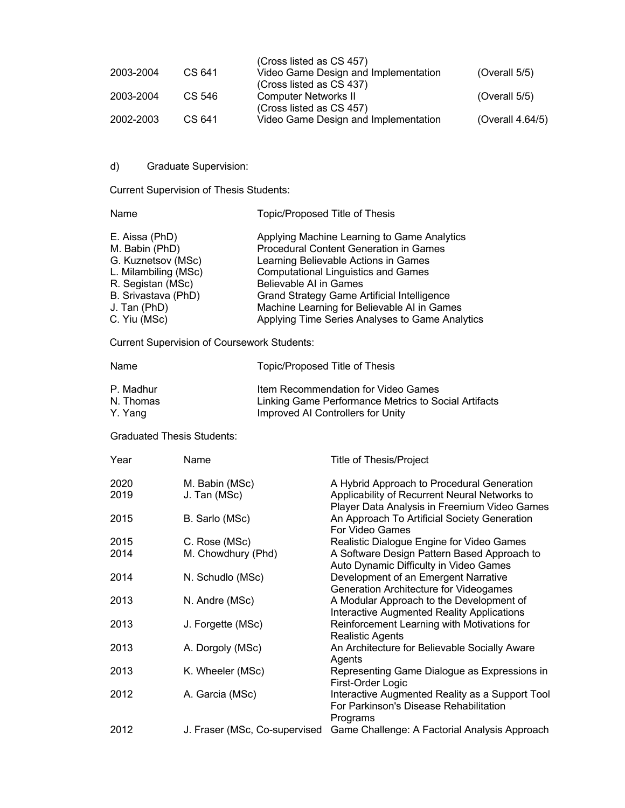|           |        | (Cross listed as CS 457)                                         |                  |
|-----------|--------|------------------------------------------------------------------|------------------|
| 2003-2004 | CS 641 | Video Game Design and Implementation<br>(Cross listed as CS 437) | (Overall $5/5$ ) |
| 2003-2004 | CS 546 | <b>Computer Networks II</b><br>(Cross listed as CS 457)          | (Overall $5/5$ ) |
| 2002-2003 | CS 641 | Video Game Design and Implementation                             | (Overall 4.64/5) |

# d) Graduate Supervision:

Current Supervision of Thesis Students:

| Name                                                                                                                                                       | Topic/Proposed Title of Thesis                                                                                                                                                                                                                                                                                                                         |
|------------------------------------------------------------------------------------------------------------------------------------------------------------|--------------------------------------------------------------------------------------------------------------------------------------------------------------------------------------------------------------------------------------------------------------------------------------------------------------------------------------------------------|
| E. Aissa (PhD)<br>M. Babin (PhD)<br>G. Kuznetsov (MSc)<br>L. Milambiling (MSc)<br>R. Segistan (MSc)<br>B. Srivastava (PhD)<br>J. Tan (PhD)<br>C. Yiu (MSc) | Applying Machine Learning to Game Analytics<br>Procedural Content Generation in Games<br>Learning Believable Actions in Games<br><b>Computational Linguistics and Games</b><br>Believable AI in Games<br>Grand Strategy Game Artificial Intelligence<br>Machine Learning for Believable AI in Games<br>Applying Time Series Analyses to Game Analytics |
|                                                                                                                                                            |                                                                                                                                                                                                                                                                                                                                                        |

Current Supervision of Coursework Students:

| Name                   | Topic/Proposed Title of Thesis                                                              |
|------------------------|---------------------------------------------------------------------------------------------|
| P. Madhur<br>N. Thomas | Item Recommendation for Video Games<br>Linking Game Performance Metrics to Social Artifacts |
| Y. Yang                | Improved AI Controllers for Unity                                                           |

Graduated Thesis Students:

| Year         | Name                           | <b>Title of Thesis/Project</b>                                                                                                              |
|--------------|--------------------------------|---------------------------------------------------------------------------------------------------------------------------------------------|
| 2020<br>2019 | M. Babin (MSc)<br>J. Tan (MSc) | A Hybrid Approach to Procedural Generation<br>Applicability of Recurrent Neural Networks to<br>Player Data Analysis in Freemium Video Games |
| 2015         | B. Sarlo (MSc)                 | An Approach To Artificial Society Generation<br>For Video Games                                                                             |
| 2015         | C. Rose (MSc)                  | Realistic Dialogue Engine for Video Games                                                                                                   |
| 2014         | M. Chowdhury (Phd)             | A Software Design Pattern Based Approach to<br>Auto Dynamic Difficulty in Video Games                                                       |
| 2014         | N. Schudlo (MSc)               | Development of an Emergent Narrative<br>Generation Architecture for Videogames                                                              |
| 2013         | N. Andre (MSc)                 | A Modular Approach to the Development of<br>Interactive Augmented Reality Applications                                                      |
| 2013         | J. Forgette (MSc)              | Reinforcement Learning with Motivations for<br><b>Realistic Agents</b>                                                                      |
| 2013         | A. Dorgoly (MSc)               | An Architecture for Believable Socially Aware<br>Agents                                                                                     |
| 2013         | K. Wheeler (MSc)               | Representing Game Dialogue as Expressions in<br>First-Order Logic                                                                           |
| 2012         | A. Garcia (MSc)                | Interactive Augmented Reality as a Support Tool<br>For Parkinson's Disease Rehabilitation<br>Programs                                       |
| 2012         | J. Fraser (MSc, Co-supervised  | Game Challenge: A Factorial Analysis Approach                                                                                               |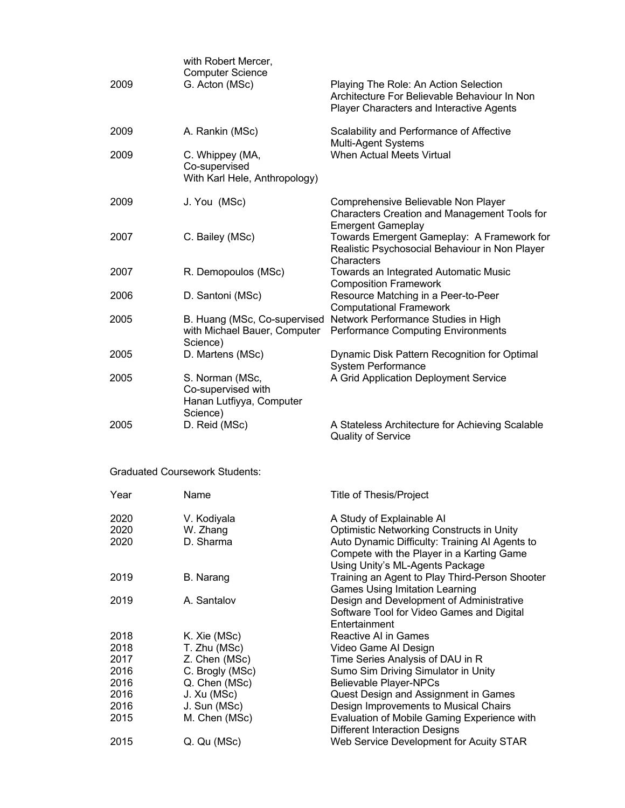| 2009 | with Robert Mercer,<br><b>Computer Science</b><br>G. Acton (MSc)              | Playing The Role: An Action Selection<br>Architecture For Believable Behaviour In Non<br>Player Characters and Interactive Agents |
|------|-------------------------------------------------------------------------------|-----------------------------------------------------------------------------------------------------------------------------------|
| 2009 | A. Rankin (MSc)                                                               | Scalability and Performance of Affective<br>Multi-Agent Systems                                                                   |
| 2009 | C. Whippey (MA,<br>Co-supervised<br>With Karl Hele, Anthropology)             | <b>When Actual Meets Virtual</b>                                                                                                  |
| 2009 | J. You (MSc)                                                                  | Comprehensive Believable Non Player<br><b>Characters Creation and Management Tools for</b><br><b>Emergent Gameplay</b>            |
| 2007 | C. Bailey (MSc)                                                               | Towards Emergent Gameplay: A Framework for<br>Realistic Psychosocial Behaviour in Non Player<br>Characters                        |
| 2007 | R. Demopoulos (MSc)                                                           | Towards an Integrated Automatic Music<br><b>Composition Framework</b>                                                             |
| 2006 | D. Santoni (MSc)                                                              | Resource Matching in a Peer-to-Peer<br><b>Computational Framework</b>                                                             |
| 2005 | B. Huang (MSc, Co-supervised<br>with Michael Bauer, Computer<br>Science)      | Network Performance Studies in High<br><b>Performance Computing Environments</b>                                                  |
| 2005 | D. Martens (MSc)                                                              | Dynamic Disk Pattern Recognition for Optimal<br><b>System Performance</b>                                                         |
| 2005 | S. Norman (MSc,<br>Co-supervised with<br>Hanan Lutfiyya, Computer<br>Science) | A Grid Application Deployment Service                                                                                             |
| 2005 | D. Reid (MSc)                                                                 | A Stateless Architecture for Achieving Scalable<br>Quality of Service                                                             |

# Graduated Coursework Students:

| Year                 | Name                                 | Title of Thesis/Project                                                                                                                                                                                  |
|----------------------|--------------------------------------|----------------------------------------------------------------------------------------------------------------------------------------------------------------------------------------------------------|
| 2020<br>2020<br>2020 | V. Kodiyala<br>W. Zhang<br>D. Sharma | A Study of Explainable AI<br>Optimistic Networking Constructs in Unity<br>Auto Dynamic Difficulty: Training AI Agents to<br>Compete with the Player in a Karting Game<br>Using Unity's ML-Agents Package |
| 2019                 | B. Narang                            | Training an Agent to Play Third-Person Shooter<br><b>Games Using Imitation Learning</b>                                                                                                                  |
| 2019                 | A. Santalov                          | Design and Development of Administrative<br>Software Tool for Video Games and Digital<br>Entertainment                                                                                                   |
| 2018                 | K. Xie (MSc)                         | Reactive AI in Games                                                                                                                                                                                     |
| 2018                 | T. Zhu (MSc)                         | Video Game Al Design                                                                                                                                                                                     |
| 2017                 | Z. Chen (MSc)                        | Time Series Analysis of DAU in R                                                                                                                                                                         |
| 2016                 | C. Brogly (MSc)                      | Sumo Sim Driving Simulator in Unity                                                                                                                                                                      |
| 2016                 | Q. Chen (MSc)                        | <b>Believable Player-NPCs</b>                                                                                                                                                                            |
| 2016                 | J. Xu (MSc)                          | Quest Design and Assignment in Games                                                                                                                                                                     |
| 2016                 | J. Sun (MSc)                         | Design Improvements to Musical Chairs                                                                                                                                                                    |
| 2015                 | M. Chen (MSc)                        | Evaluation of Mobile Gaming Experience with<br><b>Different Interaction Designs</b>                                                                                                                      |
| 2015                 | Q. Qu (MSc)                          | Web Service Development for Acuity STAR                                                                                                                                                                  |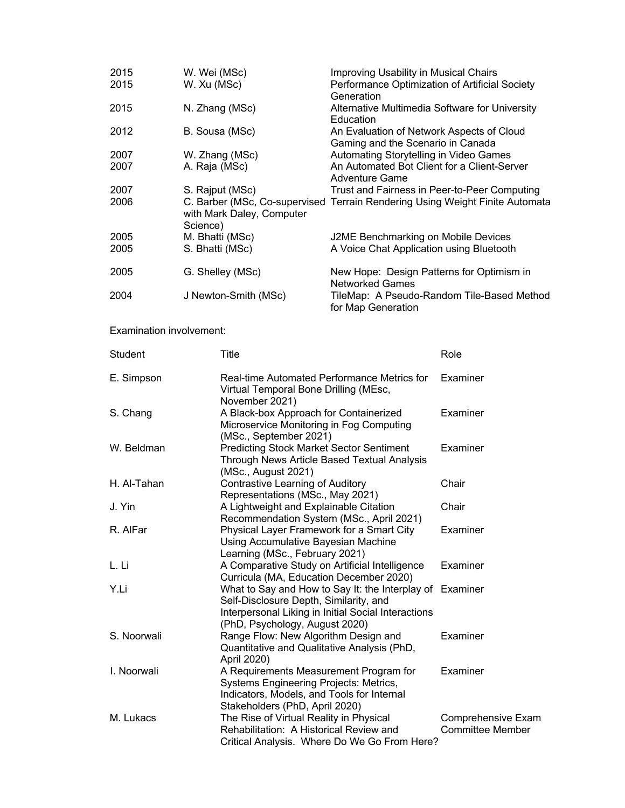| 2015<br>2015             | W. Wei (MSc)<br>W. Xu (MSc)                                                                                                          | Improving Usability in Musical Chairs<br>Performance Optimization of Artificial Society                                                             |                                               |
|--------------------------|--------------------------------------------------------------------------------------------------------------------------------------|-----------------------------------------------------------------------------------------------------------------------------------------------------|-----------------------------------------------|
| 2015                     | N. Zhang (MSc)                                                                                                                       | Generation<br>Alternative Multimedia Software for University<br>Education                                                                           |                                               |
| 2012                     | B. Sousa (MSc)                                                                                                                       | An Evaluation of Network Aspects of Cloud                                                                                                           |                                               |
| 2007<br>2007             | W. Zhang (MSc)<br>A. Raja (MSc)                                                                                                      | Gaming and the Scenario in Canada<br>Automating Storytelling in Video Games<br>An Automated Bot Client for a Client-Server<br><b>Adventure Game</b> |                                               |
| 2007<br>2006             | S. Rajput (MSc)<br>C. Barber (MSc, Co-supervised Terrain Rendering Using Weight Finite Automata<br>with Mark Daley, Computer         | Trust and Fairness in Peer-to-Peer Computing                                                                                                        |                                               |
| 2005<br>2005             | Science)<br>M. Bhatti (MSc)<br>S. Bhatti (MSc)                                                                                       | J2ME Benchmarking on Mobile Devices<br>A Voice Chat Application using Bluetooth                                                                     |                                               |
| 2005                     | G. Shelley (MSc)                                                                                                                     | New Hope: Design Patterns for Optimism in                                                                                                           |                                               |
| 2004                     | J Newton-Smith (MSc)                                                                                                                 | <b>Networked Games</b><br>for Map Generation                                                                                                        | TileMap: A Pseudo-Random Tile-Based Method    |
| Examination involvement: |                                                                                                                                      |                                                                                                                                                     |                                               |
| Student                  | Title                                                                                                                                |                                                                                                                                                     | Role                                          |
| E. Simpson               | Real-time Automated Performance Metrics for<br>Virtual Temporal Bone Drilling (MEsc,<br>November 2021)                               |                                                                                                                                                     | Examiner                                      |
| S. Chang                 | A Black-box Approach for Containerized<br>Microservice Monitoring in Fog Computing                                                   |                                                                                                                                                     | Examiner                                      |
| W. Beldman               | (MSc., September 2021)<br><b>Predicting Stock Market Sector Sentiment</b><br>Through News Article Based Textual Analysis             |                                                                                                                                                     | Examiner                                      |
| H. Al-Tahan              | (MSc., August 2021)<br><b>Contrastive Learning of Auditory</b>                                                                       |                                                                                                                                                     | Chair                                         |
| J. Yin                   | Representations (MSc., May 2021)<br>A Lightweight and Explainable Citation                                                           |                                                                                                                                                     | Chair                                         |
| R. AlFar                 |                                                                                                                                      | Recommendation System (MSc., April 2021)<br>Physical Layer Framework for a Smart City<br>Using Accumulative Bayesian Machine                        |                                               |
| L. Li                    |                                                                                                                                      | Learning (MSc., February 2021)<br>A Comparative Study on Artificial Intelligence                                                                    |                                               |
| Y.Li                     | Curricula (MA, Education December 2020)<br>Self-Disclosure Depth, Similarity, and                                                    | What to Say and How to Say It: the Interplay of<br>Interpersonal Liking in Initial Social Interactions                                              | Examiner                                      |
| S. Noorwali              | (PhD, Psychology, August 2020)<br>Range Flow: New Algorithm Design and<br>Quantitative and Qualitative Analysis (PhD,<br>April 2020) |                                                                                                                                                     | Examiner                                      |
| I. Noorwali              | A Requirements Measurement Program for<br>Systems Engineering Projects: Metrics,<br>Indicators, Models, and Tools for Internal       |                                                                                                                                                     | Examiner                                      |
| M. Lukacs                | Stakeholders (PhD, April 2020)<br>The Rise of Virtual Reality in Physical<br>Rehabilitation: A Historical Review and                 | Critical Analysis. Where Do We Go From Here?                                                                                                        | Comprehensive Exam<br><b>Committee Member</b> |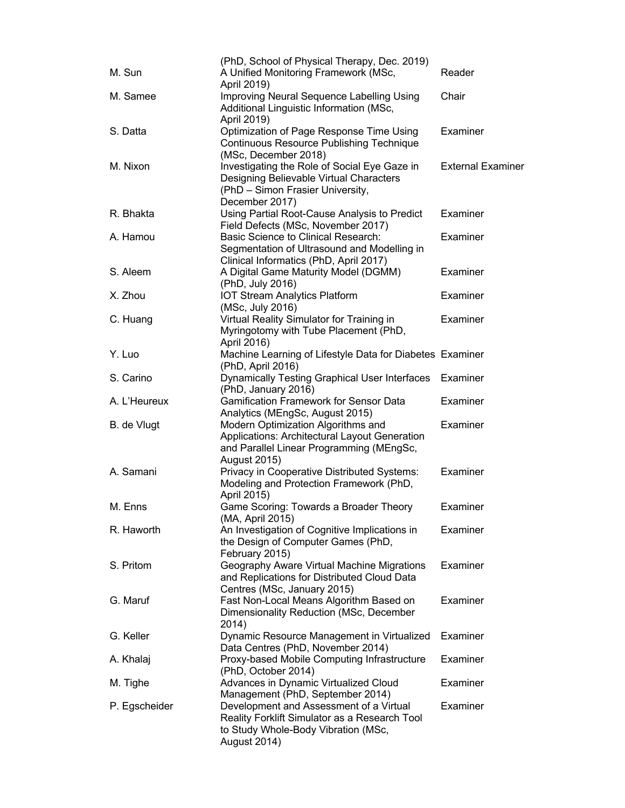| M. Sun        | (PhD, School of Physical Therapy, Dec. 2019)<br>A Unified Monitoring Framework (MSc,                                                                   | Reader                   |
|---------------|--------------------------------------------------------------------------------------------------------------------------------------------------------|--------------------------|
| M. Samee      | April 2019)<br>Improving Neural Sequence Labelling Using                                                                                               | Chair                    |
|               | Additional Linguistic Information (MSc,<br>April 2019)                                                                                                 |                          |
| S. Datta      | Optimization of Page Response Time Using<br><b>Continuous Resource Publishing Technique</b>                                                            | Examiner                 |
| M. Nixon      | (MSc, December 2018)<br>Investigating the Role of Social Eye Gaze in<br>Designing Believable Virtual Characters<br>(PhD - Simon Frasier University,    | <b>External Examiner</b> |
| R. Bhakta     | December 2017)<br>Using Partial Root-Cause Analysis to Predict<br>Field Defects (MSc, November 2017)                                                   | Examiner                 |
| A. Hamou      | Basic Science to Clinical Research:<br>Segmentation of Ultrasound and Modelling in                                                                     | Examiner                 |
| S. Aleem      | Clinical Informatics (PhD, April 2017)<br>A Digital Game Maturity Model (DGMM)<br>(PhD, July 2016)                                                     | Examiner                 |
| X. Zhou       | <b>IOT Stream Analytics Platform</b><br>(MSc, July 2016)                                                                                               | Examiner                 |
| C. Huang      | Virtual Reality Simulator for Training in<br>Myringotomy with Tube Placement (PhD,<br>April 2016)                                                      | Examiner                 |
| Y. Luo        | Machine Learning of Lifestyle Data for Diabetes Examiner<br>(PhD, April 2016)                                                                          |                          |
| S. Carino     | <b>Dynamically Testing Graphical User Interfaces</b><br>(PhD, January 2016)                                                                            | Examiner                 |
| A. L'Heureux  | <b>Gamification Framework for Sensor Data</b><br>Analytics (MEngSc, August 2015)                                                                       | Examiner                 |
| B. de Vlugt   | Modern Optimization Algorithms and<br>Applications: Architectural Layout Generation<br>and Parallel Linear Programming (MEngSc,<br><b>August 2015)</b> | Examiner                 |
| A. Samani     | Privacy in Cooperative Distributed Systems:<br>Modeling and Protection Framework (PhD,<br>April 2015)                                                  | Examiner                 |
| M. Enns       | Game Scoring: Towards a Broader Theory<br>(MA, April 2015)                                                                                             | Examiner                 |
| R. Haworth    | An Investigation of Cognitive Implications in<br>the Design of Computer Games (PhD,<br>February 2015)                                                  | Examiner                 |
| S. Pritom     | Geography Aware Virtual Machine Migrations<br>and Replications for Distributed Cloud Data<br>Centres (MSc, January 2015)                               | Examiner                 |
| G. Maruf      | Fast Non-Local Means Algorithm Based on<br>Dimensionality Reduction (MSc, December<br>2014)                                                            | Examiner                 |
| G. Keller     | Dynamic Resource Management in Virtualized<br>Data Centres (PhD, November 2014)                                                                        | Examiner                 |
| A. Khalaj     | Proxy-based Mobile Computing Infrastructure<br>(PhD, October 2014)                                                                                     | Examiner                 |
| M. Tighe      | Advances in Dynamic Virtualized Cloud<br>Management (PhD, September 2014)                                                                              | Examiner                 |
| P. Egscheider | Development and Assessment of a Virtual<br>Reality Forklift Simulator as a Research Tool<br>to Study Whole-Body Vibration (MSc,<br><b>August 2014)</b> | Examiner                 |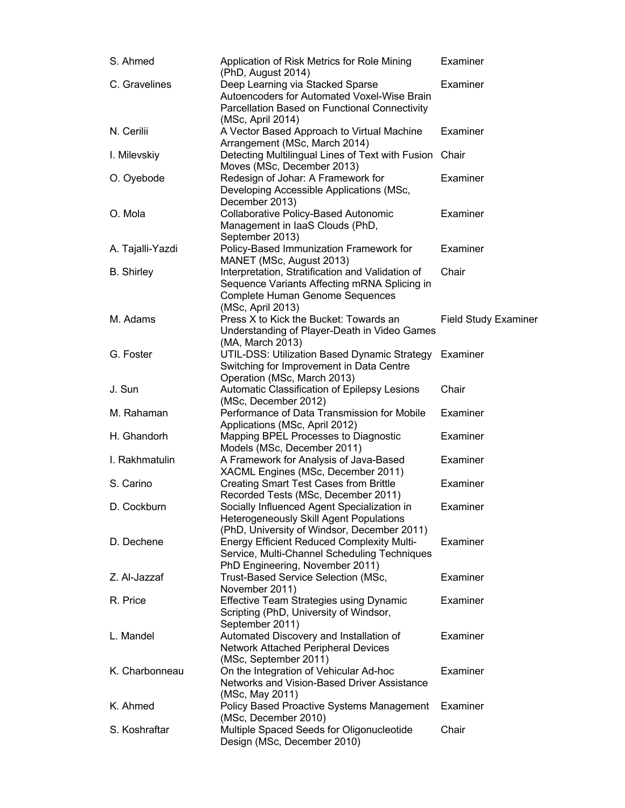| S. Ahmed          | Application of Risk Metrics for Role Mining<br>(PhD, August 2014)                                                                                               | Examiner                    |
|-------------------|-----------------------------------------------------------------------------------------------------------------------------------------------------------------|-----------------------------|
| C. Gravelines     | Deep Learning via Stacked Sparse<br>Autoencoders for Automated Voxel-Wise Brain<br>Parcellation Based on Functional Connectivity                                | Examiner                    |
| N. Cerilii        | (MSc, April 2014)<br>A Vector Based Approach to Virtual Machine<br>Arrangement (MSc, March 2014)                                                                | Examiner                    |
| I. Milevskiy      | Detecting Multilingual Lines of Text with Fusion Chair<br>Moves (MSc, December 2013)                                                                            |                             |
| O. Oyebode        | Redesign of Johar: A Framework for<br>Developing Accessible Applications (MSc,                                                                                  | Examiner                    |
| O. Mola           | December 2013)<br>Collaborative Policy-Based Autonomic<br>Management in laaS Clouds (PhD,<br>September 2013)                                                    | Examiner                    |
| A. Tajalli-Yazdi  | Policy-Based Immunization Framework for<br>MANET (MSc, August 2013)                                                                                             | Examiner                    |
| <b>B.</b> Shirley | Interpretation, Stratification and Validation of<br>Sequence Variants Affecting mRNA Splicing in<br><b>Complete Human Genome Sequences</b><br>(MSc, April 2013) | Chair                       |
| M. Adams          | Press X to Kick the Bucket: Towards an<br>Understanding of Player-Death in Video Games<br>(MA, March 2013)                                                      | <b>Field Study Examiner</b> |
| G. Foster         | UTIL-DSS: Utilization Based Dynamic Strategy<br>Switching for Improvement in Data Centre                                                                        | Examiner                    |
| J. Sun            | Operation (MSc, March 2013)<br>Automatic Classification of Epilepsy Lesions<br>(MSc, December 2012)                                                             | Chair                       |
| M. Rahaman        | Performance of Data Transmission for Mobile<br>Applications (MSc, April 2012)                                                                                   | Examiner                    |
| H. Ghandorh       | Mapping BPEL Processes to Diagnostic<br>Models (MSc, December 2011)                                                                                             | Examiner                    |
| I. Rakhmatulin    | A Framework for Analysis of Java-Based<br>XACML Engines (MSc, December 2011)                                                                                    | Examiner                    |
| S. Carino         | <b>Creating Smart Test Cases from Brittle</b><br>Recorded Tests (MSc, December 2011)                                                                            | Examiner                    |
| D. Cockburn       | Socially Influenced Agent Specialization in<br>Heterogeneously Skill Agent Populations<br>(PhD, University of Windsor, December 2011)                           | Examiner                    |
| D. Dechene        | <b>Energy Efficient Reduced Complexity Multi-</b><br>Service, Multi-Channel Scheduling Techniques<br>PhD Engineering, November 2011)                            | Examiner                    |
| Z. Al-Jazzaf      | Trust-Based Service Selection (MSc,<br>November 2011)                                                                                                           | Examiner                    |
| R. Price          | <b>Effective Team Strategies using Dynamic</b><br>Scripting (PhD, University of Windsor,<br>September 2011)                                                     | Examiner                    |
| L. Mandel         | Automated Discovery and Installation of<br>Network Attached Peripheral Devices<br>(MSc, September 2011)                                                         | Examiner                    |
| K. Charbonneau    | On the Integration of Vehicular Ad-hoc<br>Networks and Vision-Based Driver Assistance<br>(MSc, May 2011)                                                        | Examiner                    |
| K. Ahmed          | Policy Based Proactive Systems Management<br>(MSc, December 2010)                                                                                               | Examiner                    |
| S. Koshraftar     | Multiple Spaced Seeds for Oligonucleotide<br>Design (MSc, December 2010)                                                                                        | Chair                       |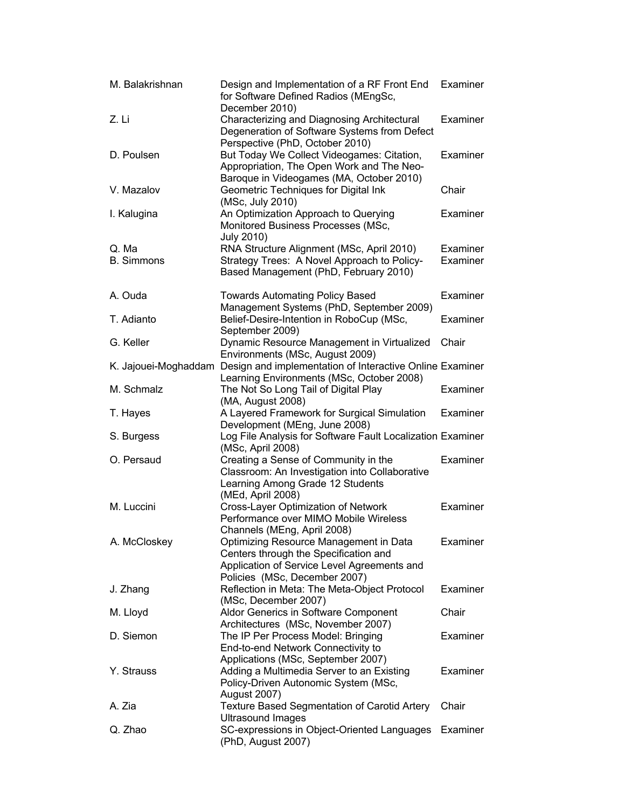| M. Balakrishnan            | Design and Implementation of a RF Front End<br>for Software Defined Radios (MEngSc,<br>December 2010)                                                           | Examiner             |
|----------------------------|-----------------------------------------------------------------------------------------------------------------------------------------------------------------|----------------------|
| Z. Li                      | Characterizing and Diagnosing Architectural<br>Degeneration of Software Systems from Defect<br>Perspective (PhD, October 2010)                                  | Examiner             |
| D. Poulsen                 | But Today We Collect Videogames: Citation,<br>Appropriation, The Open Work and The Neo-<br>Baroque in Videogames (MA, October 2010)                             | Examiner             |
| V. Mazalov                 | Geometric Techniques for Digital Ink<br>(MSc, July 2010)                                                                                                        | Chair                |
| I. Kalugina                | An Optimization Approach to Querying<br>Monitored Business Processes (MSc,<br><b>July 2010)</b>                                                                 | Examiner             |
| Q. Ma<br><b>B.</b> Simmons | RNA Structure Alignment (MSc, April 2010)<br>Strategy Trees: A Novel Approach to Policy-<br>Based Management (PhD, February 2010)                               | Examiner<br>Examiner |
| A. Ouda                    | <b>Towards Automating Policy Based</b><br>Management Systems (PhD, September 2009)                                                                              | Examiner             |
| T. Adianto                 | Belief-Desire-Intention in RoboCup (MSc,<br>September 2009)                                                                                                     | Examiner             |
| G. Keller                  | Dynamic Resource Management in Virtualized<br>Environments (MSc, August 2009)                                                                                   | Chair                |
| K. Jajouei-Moghaddam       | Design and implementation of Interactive Online Examiner                                                                                                        |                      |
| M. Schmalz                 | Learning Environments (MSc, October 2008)<br>The Not So Long Tail of Digital Play                                                                               | Examiner             |
| T. Hayes                   | (MA, August 2008)<br>A Layered Framework for Surgical Simulation<br>Development (MEng, June 2008)                                                               | Examiner             |
| S. Burgess                 | Log File Analysis for Software Fault Localization Examiner<br>(MSc, April 2008)                                                                                 |                      |
| O. Persaud                 | Creating a Sense of Community in the<br>Classroom: An Investigation into Collaborative<br>Learning Among Grade 12 Students<br>(MEd, April 2008)                 | Examiner             |
| M. Luccini                 | Cross-Layer Optimization of Network<br>Performance over MIMO Mobile Wireless<br>Channels (MEng, April 2008)                                                     | Examiner             |
| A. McCloskey               | Optimizing Resource Management in Data<br>Centers through the Specification and<br>Application of Service Level Agreements and<br>Policies (MSc, December 2007) | Examiner             |
| J. Zhang                   | Reflection in Meta: The Meta-Object Protocol<br>(MSc, December 2007)                                                                                            | Examiner             |
| M. Lloyd                   | Aldor Generics in Software Component<br>Architectures (MSc, November 2007)                                                                                      | Chair                |
| D. Siemon                  | The IP Per Process Model: Bringing<br>End-to-end Network Connectivity to<br>Applications (MSc, September 2007)                                                  | Examiner             |
| Y. Strauss                 | Adding a Multimedia Server to an Existing<br>Policy-Driven Autonomic System (MSc,<br><b>August 2007)</b>                                                        | Examiner             |
| A. Zia                     | <b>Texture Based Segmentation of Carotid Artery</b><br><b>Ultrasound Images</b>                                                                                 | Chair                |
| Q. Zhao                    | SC-expressions in Object-Oriented Languages<br>(PhD, August 2007)                                                                                               | Examiner             |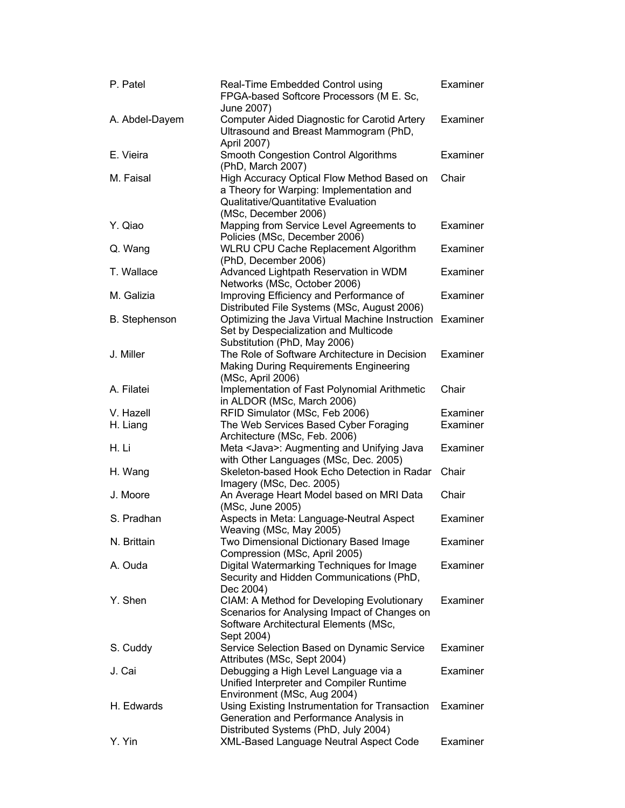| P. Patel             | Examiner<br>Real-Time Embedded Control using<br>FPGA-based Softcore Processors (M E. Sc,                                                              |          |
|----------------------|-------------------------------------------------------------------------------------------------------------------------------------------------------|----------|
| A. Abdel-Dayem       | June 2007)<br><b>Computer Aided Diagnostic for Carotid Artery</b><br>Ultrasound and Breast Mammogram (PhD,                                            | Examiner |
|                      | April 2007)                                                                                                                                           |          |
| E. Vieira            | <b>Smooth Congestion Control Algorithms</b><br>(PhD, March 2007)                                                                                      | Examiner |
| M. Faisal            | High Accuracy Optical Flow Method Based on<br>a Theory for Warping: Implementation and<br>Qualitative/Quantitative Evaluation<br>(MSc, December 2006) | Chair    |
| Y. Qiao              | Mapping from Service Level Agreements to<br>Policies (MSc, December 2006)                                                                             | Examiner |
| Q. Wang              | WLRU CPU Cache Replacement Algorithm<br>(PhD, December 2006)                                                                                          | Examiner |
| T. Wallace           | Advanced Lightpath Reservation in WDM<br>Networks (MSc, October 2006)                                                                                 | Examiner |
| M. Galizia           | Improving Efficiency and Performance of<br>Distributed File Systems (MSc, August 2006)                                                                | Examiner |
| <b>B.</b> Stephenson | Optimizing the Java Virtual Machine Instruction Examiner<br>Set by Despecialization and Multicode<br>Substitution (PhD, May 2006)                     |          |
| J. Miller            | The Role of Software Architecture in Decision<br><b>Making During Requirements Engineering</b><br>(MSc, April 2006)                                   | Examiner |
| A. Filatei           | Implementation of Fast Polynomial Arithmetic<br>in ALDOR (MSc, March 2006)                                                                            | Chair    |
| V. Hazell            | RFID Simulator (MSc, Feb 2006)                                                                                                                        | Examiner |
| H. Liang             | The Web Services Based Cyber Foraging<br>Architecture (MSc, Feb. 2006)                                                                                | Examiner |
| H. Li                | Meta <java>: Augmenting and Unifying Java<br/>with Other Languages (MSc, Dec. 2005)</java>                                                            | Examiner |
| H. Wang              | Skeleton-based Hook Echo Detection in Radar<br>Imagery (MSc, Dec. 2005)                                                                               | Chair    |
| J. Moore             | An Average Heart Model based on MRI Data<br>(MSc, June 2005)                                                                                          | Chair    |
| S. Pradhan           | Aspects in Meta: Language-Neutral Aspect<br>Weaving (MSc, May 2005)                                                                                   | Examiner |
| N. Brittain          | Two Dimensional Dictionary Based Image<br>Compression (MSc, April 2005)                                                                               | Examiner |
| A. Ouda              | Digital Watermarking Techniques for Image<br>Security and Hidden Communications (PhD,<br>Dec 2004)                                                    | Examiner |
| Y. Shen              | CIAM: A Method for Developing Evolutionary<br>Scenarios for Analysing Impact of Changes on<br>Software Architectural Elements (MSc,<br>Sept 2004)     | Examiner |
| S. Cuddy             | Service Selection Based on Dynamic Service<br>Attributes (MSc, Sept 2004)                                                                             | Examiner |
| J. Cai               | Debugging a High Level Language via a<br>Unified Interpreter and Compiler Runtime<br>Environment (MSc, Aug 2004)                                      | Examiner |
| H. Edwards           | Using Existing Instrumentation for Transaction<br>Generation and Performance Analysis in<br>Distributed Systems (PhD, July 2004)                      | Examiner |
| Y. Yin               | XML-Based Language Neutral Aspect Code                                                                                                                | Examiner |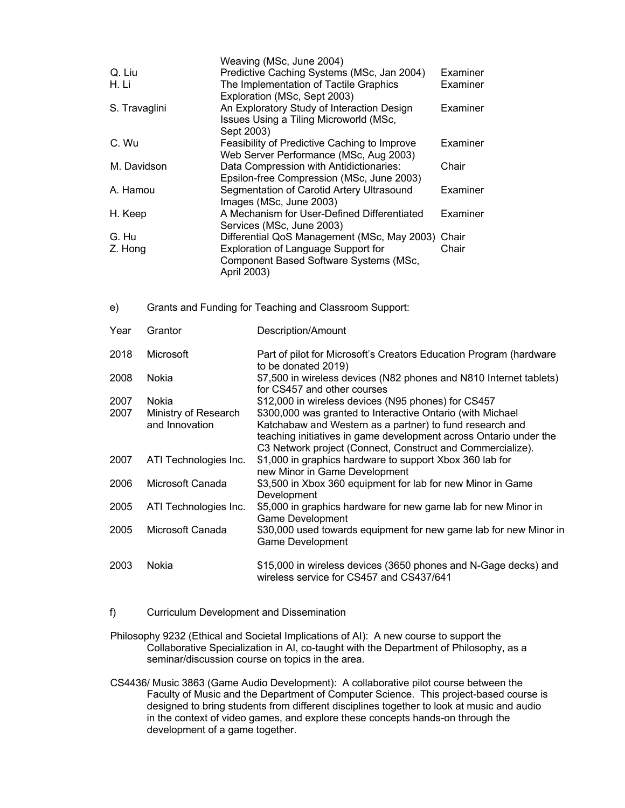|                                                                                              | Examiner                                                                                                                                                                                                                                                                                                                                                         |
|----------------------------------------------------------------------------------------------|------------------------------------------------------------------------------------------------------------------------------------------------------------------------------------------------------------------------------------------------------------------------------------------------------------------------------------------------------------------|
| The Implementation of Tactile Graphics                                                       | Examiner                                                                                                                                                                                                                                                                                                                                                         |
|                                                                                              |                                                                                                                                                                                                                                                                                                                                                                  |
| Issues Using a Tiling Microworld (MSc,                                                       | Examiner                                                                                                                                                                                                                                                                                                                                                         |
| Feasibility of Predictive Caching to Improve                                                 | Examiner                                                                                                                                                                                                                                                                                                                                                         |
| Data Compression with Antidictionaries:                                                      | Chair                                                                                                                                                                                                                                                                                                                                                            |
| Segmentation of Carotid Artery Ultrasound                                                    | Examiner                                                                                                                                                                                                                                                                                                                                                         |
| A Mechanism for User-Defined Differentiated                                                  | Examiner                                                                                                                                                                                                                                                                                                                                                         |
|                                                                                              | Chair                                                                                                                                                                                                                                                                                                                                                            |
| Exploration of Language Support for<br>Component Based Software Systems (MSc,<br>April 2003) | Chair                                                                                                                                                                                                                                                                                                                                                            |
|                                                                                              | Weaving (MSc, June 2004)<br>Predictive Caching Systems (MSc, Jan 2004)<br>Exploration (MSc, Sept 2003)<br>An Exploratory Study of Interaction Design<br>Sept 2003)<br>Web Server Performance (MSc, Aug 2003)<br>Epsilon-free Compression (MSc, June 2003)<br>Images (MSc, June 2003)<br>Services (MSc, June 2003)<br>Differential QoS Management (MSc, May 2003) |

e) Grants and Funding for Teaching and Classroom Support:

| Year | Grantor               | Description/Amount                                                                                          |
|------|-----------------------|-------------------------------------------------------------------------------------------------------------|
| 2018 | <b>Microsoft</b>      | Part of pilot for Microsoft's Creators Education Program (hardware<br>to be donated 2019)                   |
| 2008 | Nokia                 | \$7,500 in wireless devices (N82 phones and N810 Internet tablets)<br>for CS457 and other courses           |
| 2007 | Nokia                 | \$12,000 in wireless devices (N95 phones) for CS457                                                         |
| 2007 | Ministry of Research  | \$300,000 was granted to Interactive Ontario (with Michael                                                  |
|      | and Innovation        | Katchabaw and Western as a partner) to fund research and                                                    |
|      |                       | teaching initiatives in game development across Ontario under the                                           |
|      |                       | C3 Network project (Connect, Construct and Commercialize).                                                  |
| 2007 | ATI Technologies Inc. | \$1,000 in graphics hardware to support Xbox 360 lab for<br>new Minor in Game Development                   |
| 2006 | Microsoft Canada      | \$3,500 in Xbox 360 equipment for lab for new Minor in Game<br>Development                                  |
| 2005 | ATI Technologies Inc. | \$5,000 in graphics hardware for new game lab for new Minor in<br><b>Game Development</b>                   |
| 2005 | Microsoft Canada      | \$30,000 used towards equipment for new game lab for new Minor in<br>Game Development                       |
| 2003 | Nokia                 | \$15,000 in wireless devices (3650 phones and N-Gage decks) and<br>wireless service for CS457 and CS437/641 |

- f) Curriculum Development and Dissemination
- Philosophy 9232 (Ethical and Societal Implications of AI): A new course to support the Collaborative Specialization in AI, co-taught with the Department of Philosophy, as a seminar/discussion course on topics in the area.
- CS4436/ Music 3863 (Game Audio Development): A collaborative pilot course between the Faculty of Music and the Department of Computer Science. This project-based course is designed to bring students from different disciplines together to look at music and audio in the context of video games, and explore these concepts hands-on through the development of a game together.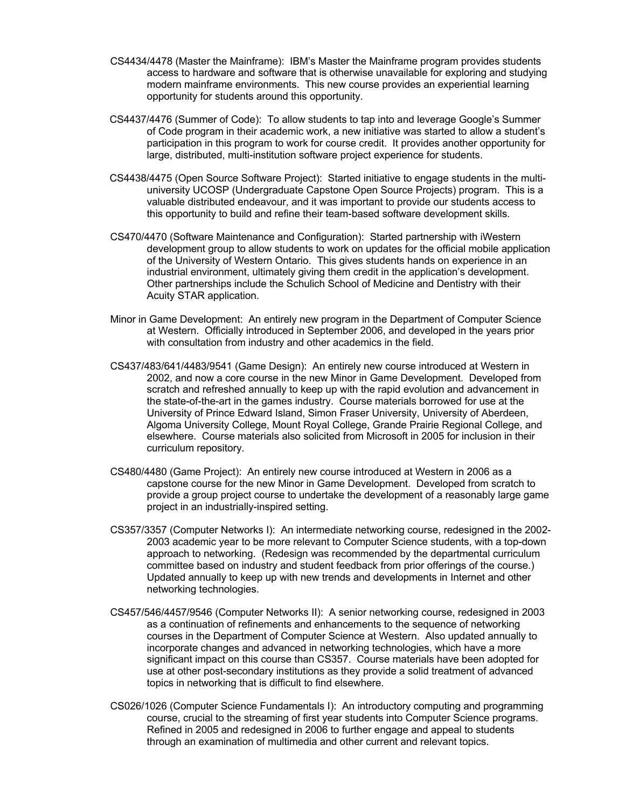- CS4434/4478 (Master the Mainframe): IBM's Master the Mainframe program provides students access to hardware and software that is otherwise unavailable for exploring and studying modern mainframe environments. This new course provides an experiential learning opportunity for students around this opportunity.
- CS4437/4476 (Summer of Code): To allow students to tap into and leverage Google's Summer of Code program in their academic work, a new initiative was started to allow a student's participation in this program to work for course credit. It provides another opportunity for large, distributed, multi-institution software project experience for students.
- CS4438/4475 (Open Source Software Project): Started initiative to engage students in the multiuniversity UCOSP (Undergraduate Capstone Open Source Projects) program. This is a valuable distributed endeavour, and it was important to provide our students access to this opportunity to build and refine their team-based software development skills.
- CS470/4470 (Software Maintenance and Configuration): Started partnership with iWestern development group to allow students to work on updates for the official mobile application of the University of Western Ontario. This gives students hands on experience in an industrial environment, ultimately giving them credit in the application's development. Other partnerships include the Schulich School of Medicine and Dentistry with their Acuity STAR application.
- Minor in Game Development: An entirely new program in the Department of Computer Science at Western. Officially introduced in September 2006, and developed in the years prior with consultation from industry and other academics in the field.
- CS437/483/641/4483/9541 (Game Design): An entirely new course introduced at Western in 2002, and now a core course in the new Minor in Game Development. Developed from scratch and refreshed annually to keep up with the rapid evolution and advancement in the state-of-the-art in the games industry. Course materials borrowed for use at the University of Prince Edward Island, Simon Fraser University, University of Aberdeen, Algoma University College, Mount Royal College, Grande Prairie Regional College, and elsewhere. Course materials also solicited from Microsoft in 2005 for inclusion in their curriculum repository.
- CS480/4480 (Game Project): An entirely new course introduced at Western in 2006 as a capstone course for the new Minor in Game Development. Developed from scratch to provide a group project course to undertake the development of a reasonably large game project in an industrially-inspired setting.
- CS357/3357 (Computer Networks I): An intermediate networking course, redesigned in the 2002- 2003 academic year to be more relevant to Computer Science students, with a top-down approach to networking. (Redesign was recommended by the departmental curriculum committee based on industry and student feedback from prior offerings of the course.) Updated annually to keep up with new trends and developments in Internet and other networking technologies.
- CS457/546/4457/9546 (Computer Networks II): A senior networking course, redesigned in 2003 as a continuation of refinements and enhancements to the sequence of networking courses in the Department of Computer Science at Western. Also updated annually to incorporate changes and advanced in networking technologies, which have a more significant impact on this course than CS357. Course materials have been adopted for use at other post-secondary institutions as they provide a solid treatment of advanced topics in networking that is difficult to find elsewhere.
- CS026/1026 (Computer Science Fundamentals I): An introductory computing and programming course, crucial to the streaming of first year students into Computer Science programs. Refined in 2005 and redesigned in 2006 to further engage and appeal to students through an examination of multimedia and other current and relevant topics.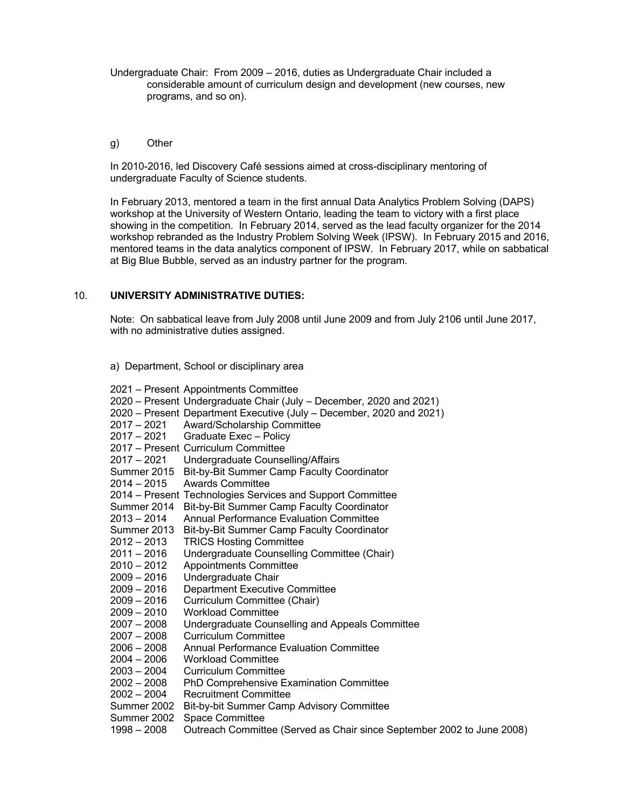Undergraduate Chair: From 2009 – 2016, duties as Undergraduate Chair included a considerable amount of curriculum design and development (new courses, new programs, and so on).

#### g) Other

In 2010-2016, led Discovery Café sessions aimed at cross-disciplinary mentoring of undergraduate Faculty of Science students.

In February 2013, mentored a team in the first annual Data Analytics Problem Solving (DAPS) workshop at the University of Western Ontario, leading the team to victory with a first place showing in the competition. In February 2014, served as the lead faculty organizer for the 2014 workshop rebranded as the Industry Problem Solving Week (IPSW). In February 2015 and 2016, mentored teams in the data analytics component of IPSW. In February 2017, while on sabbatical at Big Blue Bubble, served as an industry partner for the program.

## 10. **UNIVERSITY ADMINISTRATIVE DUTIES:**

Note: On sabbatical leave from July 2008 until June 2009 and from July 2106 until June 2017, with no administrative duties assigned.

#### a) Department, School or disciplinary area

|               | 2021 – Present Appointments Committee                                  |
|---------------|------------------------------------------------------------------------|
|               | 2020 – Present Undergraduate Chair (July – December, 2020 and 2021)    |
|               | 2020 – Present Department Executive (July – December, 2020 and 2021)   |
| 2017 – 2021   | Award/Scholarship Committee                                            |
|               | 2017 - 2021 Graduate Exec - Policy                                     |
|               | 2017 - Present Curriculum Committee                                    |
| 2017 – 2021   | Undergraduate Counselling/Affairs                                      |
| Summer 2015   | Bit-by-Bit Summer Camp Faculty Coordinator                             |
| $2014 - 2015$ | <b>Awards Committee</b>                                                |
|               | 2014 – Present Technologies Services and Support Committee             |
| Summer 2014   | <b>Bit-by-Bit Summer Camp Faculty Coordinator</b>                      |
| $2013 - 2014$ | Annual Performance Evaluation Committee                                |
| Summer 2013   | Bit-by-Bit Summer Camp Faculty Coordinator                             |
| $2012 - 2013$ | <b>TRICS Hosting Committee</b>                                         |
| $2011 - 2016$ | Undergraduate Counselling Committee (Chair)                            |
| 2010 – 2012   | <b>Appointments Committee</b>                                          |
| 2009 – 2016   | Undergraduate Chair                                                    |
| $2009 - 2016$ | <b>Department Executive Committee</b>                                  |
| $2009 - 2016$ | Curriculum Committee (Chair)                                           |
| $2009 - 2010$ | <b>Workload Committee</b>                                              |
| 2007 – 2008   | Undergraduate Counselling and Appeals Committee                        |
| 2007 - 2008   | <b>Curriculum Committee</b>                                            |
| $2006 - 2008$ | Annual Performance Evaluation Committee                                |
| 2004 – 2006   | <b>Workload Committee</b>                                              |
| $2003 - 2004$ | <b>Curriculum Committee</b>                                            |
| $2002 - 2008$ | PhD Comprehensive Examination Committee                                |
| $2002 - 2004$ | <b>Recruitment Committee</b>                                           |
| Summer 2002   | Bit-by-bit Summer Camp Advisory Committee                              |
| Summer 2002   | <b>Space Committee</b>                                                 |
| $1998 - 2008$ | Outreach Committee (Served as Chair since September 2002 to June 2008) |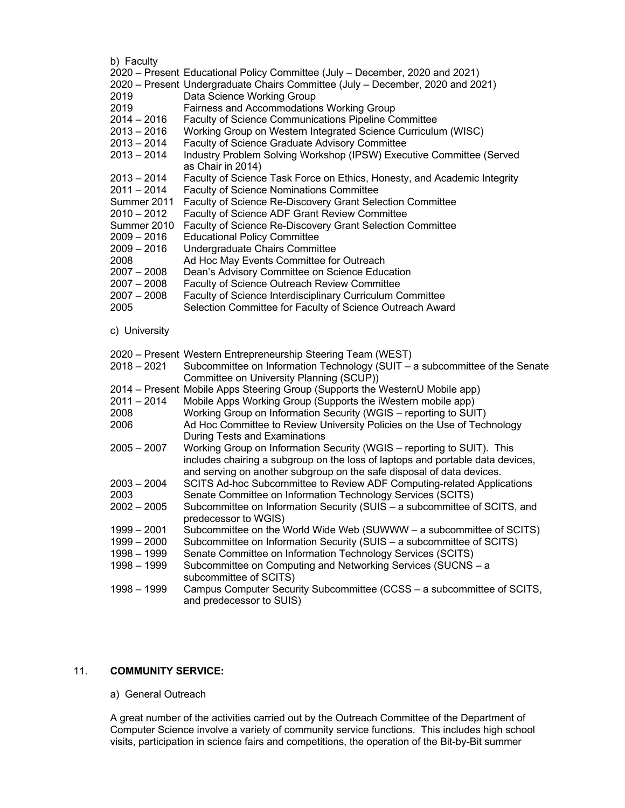#### b) Faculty

| v, i avully   |                                                                                |
|---------------|--------------------------------------------------------------------------------|
|               | 2020 – Present Educational Policy Committee (July – December, 2020 and 2021)   |
|               | 2020 – Present Undergraduate Chairs Committee (July – December, 2020 and 2021) |
| 2019          | Data Science Working Group                                                     |
| 2019          | Fairness and Accommodations Working Group                                      |
|               |                                                                                |
| $2014 - 2016$ | Faculty of Science Communications Pipeline Committee                           |
| $2013 - 2016$ | Working Group on Western Integrated Science Curriculum (WISC)                  |
| $2013 - 2014$ | Faculty of Science Graduate Advisory Committee                                 |
| $2013 - 2014$ | Industry Problem Solving Workshop (IPSW) Executive Committee (Served           |
|               | as Chair in 2014)                                                              |
| $2013 - 2014$ | Faculty of Science Task Force on Ethics, Honesty, and Academic Integrity       |
| $2011 - 2014$ | <b>Faculty of Science Nominations Committee</b>                                |
| Summer 2011   | Faculty of Science Re-Discovery Grant Selection Committee                      |
|               |                                                                                |
| $2010 - 2012$ | Faculty of Science ADF Grant Review Committee                                  |
| Summer 2010   | Faculty of Science Re-Discovery Grant Selection Committee                      |
| $2009 - 2016$ | <b>Educational Policy Committee</b>                                            |
| $2009 - 2016$ | Undergraduate Chairs Committee                                                 |
| 2008          | Ad Hoc May Events Committee for Outreach                                       |
| $2007 - 2008$ | Dean's Advisory Committee on Science Education                                 |
| $2007 - 2008$ | Faculty of Science Outreach Review Committee                                   |
| $2007 - 2008$ | Faculty of Science Interdisciplinary Curriculum Committee                      |
|               |                                                                                |
| 2005          | Selection Committee for Faculty of Science Outreach Award                      |
|               |                                                                                |
| c) University |                                                                                |
|               |                                                                                |
|               | 2020 – Present Western Entrepreneurship Steering Team (WEST)                   |
| $2018 - 2021$ | Subcommittee on Information Technology (SUIT - a subcommittee of the Senate    |
|               | Committee on University Planning (SCUP))                                       |
|               | 2014 – Present Mobile Apps Steering Group (Supports the WesternU Mobile app)   |
| $2011 - 2014$ | Mobile Apps Working Group (Supports the iWestern mobile app)                   |
| 2008          | Working Group on Information Security (WGIS - reporting to SUIT)               |
| 2006          | Ad Hoc Committee to Review University Policies on the Use of Technology        |
|               | During Tests and Examinations                                                  |
|               |                                                                                |
| $2005 - 2007$ | Working Group on Information Security (WGIS - reporting to SUIT). This         |
|               | includes chairing a subgroup on the loss of laptops and portable data devices, |
|               | and serving on another subgroup on the safe disposal of data devices.          |
| $2003 - 2004$ | SCITS Ad-hoc Subcommittee to Review ADF Computing-related Applications         |
| 2003          | Senate Committee on Information Technology Services (SCITS)                    |
| $2002 - 2005$ | Subcommittee on Information Security (SUIS - a subcommittee of SCITS, and      |
|               | predecessor to WGIS)                                                           |
|               |                                                                                |
| $1999 - 2001$ | Subcommittee on the World Wide Web (SUWWW - a subcommittee of SCITS)           |
| $1999 - 2000$ | Subcommittee on Information Security (SUIS - a subcommittee of SCITS)          |
| 1998 - 1999   | Senate Committee on Information Technology Services (SCITS)                    |
| 1998 - 1999   | Subcommittee on Computing and Networking Services (SUCNS - a                   |
|               | subcommittee of SCITS)                                                         |
| 1998 - 1999   | Campus Computer Security Subcommittee (CCSS - a subcommittee of SCITS,         |
|               | and predecessor to SUIS)                                                       |
|               |                                                                                |

## 11. **COMMUNITY SERVICE:**

a) General Outreach

A great number of the activities carried out by the Outreach Committee of the Department of Computer Science involve a variety of community service functions. This includes high school visits, participation in science fairs and competitions, the operation of the Bit-by-Bit summer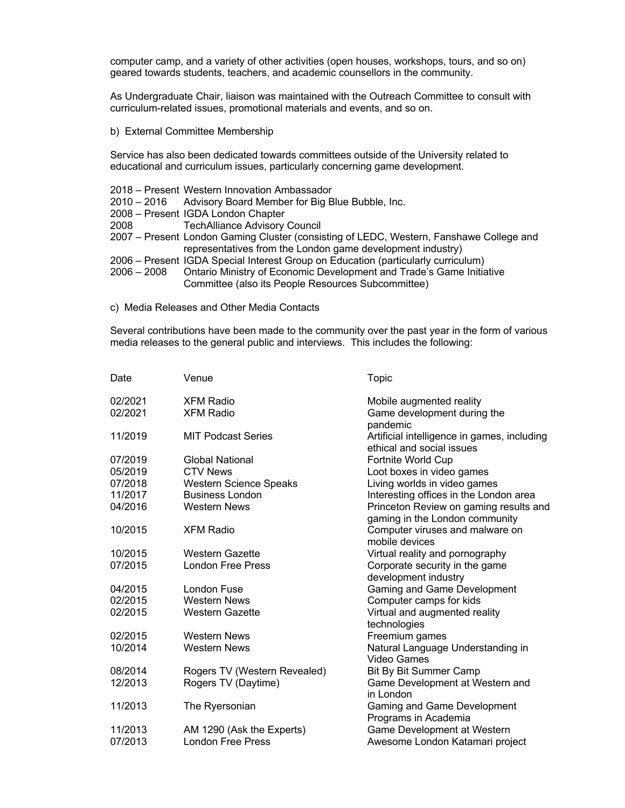computer camp, and a variety of other activities (open houses, workshops, tours, and so on) geared towards students, teachers, and academic counsellors in the community.

As Undergraduate Chair, liaison was maintained with the Outreach Committee to consult with curriculum-related issues, promotional materials and events, and so on.

b) External Committee Membership

Service has also been dedicated towards committees outside of the University related to educational and curriculum issues, particularly concerning game development.

- 2018 Present Western Innovation Ambassador
- 2010 2016 Advisory Board Member for Big Blue Bubble, Inc.
- 2008 Present IGDA London Chapter
- 2008 TechAlliance Advisory Council
- 2007 Present London Gaming Cluster (consisting of LEDC, Western, Fanshawe College and representatives from the London game development industry)
- 2006 Present IGDA Special Interest Group on Education (particularly curriculum)
- 2006 2008 Ontario Ministry of Economic Development and Trade's Game Initiative Committee (also its People Resources Subcommittee)
- c) Media Releases and Other Media Contacts

Several contributions have been made to the community over the past year in the form of various media releases to the general public and interviews. This includes the following:

| Date    | Venue                         | Topic                                                                    |
|---------|-------------------------------|--------------------------------------------------------------------------|
| 02/2021 | <b>XFM Radio</b>              | Mobile augmented reality                                                 |
| 02/2021 | <b>XFM Radio</b>              | Game development during the<br>pandemic                                  |
| 11/2019 | <b>MIT Podcast Series</b>     | Artificial intelligence in games, including<br>ethical and social issues |
| 07/2019 | <b>Global National</b>        | Fortnite World Cup                                                       |
| 05/2019 | <b>CTV News</b>               | Loot boxes in video games                                                |
| 07/2018 | <b>Western Science Speaks</b> | Living worlds in video games                                             |
| 11/2017 | <b>Business London</b>        | Interesting offices in the London area                                   |
| 04/2016 | <b>Western News</b>           | Princeton Review on gaming results and<br>gaming in the London community |
| 10/2015 | <b>XFM Radio</b>              | Computer viruses and malware on<br>mobile devices                        |
| 10/2015 | <b>Western Gazette</b>        | Virtual reality and pornography                                          |
| 07/2015 | <b>London Free Press</b>      | Corporate security in the game<br>development industry                   |
| 04/2015 | London Fuse                   | Gaming and Game Development                                              |
| 02/2015 | <b>Western News</b>           | Computer camps for kids                                                  |
| 02/2015 | <b>Western Gazette</b>        | Virtual and augmented reality<br>technologies                            |
| 02/2015 | <b>Western News</b>           | Freemium games                                                           |
| 10/2014 | <b>Western News</b>           | Natural Language Understanding in<br>Video Games                         |
| 08/2014 | Rogers TV (Western Revealed)  | <b>Bit By Bit Summer Camp</b>                                            |
| 12/2013 | Rogers TV (Daytime)           | Game Development at Western and<br>in London                             |
| 11/2013 | The Ryersonian                | Gaming and Game Development<br>Programs in Academia                      |
| 11/2013 | AM 1290 (Ask the Experts)     | Game Development at Western                                              |
| 07/2013 | <b>London Free Press</b>      | Awesome London Katamari project                                          |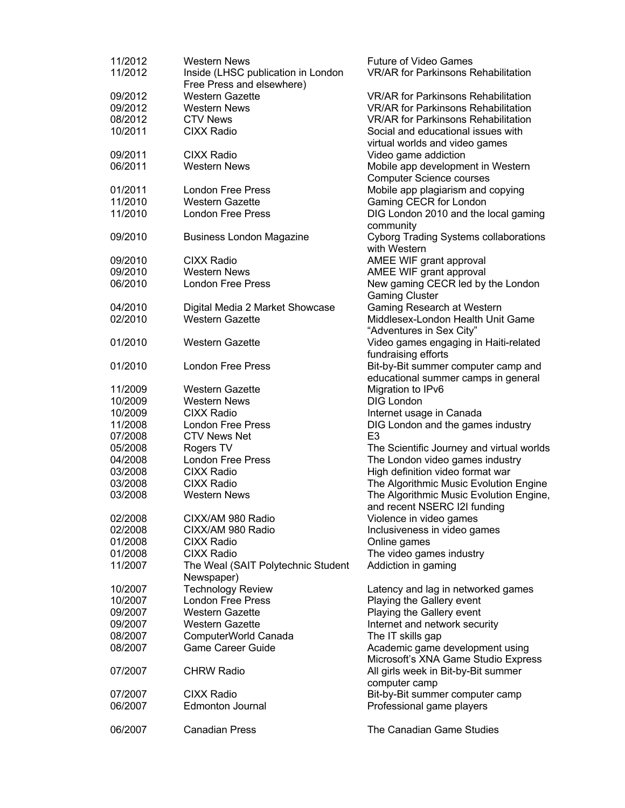| 11/2012<br>11/2012 | <b>Western News</b><br>Inside (LHSC publication in London<br>Free Press and elsewhere) | <b>Future of Video Games</b><br><b>VR/AR for Parkinsons Rehabilitation</b> |
|--------------------|----------------------------------------------------------------------------------------|----------------------------------------------------------------------------|
| 09/2012            | <b>Western Gazette</b>                                                                 | <b>VR/AR for Parkinsons Rehabilitation</b>                                 |
|                    |                                                                                        | <b>VR/AR for Parkinsons Rehabilitation</b>                                 |
| 09/2012            | <b>Western News</b>                                                                    |                                                                            |
| 08/2012            | <b>CTV News</b>                                                                        | <b>VR/AR for Parkinsons Rehabilitation</b>                                 |
| 10/2011            | <b>CIXX Radio</b>                                                                      | Social and educational issues with<br>virtual worlds and video games       |
| 09/2011            | <b>CIXX Radio</b>                                                                      | Video game addiction                                                       |
| 06/2011            | <b>Western News</b>                                                                    | Mobile app development in Western                                          |
|                    |                                                                                        | <b>Computer Science courses</b>                                            |
| 01/2011            | <b>London Free Press</b>                                                               | Mobile app plagiarism and copying                                          |
|                    |                                                                                        |                                                                            |
| 11/2010            | <b>Western Gazette</b>                                                                 | Gaming CECR for London                                                     |
| 11/2010            | <b>London Free Press</b>                                                               | DIG London 2010 and the local gaming<br>community                          |
| 09/2010            | <b>Business London Magazine</b>                                                        | <b>Cyborg Trading Systems collaborations</b><br>with Western               |
| 09/2010            | <b>CIXX Radio</b>                                                                      | AMEE WIF grant approval                                                    |
|                    |                                                                                        |                                                                            |
| 09/2010            | <b>Western News</b>                                                                    | AMEE WIF grant approval                                                    |
| 06/2010            | <b>London Free Press</b>                                                               | New gaming CECR led by the London                                          |
|                    |                                                                                        | <b>Gaming Cluster</b>                                                      |
| 04/2010            | Digital Media 2 Market Showcase                                                        | Gaming Research at Western                                                 |
| 02/2010            | <b>Western Gazette</b>                                                                 | Middlesex-London Health Unit Game<br>"Adventures in Sex City"              |
| 01/2010            | <b>Western Gazette</b>                                                                 | Video games engaging in Haiti-related                                      |
|                    |                                                                                        | fundraising efforts                                                        |
| 01/2010            | <b>London Free Press</b>                                                               | Bit-by-Bit summer computer camp and                                        |
|                    |                                                                                        | educational summer camps in general                                        |
| 11/2009            | <b>Western Gazette</b>                                                                 | Migration to IPv6                                                          |
| 10/2009            | <b>Western News</b>                                                                    | <b>DIG London</b>                                                          |
| 10/2009            | <b>CIXX Radio</b>                                                                      | Internet usage in Canada                                                   |
| 11/2008            | <b>London Free Press</b>                                                               | DIG London and the games industry                                          |
| 07/2008            | <b>CTV News Net</b>                                                                    | E <sub>3</sub>                                                             |
| 05/2008            | Rogers TV                                                                              | The Scientific Journey and virtual worlds                                  |
|                    |                                                                                        |                                                                            |
| 04/2008            | London Free Press                                                                      | The London video games industry                                            |
| 03/2008            | <b>CIXX Radio</b>                                                                      | High definition video format war                                           |
| 03/2008            | <b>CIXX Radio</b>                                                                      | The Algorithmic Music Evolution Engine                                     |
| 03/2008            | <b>Western News</b>                                                                    | The Algorithmic Music Evolution Engine,<br>and recent NSERC I2I funding    |
| 02/2008            | CIXX/AM 980 Radio                                                                      | Violence in video games                                                    |
| 02/2008            | CIXX/AM 980 Radio                                                                      | Inclusiveness in video games                                               |
| 01/2008            | <b>CIXX Radio</b>                                                                      | Online games                                                               |
|                    |                                                                                        |                                                                            |
| 01/2008            | <b>CIXX Radio</b>                                                                      | The video games industry                                                   |
| 11/2007            | The Weal (SAIT Polytechnic Student<br>Newspaper)                                       | Addiction in gaming                                                        |
|                    |                                                                                        |                                                                            |
| 10/2007            | <b>Technology Review</b>                                                               | Latency and lag in networked games                                         |
| 10/2007            | <b>London Free Press</b>                                                               | Playing the Gallery event                                                  |
| 09/2007            | <b>Western Gazette</b>                                                                 | Playing the Gallery event                                                  |
| 09/2007            | <b>Western Gazette</b>                                                                 | Internet and network security                                              |
| 08/2007            | ComputerWorld Canada                                                                   | The IT skills gap                                                          |
| 08/2007            | <b>Game Career Guide</b>                                                               | Academic game development using<br>Microsoft's XNA Game Studio Express     |
| 07/2007            | <b>CHRW Radio</b>                                                                      | All girls week in Bit-by-Bit summer                                        |
|                    |                                                                                        | computer camp                                                              |
| 07/2007            | <b>CIXX Radio</b>                                                                      | Bit-by-Bit summer computer camp                                            |
| 06/2007            | <b>Edmonton Journal</b>                                                                | Professional game players                                                  |
| 06/2007            | <b>Canadian Press</b>                                                                  | The Canadian Game Studies                                                  |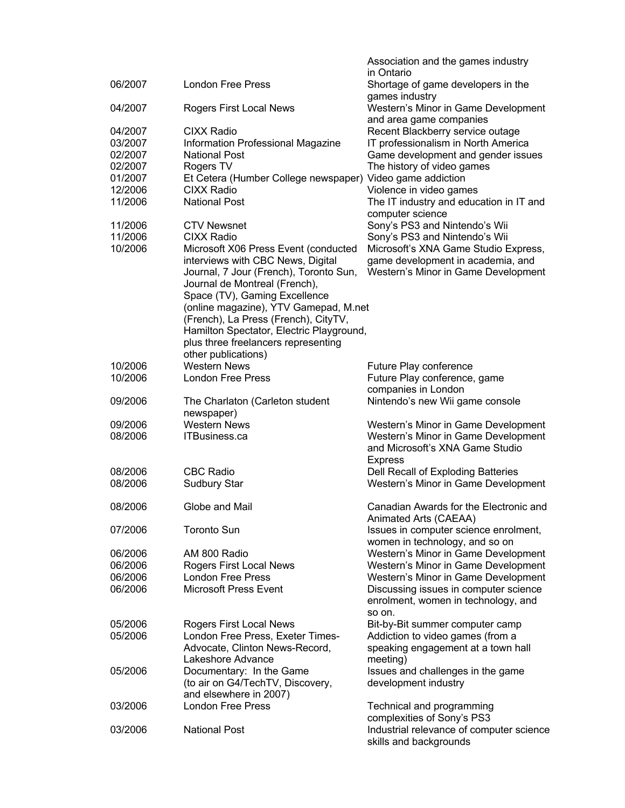|                    |                                                                | Association and the games industry<br>in Ontario                             |
|--------------------|----------------------------------------------------------------|------------------------------------------------------------------------------|
| 06/2007            | <b>London Free Press</b>                                       | Shortage of game developers in the<br>games industry                         |
| 04/2007            | Rogers First Local News                                        | Western's Minor in Game Development<br>and area game companies               |
| 04/2007            | <b>CIXX Radio</b>                                              | Recent Blackberry service outage                                             |
| 03/2007            | Information Professional Magazine                              | IT professionalism in North America                                          |
| 02/2007<br>02/2007 | <b>National Post</b><br>Rogers TV                              | Game development and gender issues<br>The history of video games             |
| 01/2007            | Et Cetera (Humber College newspaper) Video game addiction      |                                                                              |
| 12/2006            | <b>CIXX Radio</b>                                              | Violence in video games                                                      |
| 11/2006            | <b>National Post</b>                                           | The IT industry and education in IT and                                      |
| 11/2006            | <b>CTV Newsnet</b>                                             | computer science<br>Sony's PS3 and Nintendo's Wii                            |
| 11/2006            | <b>CIXX Radio</b>                                              | Sony's PS3 and Nintendo's Wii                                                |
| 10/2006            | Microsoft X06 Press Event (conducted                           | Microsoft's XNA Game Studio Express,                                         |
|                    | interviews with CBC News, Digital                              | game development in academia, and                                            |
|                    | Journal, 7 Jour (French), Toronto Sun,                         | Western's Minor in Game Development                                          |
|                    | Journal de Montreal (French),<br>Space (TV), Gaming Excellence |                                                                              |
|                    | (online magazine), YTV Gamepad, M.net                          |                                                                              |
|                    | (French), La Press (French), CityTV,                           |                                                                              |
|                    | Hamilton Spectator, Electric Playground,                       |                                                                              |
|                    | plus three freelancers representing<br>other publications)     |                                                                              |
| 10/2006            | <b>Western News</b>                                            | Future Play conference                                                       |
| 10/2006            | <b>London Free Press</b>                                       | Future Play conference, game                                                 |
|                    |                                                                | companies in London                                                          |
| 09/2006            | The Charlaton (Carleton student                                | Nintendo's new Wii game console                                              |
| 09/2006            | newspaper)<br><b>Western News</b>                              | Western's Minor in Game Development                                          |
| 08/2006            | ITBusiness.ca                                                  | Western's Minor in Game Development                                          |
|                    |                                                                | and Microsoft's XNA Game Studio                                              |
| 08/2006            | <b>CBC Radio</b>                                               | <b>Express</b><br>Dell Recall of Exploding Batteries                         |
| 08/2006            | <b>Sudbury Star</b>                                            | Western's Minor in Game Development                                          |
|                    |                                                                |                                                                              |
| 08/2006            | Globe and Mail                                                 | Canadian Awards for the Electronic and                                       |
| 07/2006            | <b>Toronto Sun</b>                                             | Animated Arts (CAEAA)<br>Issues in computer science enrolment,               |
|                    |                                                                | women in technology, and so on                                               |
| 06/2006            | AM 800 Radio                                                   | Western's Minor in Game Development                                          |
| 06/2006            | Rogers First Local News                                        | Western's Minor in Game Development                                          |
| 06/2006<br>06/2006 | <b>London Free Press</b><br><b>Microsoft Press Event</b>       | Western's Minor in Game Development                                          |
|                    |                                                                | Discussing issues in computer science<br>enrolment, women in technology, and |
|                    |                                                                | so on.                                                                       |
| 05/2006            | Rogers First Local News                                        | Bit-by-Bit summer computer camp                                              |
| 05/2006            | London Free Press, Exeter Times-                               | Addiction to video games (from a                                             |
|                    | Advocate, Clinton News-Record,<br>Lakeshore Advance            | speaking engagement at a town hall<br>meeting)                               |
| 05/2006            | Documentary: In the Game                                       | Issues and challenges in the game                                            |
|                    | (to air on G4/TechTV, Discovery,                               | development industry                                                         |
|                    | and elsewhere in 2007)                                         |                                                                              |
| 03/2006            | <b>London Free Press</b>                                       | Technical and programming<br>complexities of Sony's PS3                      |
| 03/2006            | <b>National Post</b>                                           | Industrial relevance of computer science                                     |
|                    |                                                                | skills and backgrounds                                                       |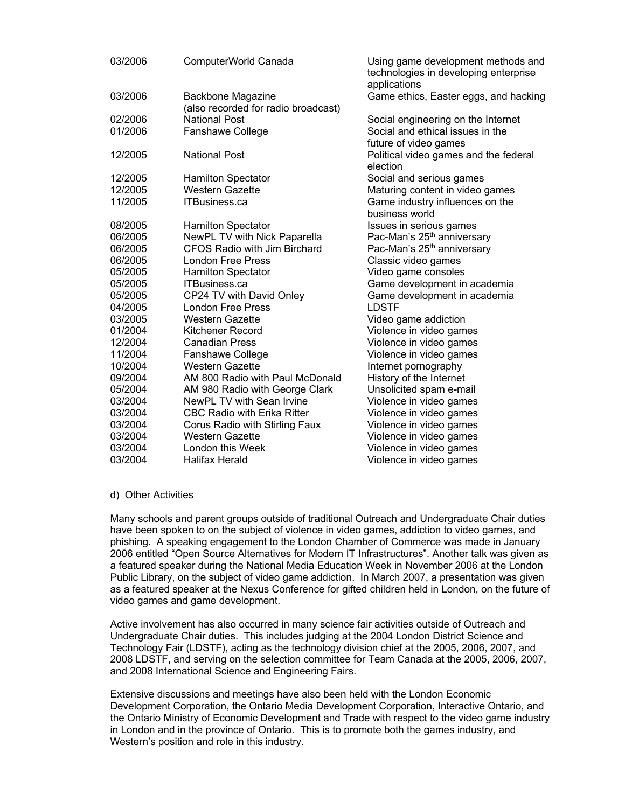| 03/2006 | ComputerWorld Canada                | Using game development methods and<br>technologies in developing enterprise<br>applications |
|---------|-------------------------------------|---------------------------------------------------------------------------------------------|
| 03/2006 | Backbone Magazine                   | Game ethics, Easter eggs, and hacking                                                       |
|         | (also recorded for radio broadcast) |                                                                                             |
| 02/2006 | National Post                       | Social engineering on the Internet                                                          |
| 01/2006 | Fanshawe College                    | Social and ethical issues in the                                                            |
|         |                                     | future of video games                                                                       |
| 12/2005 | <b>National Post</b>                | Political video games and the federal<br>election                                           |
| 12/2005 | <b>Hamilton Spectator</b>           | Social and serious games                                                                    |
| 12/2005 | <b>Western Gazette</b>              | Maturing content in video games                                                             |
| 11/2005 | <b>ITBusiness.ca</b>                | Game industry influences on the                                                             |
|         |                                     | business world                                                                              |
| 08/2005 | <b>Hamilton Spectator</b>           | Issues in serious games                                                                     |
| 06/2005 | NewPL TV with Nick Paparella        | Pac-Man's 25 <sup>th</sup> anniversary                                                      |
| 06/2005 | <b>CFOS Radio with Jim Birchard</b> | Pac-Man's 25 <sup>th</sup> anniversary                                                      |
| 06/2005 | London Free Press                   | Classic video games                                                                         |
| 05/2005 | <b>Hamilton Spectator</b>           | Video game consoles                                                                         |
| 05/2005 | <b>ITBusiness.ca</b>                | Game development in academia                                                                |
| 05/2005 | CP24 TV with David Onley            | Game development in academia                                                                |
| 04/2005 | London Free Press                   | <b>LDSTF</b>                                                                                |
| 03/2005 | <b>Western Gazette</b>              | Video game addiction                                                                        |
| 01/2004 | Kitchener Record                    | Violence in video games                                                                     |
| 12/2004 | <b>Canadian Press</b>               | Violence in video games                                                                     |
| 11/2004 | Fanshawe College                    | Violence in video games                                                                     |
| 10/2004 | <b>Western Gazette</b>              | Internet pornography                                                                        |
| 09/2004 | AM 800 Radio with Paul McDonald     | History of the Internet                                                                     |
| 05/2004 | AM 980 Radio with George Clark      | Unsolicited spam e-mail                                                                     |
| 03/2004 | NewPL TV with Sean Irvine           | Violence in video games                                                                     |
| 03/2004 | <b>CBC Radio with Erika Ritter</b>  | Violence in video games                                                                     |
| 03/2004 | Corus Radio with Stirling Faux      | Violence in video games                                                                     |
| 03/2004 | <b>Western Gazette</b>              | Violence in video games                                                                     |
| 03/2004 | London this Week                    | Violence in video games                                                                     |
| 03/2004 | <b>Halifax Herald</b>               | Violence in video games                                                                     |

#### d) Other Activities

Many schools and parent groups outside of traditional Outreach and Undergraduate Chair duties have been spoken to on the subject of violence in video games, addiction to video games, and phishing. A speaking engagement to the London Chamber of Commerce was made in January 2006 entitled "Open Source Alternatives for Modern IT Infrastructures". Another talk was given as a featured speaker during the National Media Education Week in November 2006 at the London Public Library, on the subject of video game addiction. In March 2007, a presentation was given as a featured speaker at the Nexus Conference for gifted children held in London, on the future of video games and game development.

Active involvement has also occurred in many science fair activities outside of Outreach and Undergraduate Chair duties. This includes judging at the 2004 London District Science and Technology Fair (LDSTF), acting as the technology division chief at the 2005, 2006, 2007, and 2008 LDSTF, and serving on the selection committee for Team Canada at the 2005, 2006, 2007, and 2008 International Science and Engineering Fairs.

Extensive discussions and meetings have also been held with the London Economic Development Corporation, the Ontario Media Development Corporation, Interactive Ontario, and the Ontario Ministry of Economic Development and Trade with respect to the video game industry in London and in the province of Ontario. This is to promote both the games industry, and Western's position and role in this industry.